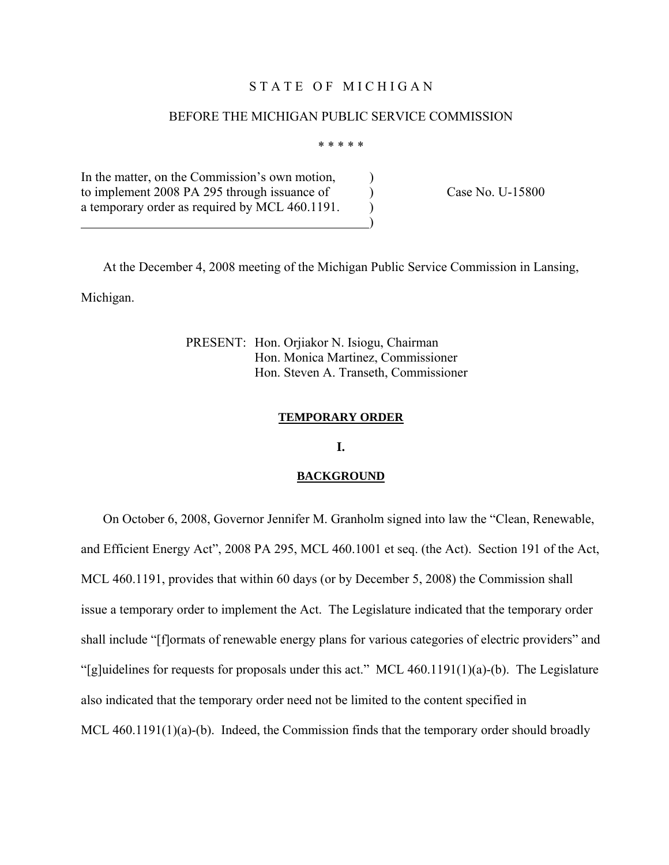## STATE OF MICHIGAN

### BEFORE THE MICHIGAN PUBLIC SERVICE COMMISSION

\* \* \* \* \*

In the matter, on the Commission's own motion, to implement 2008 PA 295 through issuance of Case No. U-15800 a temporary order as required by MCL  $460.1191$ .

 $\overline{\phantom{a}}$ 

 At the December 4, 2008 meeting of the Michigan Public Service Commission in Lansing, Michigan.

> PRESENT: Hon. Orjiakor N. Isiogu, Chairman Hon. Monica Martinez, Commissioner Hon. Steven A. Transeth, Commissioner

### **TEMPORARY ORDER**

**I.** 

### **BACKGROUND**

 On October 6, 2008, Governor Jennifer M. Granholm signed into law the "Clean, Renewable, and Efficient Energy Act", 2008 PA 295, MCL 460.1001 et seq. (the Act). Section 191 of the Act, MCL 460.1191, provides that within 60 days (or by December 5, 2008) the Commission shall issue a temporary order to implement the Act. The Legislature indicated that the temporary order shall include "[f]ormats of renewable energy plans for various categories of electric providers" and "[g]uidelines for requests for proposals under this act." MCL  $460.1191(1)(a)$ -(b). The Legislature also indicated that the temporary order need not be limited to the content specified in MCL 460.1191(1)(a)-(b). Indeed, the Commission finds that the temporary order should broadly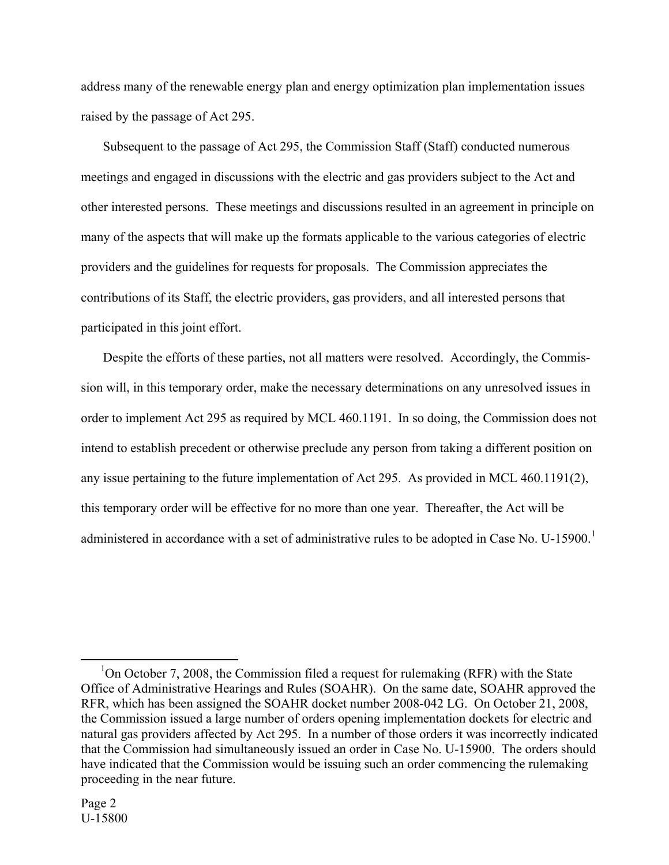address many of the renewable energy plan and energy optimization plan implementation issues raised by the passage of Act 295.

 Subsequent to the passage of Act 295, the Commission Staff (Staff) conducted numerous meetings and engaged in discussions with the electric and gas providers subject to the Act and other interested persons. These meetings and discussions resulted in an agreement in principle on many of the aspects that will make up the formats applicable to the various categories of electric providers and the guidelines for requests for proposals. The Commission appreciates the contributions of its Staff, the electric providers, gas providers, and all interested persons that participated in this joint effort.

 Despite the efforts of these parties, not all matters were resolved. Accordingly, the Commission will, in this temporary order, make the necessary determinations on any unresolved issues in order to implement Act 295 as required by MCL 460.1191. In so doing, the Commission does not intend to establish precedent or otherwise preclude any person from taking a different position on any issue pertaining to the future implementation of Act 295. As provided in MCL 460.1191(2), this temporary order will be effective for no more than one year. Thereafter, the Act will be administered in accordance with a set of administrative rules to be adopted in Case No. U-[1](#page-1-0)5900.<sup>1</sup>

<span id="page-1-0"></span> $\frac{1}{1}$ <sup>1</sup>On October 7, 2008, the Commission filed a request for rulemaking (RFR) with the State Office of Administrative Hearings and Rules (SOAHR). On the same date, SOAHR approved the RFR, which has been assigned the SOAHR docket number 2008-042 LG. On October 21, 2008, the Commission issued a large number of orders opening implementation dockets for electric and natural gas providers affected by Act 295. In a number of those orders it was incorrectly indicated that the Commission had simultaneously issued an order in Case No. U-15900. The orders should have indicated that the Commission would be issuing such an order commencing the rulemaking proceeding in the near future.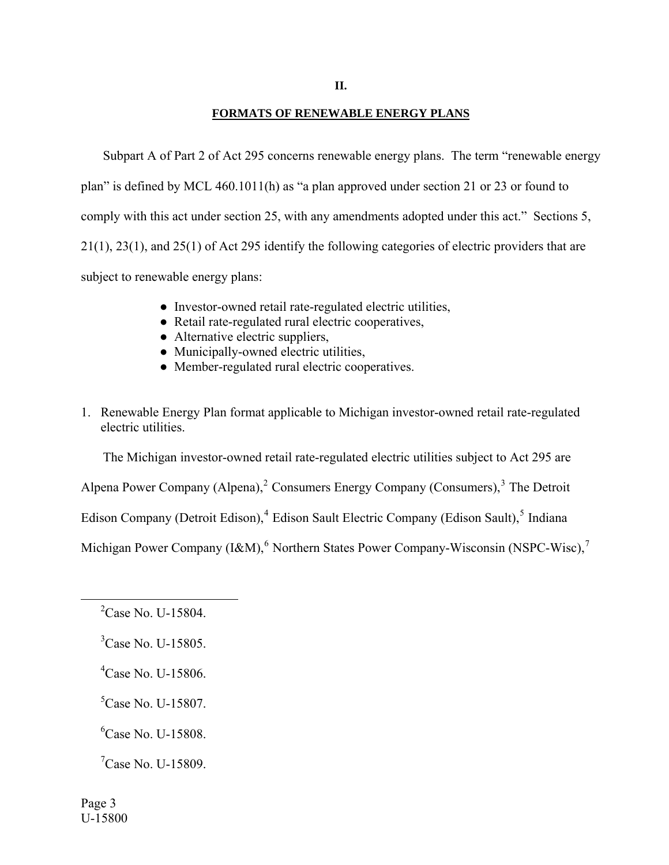### **FORMATS OF RENEWABLE ENERGY PLANS**

 Subpart A of Part 2 of Act 295 concerns renewable energy plans. The term "renewable energy plan" is defined by MCL 460.1011(h) as "a plan approved under section 21 or 23 or found to comply with this act under section 25, with any amendments adopted under this act." Sections 5, 21(1), 23(1), and 25(1) of Act 295 identify the following categories of electric providers that are subject to renewable energy plans:

- Investor-owned retail rate-regulated electric utilities,
- Retail rate-regulated rural electric cooperatives,
- Alternative electric suppliers,
- Municipally-owned electric utilities,
- Member-regulated rural electric cooperatives.
- 1. Renewable Energy Plan format applicable to Michigan investor-owned retail rate-regulated electric utilities.

The Michigan investor-owned retail rate-regulated electric utilities subject to Act 295 are

Alpena Power Company (Alpena), $^2$  $^2$  Consumers Energy Company (Consumers), $^3$  $^3$  The Detroit

Edison Company (Detroit Edison),<sup>[4](#page-2-2)</sup> Edison Sault Electric Company (Edison Sault),<sup>[5](#page-2-3)</sup> Indiana

Michigan Power Company (I&M),  $^6$  $^6$  Northern States Power Company-Wisconsin (NSPC-Wisc),  $^7$  $^7$ 

- <span id="page-2-2"></span>4 Case No. U-15806.
- <span id="page-2-3"></span><sup>5</sup>Case No. U-15807.

<span id="page-2-4"></span>6 Case No. U-15808.

<span id="page-2-5"></span> $C$ ase No. U-15809.

<span id="page-2-1"></span><span id="page-2-0"></span><sup>&</sup>lt;sup>2</sup>Case No. U-15804.

<sup>&</sup>lt;sup>3</sup>Case No. U-15805.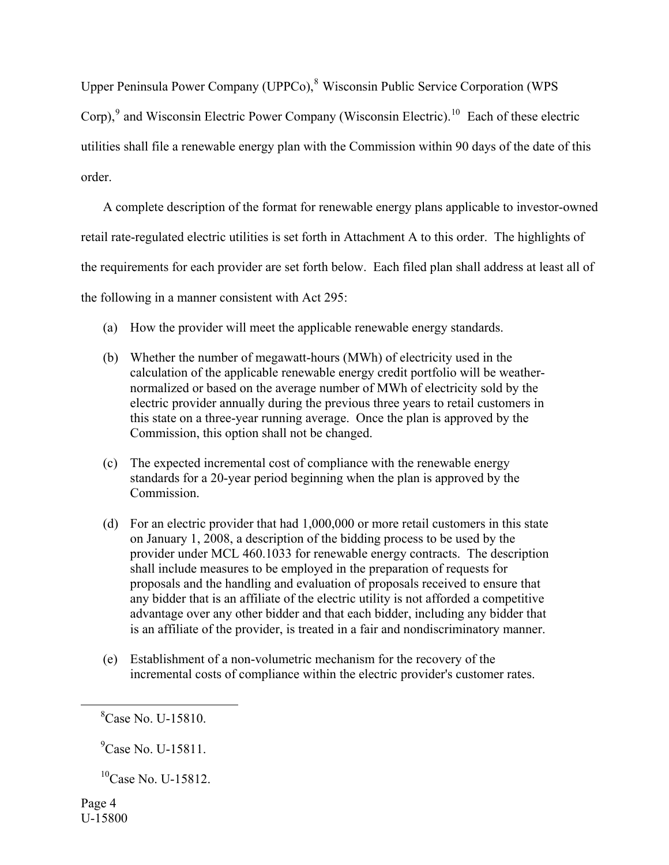Upper Peninsula Power Company (UPPCo),<sup>[8](#page-3-0)</sup> Wisconsin Public Service Corporation (WPS Corp),<sup>[9](#page-3-1)</sup> and Wisconsin Electric Power Company (Wisconsin Electric).<sup>[10](#page-3-2)</sup> Each of these electric utilities shall file a renewable energy plan with the Commission within 90 days of the date of this order.

 A complete description of the format for renewable energy plans applicable to investor-owned retail rate-regulated electric utilities is set forth in Attachment A to this order. The highlights of the requirements for each provider are set forth below. Each filed plan shall address at least all of the following in a manner consistent with Act 295:

- (a) How the provider will meet the applicable renewable energy standards.
- (b) Whether the number of megawatt-hours (MWh) of electricity used in the calculation of the applicable renewable energy credit portfolio will be weathernormalized or based on the average number of MWh of electricity sold by the electric provider annually during the previous three years to retail customers in this state on a three-year running average. Once the plan is approved by the Commission, this option shall not be changed.
- (c) The expected incremental cost of compliance with the renewable energy standards for a 20-year period beginning when the plan is approved by the Commission.
- (d) For an electric provider that had 1,000,000 or more retail customers in this state on January 1, 2008, a description of the bidding process to be used by the provider under MCL 460.1033 for renewable energy contracts. The description shall include measures to be employed in the preparation of requests for proposals and the handling and evaluation of proposals received to ensure that any bidder that is an affiliate of the electric utility is not afforded a competitive advantage over any other bidder and that each bidder, including any bidder that is an affiliate of the provider, is treated in a fair and nondiscriminatory manner.
- (e) Establishment of a non-volumetric mechanism for the recovery of the incremental costs of compliance within the electric provider's customer rates.

<span id="page-3-1"></span><span id="page-3-0"></span> $\frac{1}{8}$  ${}^{8}$ Case No. U-15810.

<sup>&</sup>lt;sup>9</sup>Case No. U-15811.

<span id="page-3-2"></span> $^{10}$ Case No. U-15812.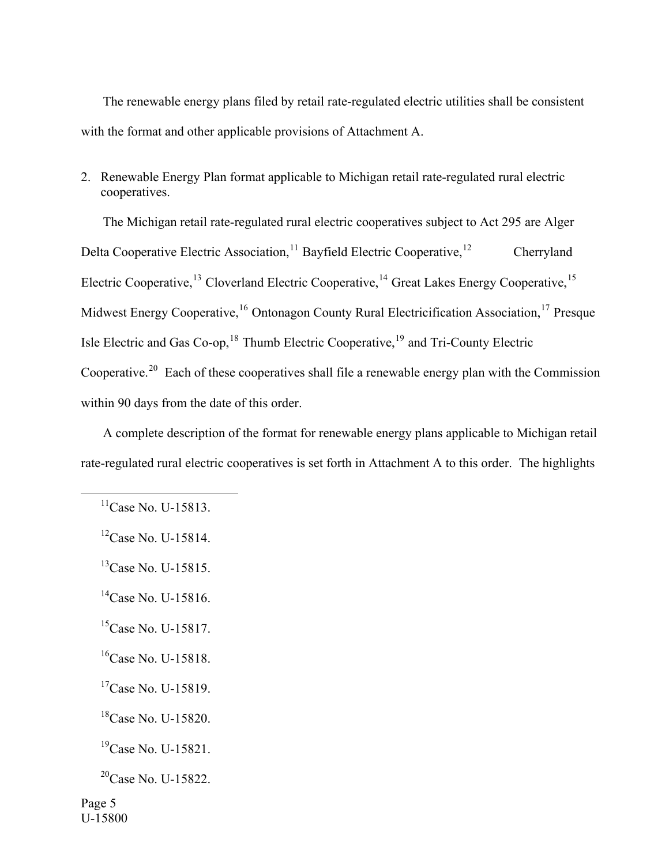The renewable energy plans filed by retail rate-regulated electric utilities shall be consistent with the format and other applicable provisions of Attachment A.

2. Renewable Energy Plan format applicable to Michigan retail rate-regulated rural electric cooperatives.

 The Michigan retail rate-regulated rural electric cooperatives subject to Act 295 are Alger Delta Cooperative Electric Association,<sup>[11](#page-4-0)</sup> Bayfield Electric Cooperative,<sup>[12](#page-4-1)</sup> Cherryland Electric Cooperative,<sup>[13](#page-4-2)</sup> Cloverland Electric Cooperative,<sup>[14](#page-4-3)</sup> Great Lakes Energy Cooperative,<sup>[15](#page-4-4)</sup> Midwest Energy Cooperative,<sup>[16](#page-4-5)</sup> Ontonagon County Rural Electricification Association,<sup>[17](#page-4-6)</sup> Presque Isle Electric and Gas Co-op,  $^{18}$  $^{18}$  $^{18}$  Thumb Electric Cooperative,  $^{19}$  $^{19}$  $^{19}$  and Tri-County Electric Cooperative.<sup>[20](#page-4-9)</sup> Each of these cooperatives shall file a renewable energy plan with the Commission within 90 days from the date of this order.

 A complete description of the format for renewable energy plans applicable to Michigan retail rate-regulated rural electric cooperatives is set forth in Attachment A to this order. The highlights

<span id="page-4-2"></span><sup>13</sup>Case No. U-15815.

<span id="page-4-4"></span> $^{15}$ Case No. U-15817.

<span id="page-4-5"></span><sup>16</sup>Case No. U-15818.

<span id="page-4-0"></span> $11$ Case No. U-15813.

<span id="page-4-1"></span> ${}^{12}$ Case No. U-15814.

<span id="page-4-3"></span> $^{14}$ Case No. U-15816.

<span id="page-4-6"></span> $17$ Case No. U-15819.

<span id="page-4-7"></span><sup>18</sup>Case No. U-15820.

<span id="page-4-8"></span> $^{19}$ Case No. U-15821.

<span id="page-4-9"></span> $^{20}$ Case No. U-15822.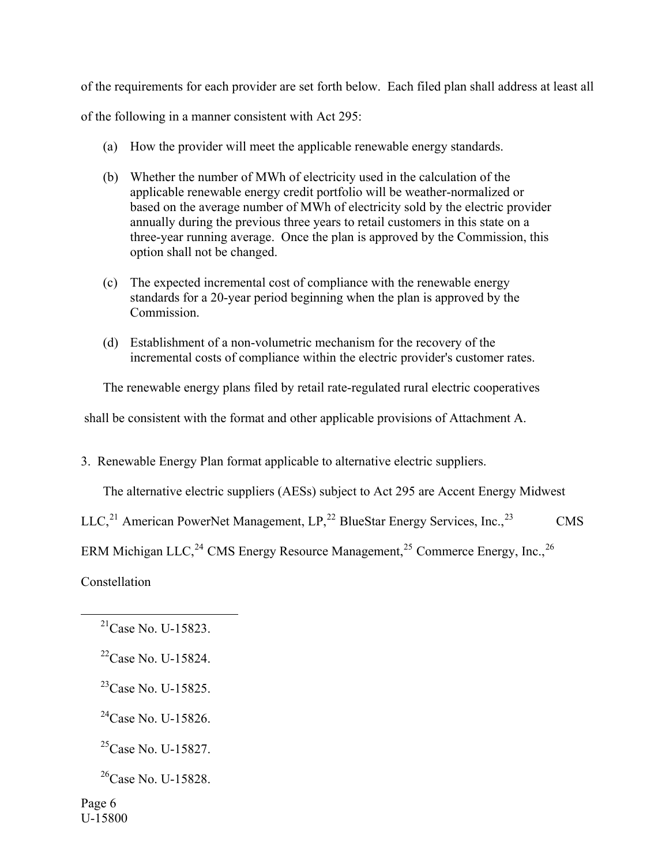of the requirements for each provider are set forth below. Each filed plan shall address at least all

of the following in a manner consistent with Act 295:

- (a) How the provider will meet the applicable renewable energy standards.
- (b) Whether the number of MWh of electricity used in the calculation of the applicable renewable energy credit portfolio will be weather-normalized or based on the average number of MWh of electricity sold by the electric provider annually during the previous three years to retail customers in this state on a three-year running average. Once the plan is approved by the Commission, this option shall not be changed.
- (c) The expected incremental cost of compliance with the renewable energy standards for a 20-year period beginning when the plan is approved by the Commission.
- (d) Establishment of a non-volumetric mechanism for the recovery of the incremental costs of compliance within the electric provider's customer rates.

The renewable energy plans filed by retail rate-regulated rural electric cooperatives

shall be consistent with the format and other applicable provisions of Attachment A.

3. Renewable Energy Plan format applicable to alternative electric suppliers.

The alternative electric suppliers (AESs) subject to Act 295 are Accent Energy Midwest

LLC,<sup>[21](#page-5-0)</sup> American PowerNet Management,  $LP<sub>1</sub><sup>22</sup>$  $LP<sub>1</sub><sup>22</sup>$  $LP<sub>1</sub><sup>22</sup>$  BlueStar Energy Services, Inc.,<sup>[23](#page-5-2)</sup> CMS

ERM Michigan LLC,<sup>[24](#page-5-3)</sup> CMS Energy Resource Management,<sup>[25](#page-5-4)</sup> Commerce Energy, Inc.,<sup>[26](#page-5-5)</sup>

<span id="page-5-0"></span>Constellation

<span id="page-5-3"></span> $^{24}$ Case No. U-15826.

<span id="page-5-4"></span> ${}^{25}$ Case No. U-15827.

<span id="page-5-5"></span> $^{26}$ Case No. U-15828.

 $^{21}$ Case No. U-15823.

<span id="page-5-1"></span> $^{22}$ Case No. U-15824.

<span id="page-5-2"></span> $^{23}$ Case No. U-15825.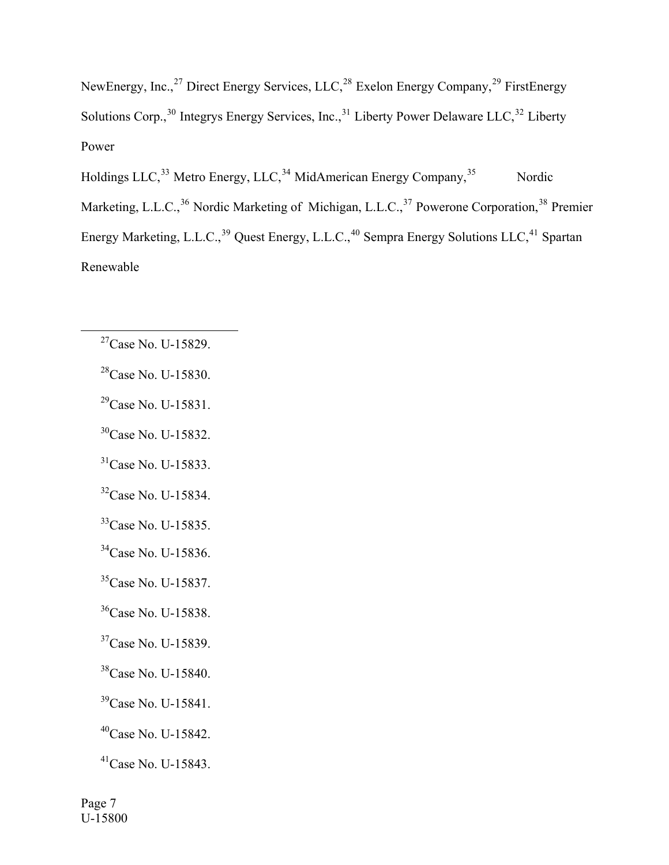NewEnergy, Inc.,<sup>[27](#page-6-0)</sup> Direct Energy Services, LLC,<sup>[28](#page-6-1)</sup> Exelon Energy Company,<sup>[29](#page-6-2)</sup> FirstEnergy Solutions Corp.,  $30$  Integrys Energy Services, Inc.,  $31$  Liberty Power Delaware LLC,  $32$  Liberty Power

Holdings LLC,<sup>[33](#page-6-6)</sup> Metro Energy, LLC,<sup>[34](#page-6-7)</sup> MidAmerican Energy Company,<sup>[35](#page-6-8)</sup> Nordic Marketing, L.L.C.,<sup>[36](#page-6-9)</sup> Nordic Marketing of Michigan, L.L.C.,<sup>[37](#page-6-10)</sup> Powerone Corporation,<sup>[38](#page-6-11)</sup> Premier Energy Marketing, L.L.C.,<sup>[39](#page-6-12)</sup> Quest Energy, L.L.C.,<sup>[40](#page-6-13)</sup> Sempra Energy Solutions LLC,<sup>[41](#page-6-14)</sup> Spartan Renewable

- <span id="page-6-1"></span>28Case No. U-15830.
- <span id="page-6-2"></span>29Case No. U-15831.
- <span id="page-6-3"></span><sup>30</sup>Case No. U-15832.
- <span id="page-6-4"></span><sup>31</sup>Case No. U-15833.
- <span id="page-6-5"></span><sup>32</sup>Case No. U-15834.
- <span id="page-6-6"></span><sup>33</sup>Case No. U-15835.
- <span id="page-6-7"></span><sup>34</sup>Case No. U-15836.
- <span id="page-6-8"></span><sup>35</sup>Case No. U-15837.
- <span id="page-6-9"></span><sup>36</sup>Case No. U-15838.
- <span id="page-6-10"></span><sup>37</sup>Case No. U-15839.
- <span id="page-6-11"></span>38Case No. U-15840.
- <span id="page-6-12"></span><sup>39</sup>Case No. U-15841.
- <span id="page-6-13"></span>40Case No. U-15842.
- <span id="page-6-14"></span>41Case No. U-15843.

<span id="page-6-0"></span> $27$ Case No. U-15829.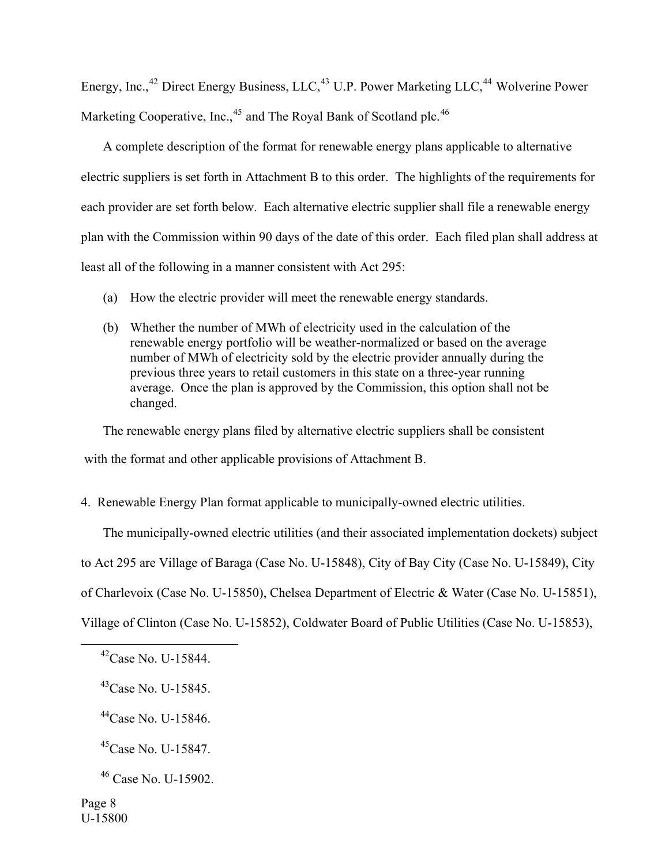Energy, Inc.,<sup>[42](#page-7-0)</sup> Direct Energy Business, LLC,<sup>[43](#page-7-1)</sup> U.P. Power Marketing LLC,<sup>[44](#page-7-2)</sup> Wolverine Power Marketing Cooperative, Inc., $45$  and The Royal Bank of Scotland plc.  $46$ 

 A complete description of the format for renewable energy plans applicable to alternative electric suppliers is set forth in Attachment B to this order. The highlights of the requirements for each provider are set forth below. Each alternative electric supplier shall file a renewable energy plan with the Commission within 90 days of the date of this order. Each filed plan shall address at least all of the following in a manner consistent with Act 295:

- (a) How the electric provider will meet the renewable energy standards.
- (b) Whether the number of MWh of electricity used in the calculation of the renewable energy portfolio will be weather-normalized or based on the average number of MWh of electricity sold by the electric provider annually during the previous three years to retail customers in this state on a three-year running average. Once the plan is approved by the Commission, this option shall not be changed.

The renewable energy plans filed by alternative electric suppliers shall be consistent

with the format and other applicable provisions of Attachment B.

# 4. Renewable Energy Plan format applicable to municipally-owned electric utilities.

The municipally-owned electric utilities (and their associated implementation dockets) subject

to Act 295 are Village of Baraga (Case No. U-15848), City of Bay City (Case No. U-15849), City

of Charlevoix (Case No. U-15850), Chelsea Department of Electric & Water (Case No. U-15851),

<span id="page-7-0"></span>Village of Clinton (Case No. U-15852), Coldwater Board of Public Utilities (Case No. U-15853),

<span id="page-7-2"></span>44Case No. U-15846.

<span id="page-7-3"></span> $^{45}$ Case No. U-15847.

 $^{42}$ Case No. U-15844.

<span id="page-7-1"></span> $^{43}$ Case No. U-15845.

<span id="page-7-4"></span><sup>46</sup> Case No. U-15902.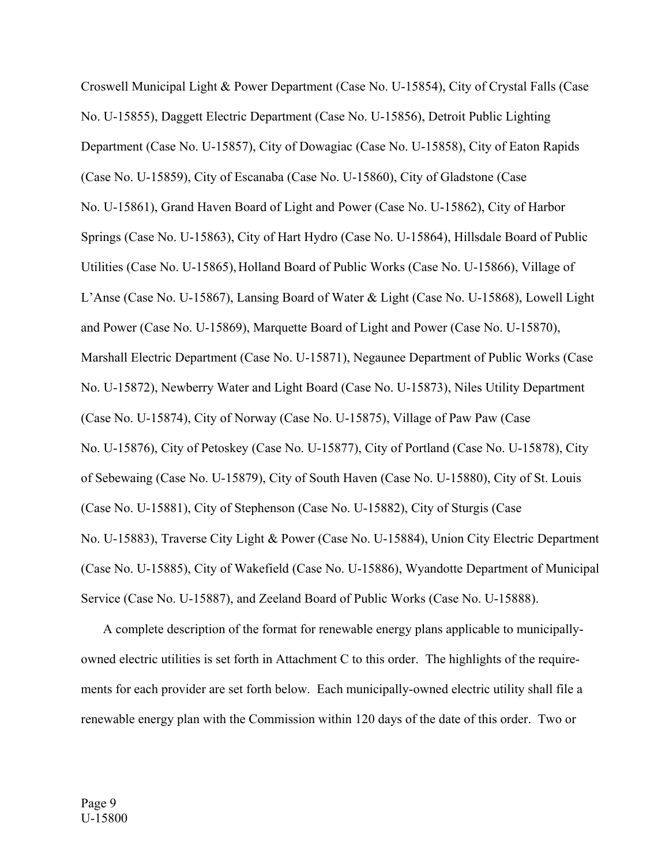Croswell Municipal Light & Power Department (Case No. U-15854), City of Crystal Falls (Case No. U-15855), Daggett Electric Department (Case No. U-15856), Detroit Public Lighting Department (Case No. U-15857), City of Dowagiac (Case No. U-15858), City of Eaton Rapids (Case No. U-15859), City of Escanaba (Case No. U-15860), City of Gladstone (Case No. U-15861), Grand Haven Board of Light and Power (Case No. U-15862), City of Harbor Springs (Case No. U-15863), City of Hart Hydro (Case No. U-15864), Hillsdale Board of Public Utilities (Case No. U-15865), Holland Board of Public Works (Case No. U-15866), Village of L'Anse (Case No. U-15867), Lansing Board of Water & Light (Case No. U-15868), Lowell Light and Power (Case No. U-15869), Marquette Board of Light and Power (Case No. U-15870), Marshall Electric Department (Case No. U-15871), Negaunee Department of Public Works (Case No. U-15872), Newberry Water and Light Board (Case No. U-15873), Niles Utility Department (Case No. U-15874), City of Norway (Case No. U-15875), Village of Paw Paw (Case No. U-15876), City of Petoskey (Case No. U-15877), City of Portland (Case No. U-15878), City of Sebewaing (Case No. U-15879), City of South Haven (Case No. U-15880), City of St. Louis (Case No. U-15881), City of Stephenson (Case No. U-15882), City of Sturgis (Case No. U-15883), Traverse City Light & Power (Case No. U-15884), Union City Electric Department (Case No. U-15885), City of Wakefield (Case No. U-15886), Wyandotte Department of Municipal Service (Case No. U-15887), and Zeeland Board of Public Works (Case No. U-15888).

 A complete description of the format for renewable energy plans applicable to municipallyowned electric utilities is set forth in Attachment C to this order. The highlights of the requirements for each provider are set forth below. Each municipally-owned electric utility shall file a renewable energy plan with the Commission within 120 days of the date of this order. Two or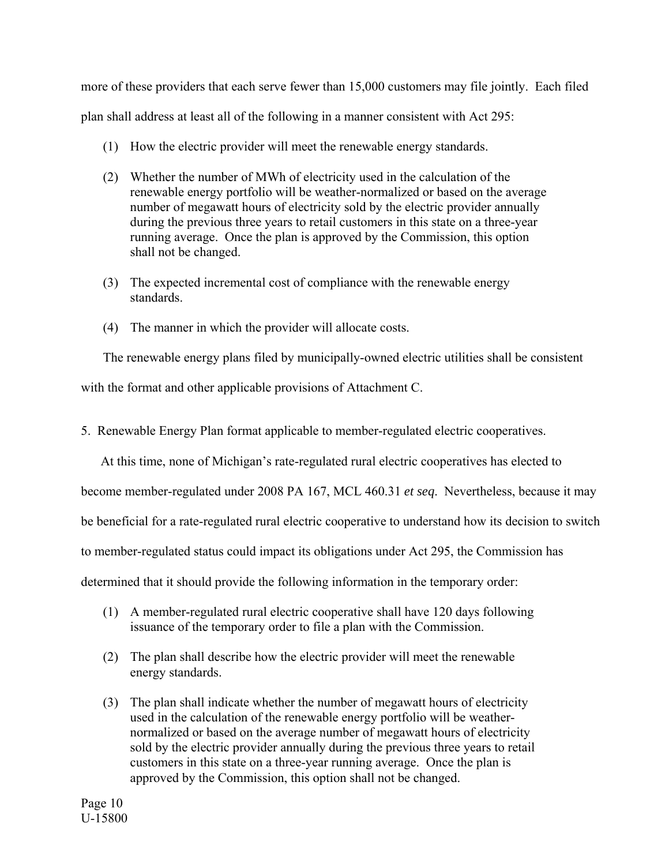more of these providers that each serve fewer than 15,000 customers may file jointly. Each filed plan shall address at least all of the following in a manner consistent with Act 295:

- (1) How the electric provider will meet the renewable energy standards.
- (2) Whether the number of MWh of electricity used in the calculation of the renewable energy portfolio will be weather-normalized or based on the average number of megawatt hours of electricity sold by the electric provider annually during the previous three years to retail customers in this state on a three-year running average. Once the plan is approved by the Commission, this option shall not be changed.
- (3) The expected incremental cost of compliance with the renewable energy standards.
- (4) The manner in which the provider will allocate costs.

The renewable energy plans filed by municipally-owned electric utilities shall be consistent

with the format and other applicable provisions of Attachment C.

5. Renewable Energy Plan format applicable to member-regulated electric cooperatives.

At this time, none of Michigan's rate-regulated rural electric cooperatives has elected to

become member-regulated under 2008 PA 167, MCL 460.31 *et seq*. Nevertheless, because it may

be beneficial for a rate-regulated rural electric cooperative to understand how its decision to switch

to member-regulated status could impact its obligations under Act 295, the Commission has

determined that it should provide the following information in the temporary order:

- (1) A member-regulated rural electric cooperative shall have 120 days following issuance of the temporary order to file a plan with the Commission.
- (2) The plan shall describe how the electric provider will meet the renewable energy standards.
- (3) The plan shall indicate whether the number of megawatt hours of electricity used in the calculation of the renewable energy portfolio will be weathernormalized or based on the average number of megawatt hours of electricity sold by the electric provider annually during the previous three years to retail customers in this state on a three-year running average. Once the plan is approved by the Commission, this option shall not be changed.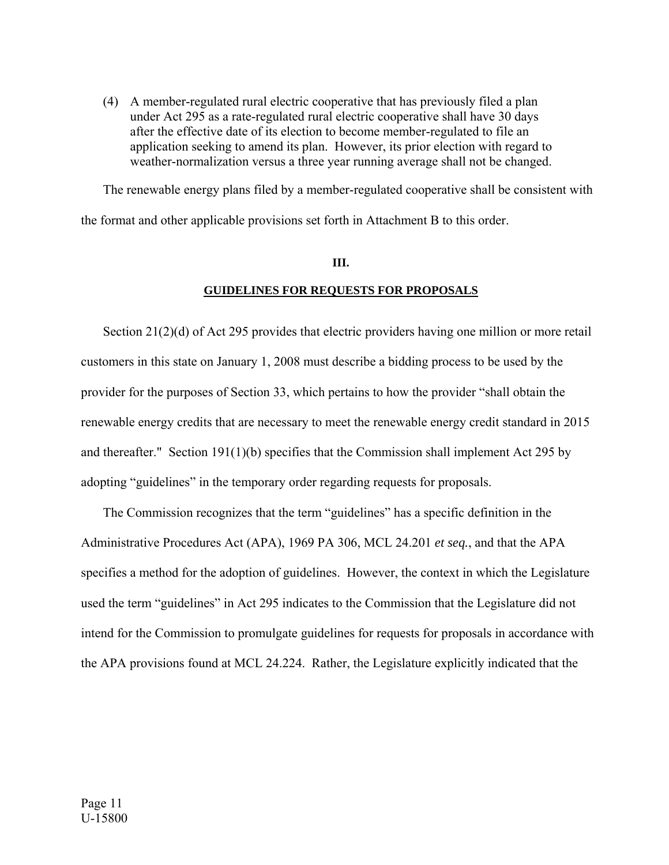(4) A member-regulated rural electric cooperative that has previously filed a plan under Act 295 as a rate-regulated rural electric cooperative shall have 30 days after the effective date of its election to become member-regulated to file an application seeking to amend its plan. However, its prior election with regard to weather-normalization versus a three year running average shall not be changed.

 The renewable energy plans filed by a member-regulated cooperative shall be consistent with the format and other applicable provisions set forth in Attachment B to this order.

### **III.**

## **GUIDELINES FOR REQUESTS FOR PROPOSALS**

 Section 21(2)(d) of Act 295 provides that electric providers having one million or more retail customers in this state on January 1, 2008 must describe a bidding process to be used by the provider for the purposes of Section 33, which pertains to how the provider "shall obtain the renewable energy credits that are necessary to meet the renewable energy credit standard in 2015 and thereafter." Section 191(1)(b) specifies that the Commission shall implement Act 295 by adopting "guidelines" in the temporary order regarding requests for proposals.

 The Commission recognizes that the term "guidelines" has a specific definition in the Administrative Procedures Act (APA), 1969 PA 306, MCL 24.201 *et seq.*, and that the APA specifies a method for the adoption of guidelines. However, the context in which the Legislature used the term "guidelines" in Act 295 indicates to the Commission that the Legislature did not intend for the Commission to promulgate guidelines for requests for proposals in accordance with the APA provisions found at MCL 24.224. Rather, the Legislature explicitly indicated that the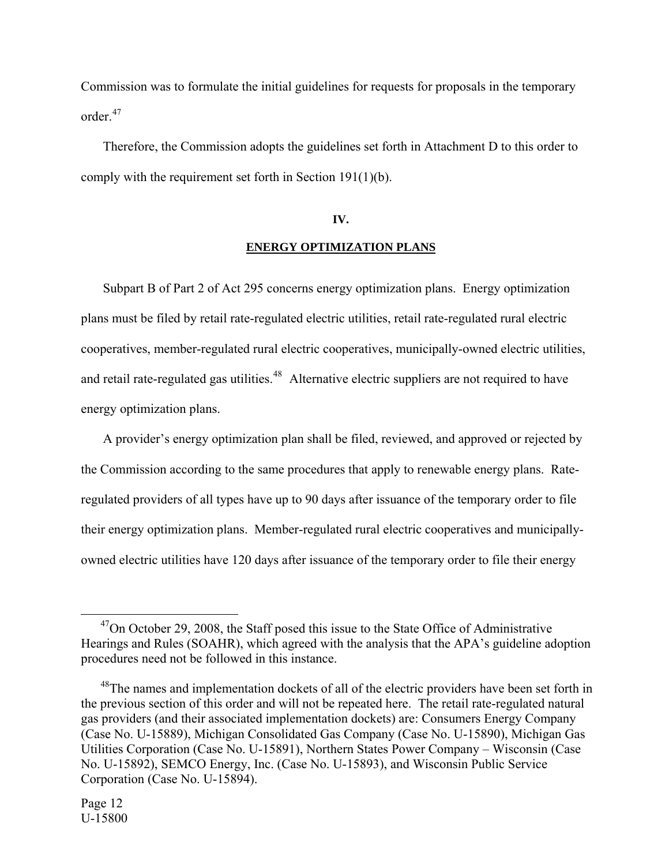Commission was to formulate the initial guidelines for requests for proposals in the temporary order.<sup>[47](#page-11-0)</sup>

 Therefore, the Commission adopts the guidelines set forth in Attachment D to this order to comply with the requirement set forth in Section 191(1)(b).

### **IV.**

## **ENERGY OPTIMIZATION PLANS**

Subpart B of Part 2 of Act 295 concerns energy optimization plans. Energy optimization plans must be filed by retail rate-regulated electric utilities, retail rate-regulated rural electric cooperatives, member-regulated rural electric cooperatives, municipally-owned electric utilities, and retail rate-regulated gas utilities.<sup>[48](#page-11-1)</sup> Alternative electric suppliers are not required to have energy optimization plans.

 A provider's energy optimization plan shall be filed, reviewed, and approved or rejected by the Commission according to the same procedures that apply to renewable energy plans. Rateregulated providers of all types have up to 90 days after issuance of the temporary order to file their energy optimization plans. Member-regulated rural electric cooperatives and municipallyowned electric utilities have 120 days after issuance of the temporary order to file their energy

<span id="page-11-0"></span> $47$ On October 29, 2008, the Staff posed this issue to the State Office of Administrative Hearings and Rules (SOAHR), which agreed with the analysis that the APA's guideline adoption procedures need not be followed in this instance.

<span id="page-11-1"></span><sup>&</sup>lt;sup>48</sup>The names and implementation dockets of all of the electric providers have been set forth in the previous section of this order and will not be repeated here. The retail rate-regulated natural gas providers (and their associated implementation dockets) are: Consumers Energy Company (Case No. U-15889), Michigan Consolidated Gas Company (Case No. U-15890), Michigan Gas Utilities Corporation (Case No. U-15891), Northern States Power Company – Wisconsin (Case No. U-15892), SEMCO Energy, Inc. (Case No. U-15893), and Wisconsin Public Service Corporation (Case No. U-15894).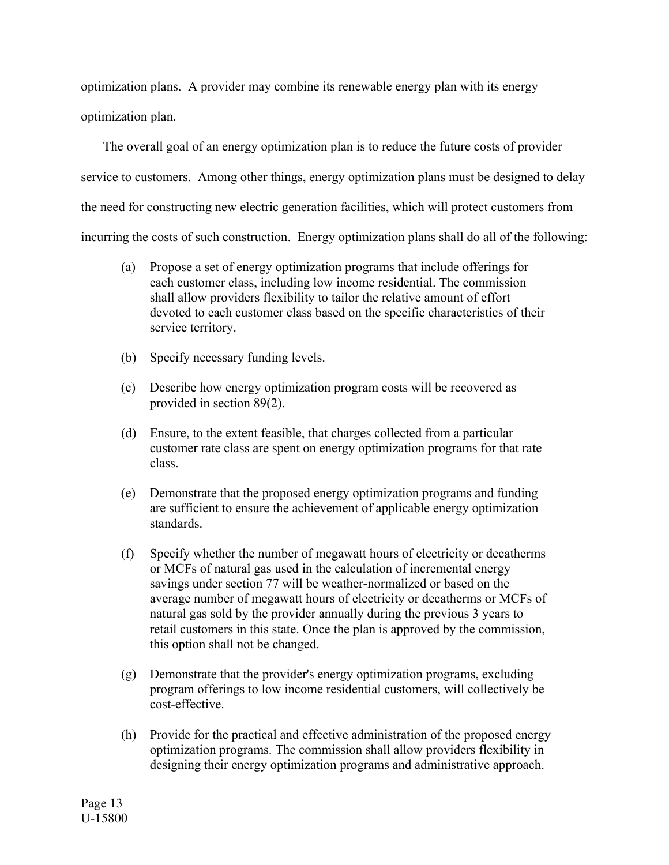optimization plans. A provider may combine its renewable energy plan with its energy optimization plan.

 The overall goal of an energy optimization plan is to reduce the future costs of provider service to customers. Among other things, energy optimization plans must be designed to delay the need for constructing new electric generation facilities, which will protect customers from incurring the costs of such construction. Energy optimization plans shall do all of the following:

- (a) Propose a set of energy optimization programs that include offerings for each customer class, including low income residential. The commission shall allow providers flexibility to tailor the relative amount of effort devoted to each customer class based on the specific characteristics of their service territory.
- (b) Specify necessary funding levels.
- (c) Describe how energy optimization program costs will be recovered as provided in section 89(2).
- (d) Ensure, to the extent feasible, that charges collected from a particular customer rate class are spent on energy optimization programs for that rate class.
- (e) Demonstrate that the proposed energy optimization programs and funding are sufficient to ensure the achievement of applicable energy optimization standards.
- (f) Specify whether the number of megawatt hours of electricity or decatherms or MCFs of natural gas used in the calculation of incremental energy savings under section 77 will be weather-normalized or based on the average number of megawatt hours of electricity or decatherms or MCFs of natural gas sold by the provider annually during the previous 3 years to retail customers in this state. Once the plan is approved by the commission, this option shall not be changed.
- (g) Demonstrate that the provider's energy optimization programs, excluding program offerings to low income residential customers, will collectively be cost-effective.
- (h) Provide for the practical and effective administration of the proposed energy optimization programs. The commission shall allow providers flexibility in designing their energy optimization programs and administrative approach.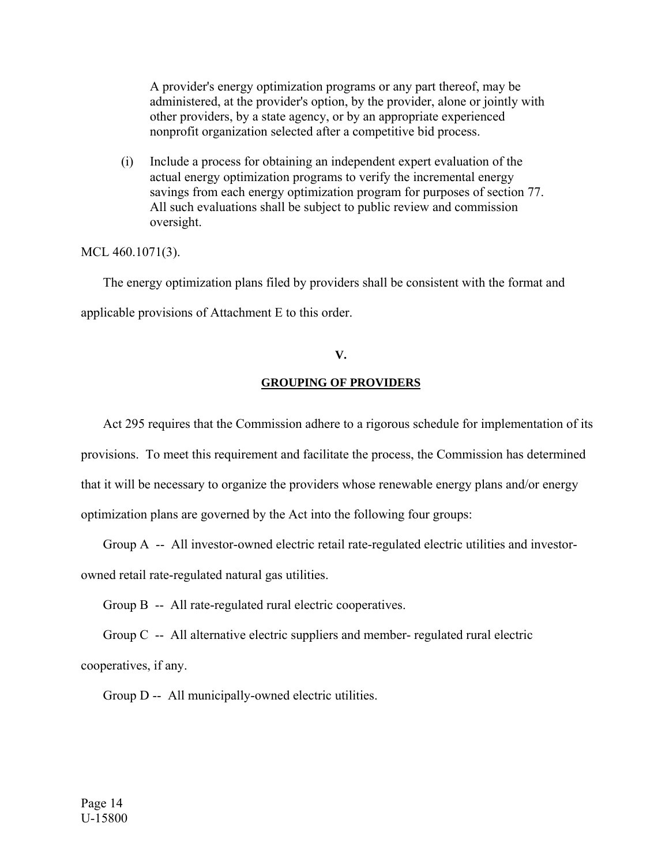A provider's energy optimization programs or any part thereof, may be administered, at the provider's option, by the provider, alone or jointly with other providers, by a state agency, or by an appropriate experienced nonprofit organization selected after a competitive bid process.

 (i) Include a process for obtaining an independent expert evaluation of the actual energy optimization programs to verify the incremental energy savings from each energy optimization program for purposes of section 77. All such evaluations shall be subject to public review and commission oversight.

# MCL 460.1071(3).

 The energy optimization plans filed by providers shall be consistent with the format and applicable provisions of Attachment E to this order.

# **V.**

## **GROUPING OF PROVIDERS**

 Act 295 requires that the Commission adhere to a rigorous schedule for implementation of its provisions. To meet this requirement and facilitate the process, the Commission has determined that it will be necessary to organize the providers whose renewable energy plans and/or energy optimization plans are governed by the Act into the following four groups:

Group A -- All investor-owned electric retail rate-regulated electric utilities and investor-

owned retail rate-regulated natural gas utilities.

Group B -- All rate-regulated rural electric cooperatives.

 Group C -- All alternative electric suppliers and member- regulated rural electric cooperatives, if any.

Group D -- All municipally-owned electric utilities.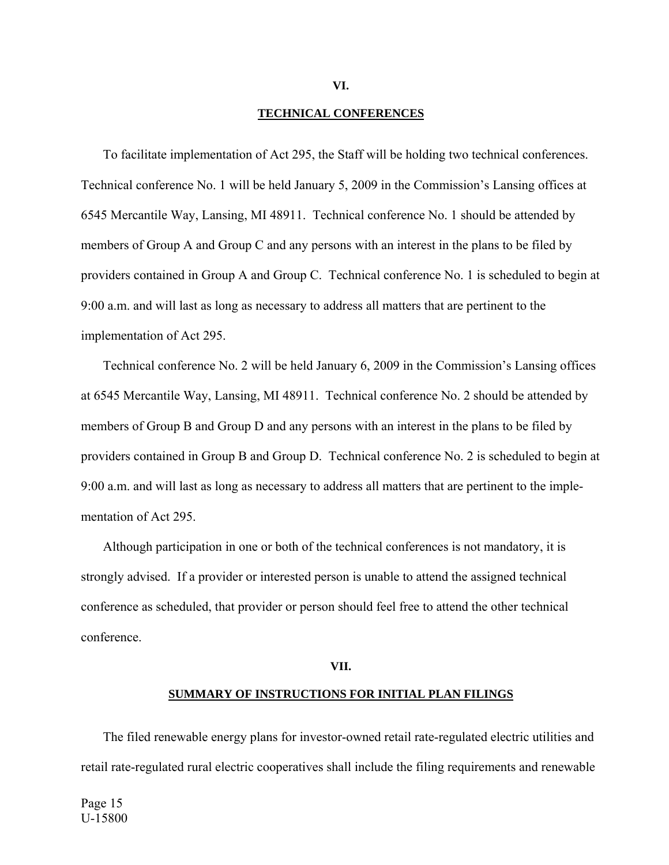### **TECHNICAL CONFERENCES**

 To facilitate implementation of Act 295, the Staff will be holding two technical conferences. Technical conference No. 1 will be held January 5, 2009 in the Commission's Lansing offices at 6545 Mercantile Way, Lansing, MI 48911. Technical conference No. 1 should be attended by members of Group A and Group C and any persons with an interest in the plans to be filed by providers contained in Group A and Group C. Technical conference No. 1 is scheduled to begin at 9:00 a.m. and will last as long as necessary to address all matters that are pertinent to the implementation of Act 295.

 Technical conference No. 2 will be held January 6, 2009 in the Commission's Lansing offices at 6545 Mercantile Way, Lansing, MI 48911. Technical conference No. 2 should be attended by members of Group B and Group D and any persons with an interest in the plans to be filed by providers contained in Group B and Group D. Technical conference No. 2 is scheduled to begin at 9:00 a.m. and will last as long as necessary to address all matters that are pertinent to the implementation of Act 295.

 Although participation in one or both of the technical conferences is not mandatory, it is strongly advised. If a provider or interested person is unable to attend the assigned technical conference as scheduled, that provider or person should feel free to attend the other technical conference.

### **VII.**

#### **SUMMARY OF INSTRUCTIONS FOR INITIAL PLAN FILINGS**

 The filed renewable energy plans for investor-owned retail rate-regulated electric utilities and retail rate-regulated rural electric cooperatives shall include the filing requirements and renewable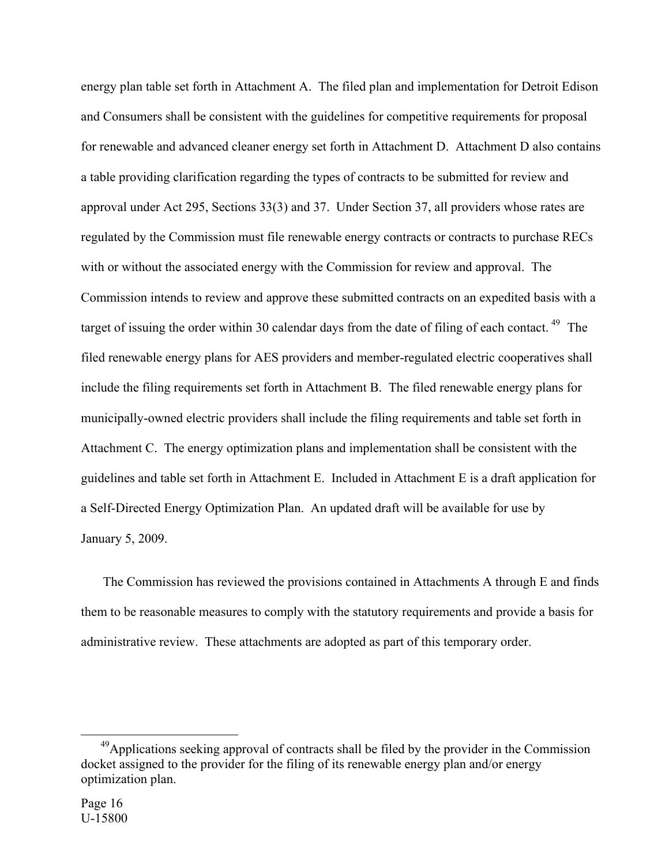energy plan table set forth in Attachment A. The filed plan and implementation for Detroit Edison and Consumers shall be consistent with the guidelines for competitive requirements for proposal for renewable and advanced cleaner energy set forth in Attachment D. Attachment D also contains a table providing clarification regarding the types of contracts to be submitted for review and approval under Act 295, Sections 33(3) and 37. Under Section 37, all providers whose rates are regulated by the Commission must file renewable energy contracts or contracts to purchase RECs with or without the associated energy with the Commission for review and approval. The Commission intends to review and approve these submitted contracts on an expedited basis with a target of issuing the order within 30 calendar days from the date of filing of each contact.<sup>[49](#page-15-0)</sup> The filed renewable energy plans for AES providers and member-regulated electric cooperatives shall include the filing requirements set forth in Attachment B. The filed renewable energy plans for municipally-owned electric providers shall include the filing requirements and table set forth in Attachment C. The energy optimization plans and implementation shall be consistent with the guidelines and table set forth in Attachment E. Included in Attachment E is a draft application for a Self-Directed Energy Optimization Plan. An updated draft will be available for use by January 5, 2009.

 The Commission has reviewed the provisions contained in Attachments A through E and finds them to be reasonable measures to comply with the statutory requirements and provide a basis for administrative review. These attachments are adopted as part of this temporary order.

<span id="page-15-0"></span><sup>&</sup>lt;sup>49</sup>Applications seeking approval of contracts shall be filed by the provider in the Commission docket assigned to the provider for the filing of its renewable energy plan and/or energy optimization plan.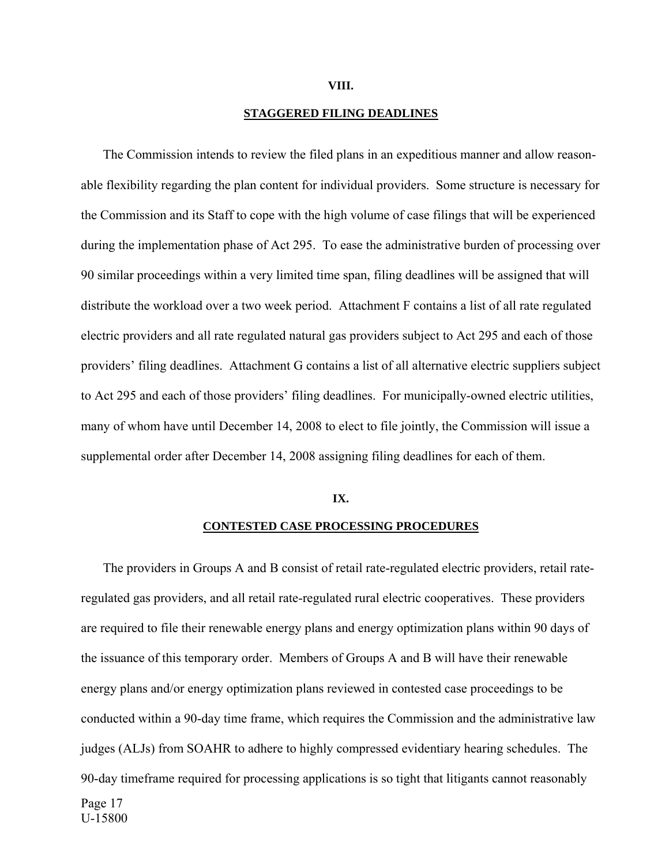#### **VIII.**

### **STAGGERED FILING DEADLINES**

 The Commission intends to review the filed plans in an expeditious manner and allow reasonable flexibility regarding the plan content for individual providers. Some structure is necessary for the Commission and its Staff to cope with the high volume of case filings that will be experienced during the implementation phase of Act 295. To ease the administrative burden of processing over 90 similar proceedings within a very limited time span, filing deadlines will be assigned that will distribute the workload over a two week period. Attachment F contains a list of all rate regulated electric providers and all rate regulated natural gas providers subject to Act 295 and each of those providers' filing deadlines. Attachment G contains a list of all alternative electric suppliers subject to Act 295 and each of those providers' filing deadlines. For municipally-owned electric utilities, many of whom have until December 14, 2008 to elect to file jointly, the Commission will issue a supplemental order after December 14, 2008 assigning filing deadlines for each of them.

### **IX.**

#### **CONTESTED CASE PROCESSING PROCEDURES**

 The providers in Groups A and B consist of retail rate-regulated electric providers, retail rateregulated gas providers, and all retail rate-regulated rural electric cooperatives. These providers are required to file their renewable energy plans and energy optimization plans within 90 days of the issuance of this temporary order. Members of Groups A and B will have their renewable energy plans and/or energy optimization plans reviewed in contested case proceedings to be conducted within a 90-day time frame, which requires the Commission and the administrative law judges (ALJs) from SOAHR to adhere to highly compressed evidentiary hearing schedules. The 90-day timeframe required for processing applications is so tight that litigants cannot reasonably Page 17 U-15800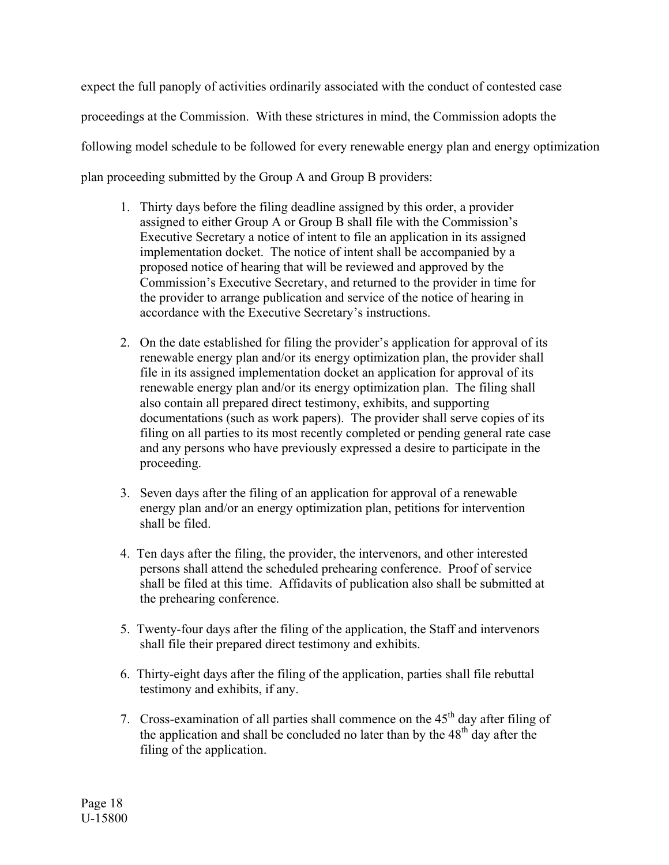expect the full panoply of activities ordinarily associated with the conduct of contested case proceedings at the Commission. With these strictures in mind, the Commission adopts the following model schedule to be followed for every renewable energy plan and energy optimization plan proceeding submitted by the Group A and Group B providers:

- 1. Thirty days before the filing deadline assigned by this order, a provider assigned to either Group A or Group B shall file with the Commission's Executive Secretary a notice of intent to file an application in its assigned implementation docket. The notice of intent shall be accompanied by a proposed notice of hearing that will be reviewed and approved by the Commission's Executive Secretary, and returned to the provider in time for the provider to arrange publication and service of the notice of hearing in accordance with the Executive Secretary's instructions.
- 2. On the date established for filing the provider's application for approval of its renewable energy plan and/or its energy optimization plan, the provider shall file in its assigned implementation docket an application for approval of its renewable energy plan and/or its energy optimization plan. The filing shall also contain all prepared direct testimony, exhibits, and supporting documentations (such as work papers). The provider shall serve copies of its filing on all parties to its most recently completed or pending general rate case and any persons who have previously expressed a desire to participate in the proceeding.
- 3. Seven days after the filing of an application for approval of a renewable energy plan and/or an energy optimization plan, petitions for intervention shall be filed.
- 4. Ten days after the filing, the provider, the intervenors, and other interested persons shall attend the scheduled prehearing conference. Proof of service shall be filed at this time. Affidavits of publication also shall be submitted at the prehearing conference.
- 5. Twenty-four days after the filing of the application, the Staff and intervenors shall file their prepared direct testimony and exhibits.
- 6. Thirty-eight days after the filing of the application, parties shall file rebuttal testimony and exhibits, if any.
- 7. Cross-examination of all parties shall commence on the  $45<sup>th</sup>$  day after filing of the application and shall be concluded no later than by the  $48<sup>th</sup>$  day after the filing of the application.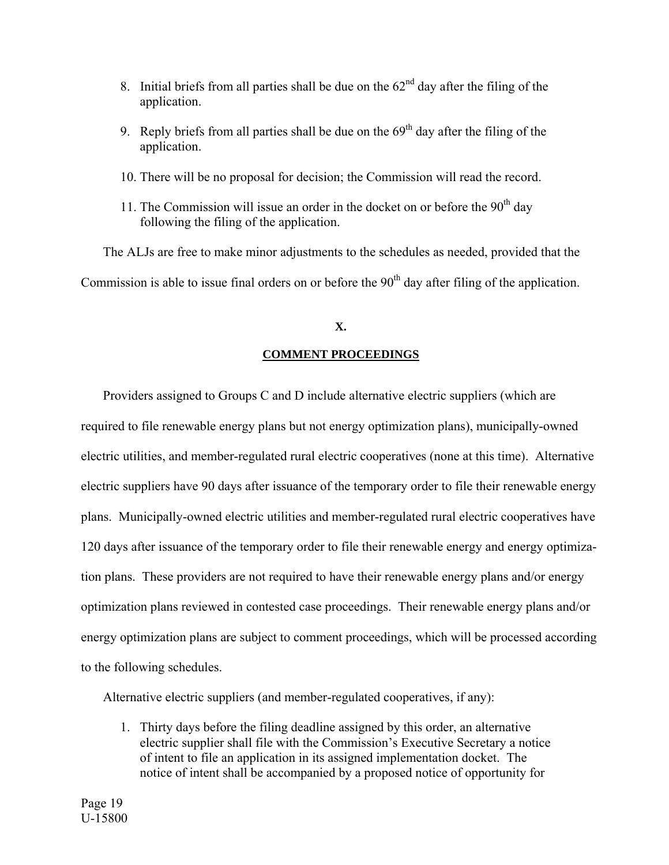- 8. Initial briefs from all parties shall be due on the  $62<sup>nd</sup>$  day after the filing of the application.
- 9. Reply briefs from all parties shall be due on the  $69<sup>th</sup>$  day after the filing of the application.
- 10. There will be no proposal for decision; the Commission will read the record.
- 11. The Commission will issue an order in the docket on or before the  $90<sup>th</sup>$  day following the filing of the application.

 The ALJs are free to make minor adjustments to the schedules as needed, provided that the Commission is able to issue final orders on or before the  $90<sup>th</sup>$  day after filing of the application.

# **X.**

# **COMMENT PROCEEDINGS**

 Providers assigned to Groups C and D include alternative electric suppliers (which are required to file renewable energy plans but not energy optimization plans), municipally-owned electric utilities, and member-regulated rural electric cooperatives (none at this time). Alternative electric suppliers have 90 days after issuance of the temporary order to file their renewable energy plans. Municipally-owned electric utilities and member-regulated rural electric cooperatives have 120 days after issuance of the temporary order to file their renewable energy and energy optimization plans. These providers are not required to have their renewable energy plans and/or energy optimization plans reviewed in contested case proceedings. Their renewable energy plans and/or energy optimization plans are subject to comment proceedings, which will be processed according to the following schedules.

Alternative electric suppliers (and member-regulated cooperatives, if any):

1. Thirty days before the filing deadline assigned by this order, an alternative electric supplier shall file with the Commission's Executive Secretary a notice of intent to file an application in its assigned implementation docket. The notice of intent shall be accompanied by a proposed notice of opportunity for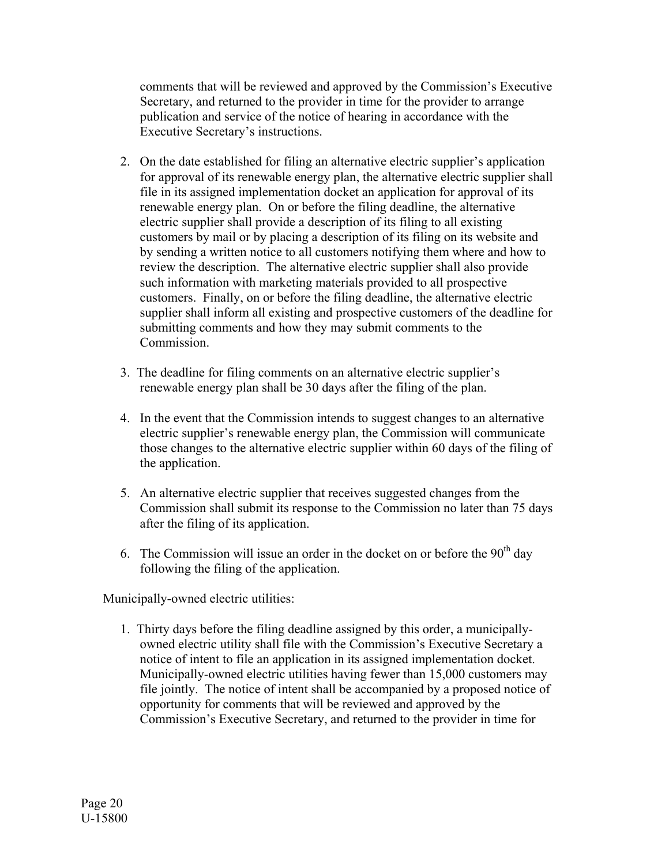comments that will be reviewed and approved by the Commission's Executive Secretary, and returned to the provider in time for the provider to arrange publication and service of the notice of hearing in accordance with the Executive Secretary's instructions.

- 2. On the date established for filing an alternative electric supplier's application for approval of its renewable energy plan, the alternative electric supplier shall file in its assigned implementation docket an application for approval of its renewable energy plan. On or before the filing deadline, the alternative electric supplier shall provide a description of its filing to all existing customers by mail or by placing a description of its filing on its website and by sending a written notice to all customers notifying them where and how to review the description. The alternative electric supplier shall also provide such information with marketing materials provided to all prospective customers. Finally, on or before the filing deadline, the alternative electric supplier shall inform all existing and prospective customers of the deadline for submitting comments and how they may submit comments to the Commission.
- 3. The deadline for filing comments on an alternative electric supplier's renewable energy plan shall be 30 days after the filing of the plan.
- 4. In the event that the Commission intends to suggest changes to an alternative electric supplier's renewable energy plan, the Commission will communicate those changes to the alternative electric supplier within 60 days of the filing of the application.
- 5. An alternative electric supplier that receives suggested changes from the Commission shall submit its response to the Commission no later than 75 days after the filing of its application.
- 6. The Commission will issue an order in the docket on or before the  $90<sup>th</sup>$  day following the filing of the application.

Municipally-owned electric utilities:

1. Thirty days before the filing deadline assigned by this order, a municipallyowned electric utility shall file with the Commission's Executive Secretary a notice of intent to file an application in its assigned implementation docket. Municipally-owned electric utilities having fewer than 15,000 customers may file jointly. The notice of intent shall be accompanied by a proposed notice of opportunity for comments that will be reviewed and approved by the Commission's Executive Secretary, and returned to the provider in time for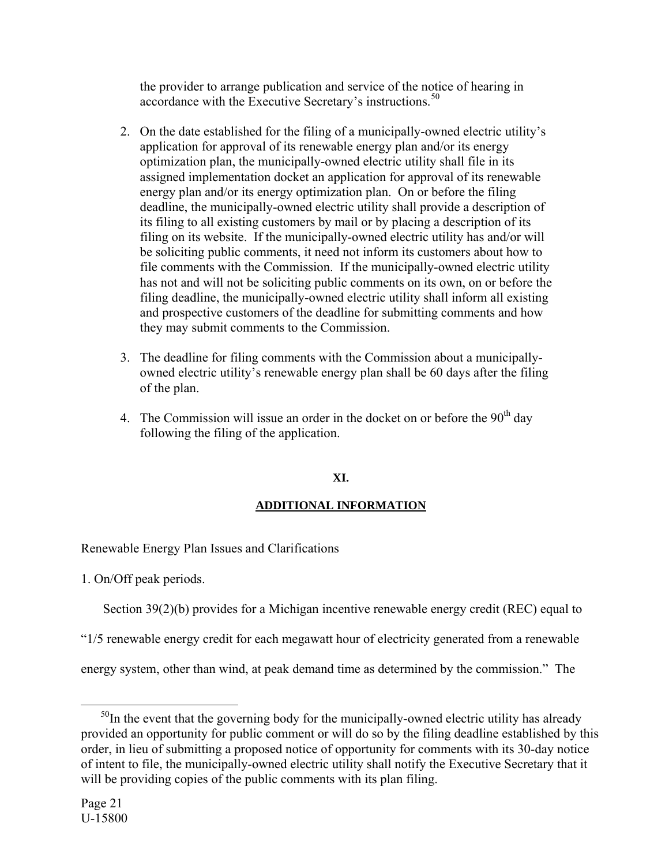the provider to arrange publication and service of the notice of hearing in accordance with the Executive Secretary's instructions.<sup>[50](#page-20-0)</sup>

- 2. On the date established for the filing of a municipally-owned electric utility's application for approval of its renewable energy plan and/or its energy optimization plan, the municipally-owned electric utility shall file in its assigned implementation docket an application for approval of its renewable energy plan and/or its energy optimization plan. On or before the filing deadline, the municipally-owned electric utility shall provide a description of its filing to all existing customers by mail or by placing a description of its filing on its website. If the municipally-owned electric utility has and/or will be soliciting public comments, it need not inform its customers about how to file comments with the Commission. If the municipally-owned electric utility has not and will not be soliciting public comments on its own, on or before the filing deadline, the municipally-owned electric utility shall inform all existing and prospective customers of the deadline for submitting comments and how they may submit comments to the Commission.
- 3. The deadline for filing comments with the Commission about a municipallyowned electric utility's renewable energy plan shall be 60 days after the filing of the plan.
- 4. The Commission will issue an order in the docket on or before the  $90<sup>th</sup>$  day following the filing of the application.

# **XI.**

# **ADDITIONAL INFORMATION**

Renewable Energy Plan Issues and Clarifications

1. On/Off peak periods.

Section 39(2)(b) provides for a Michigan incentive renewable energy credit (REC) equal to

"1/5 renewable energy credit for each megawatt hour of electricity generated from a renewable

energy system, other than wind, at peak demand time as determined by the commission." The

<span id="page-20-0"></span> $50$ In the event that the governing body for the municipally-owned electric utility has already provided an opportunity for public comment or will do so by the filing deadline established by this order, in lieu of submitting a proposed notice of opportunity for comments with its 30-day notice of intent to file, the municipally-owned electric utility shall notify the Executive Secretary that it will be providing copies of the public comments with its plan filing.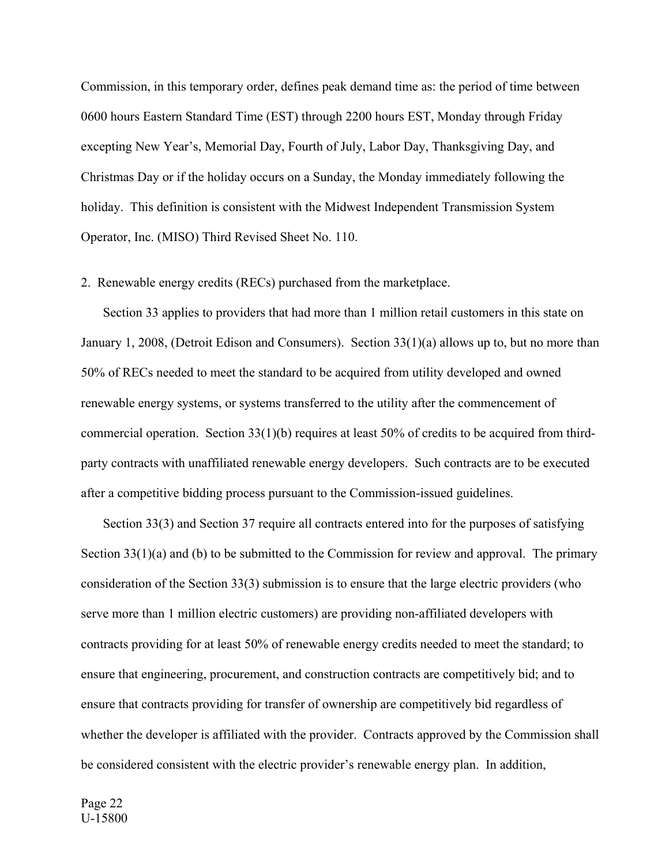Commission, in this temporary order, defines peak demand time as: the period of time between 0600 hours Eastern Standard Time (EST) through 2200 hours EST, Monday through Friday excepting New Year's, Memorial Day, Fourth of July, Labor Day, Thanksgiving Day, and Christmas Day or if the holiday occurs on a Sunday, the Monday immediately following the holiday. This definition is consistent with the Midwest Independent Transmission System Operator, Inc. (MISO) Third Revised Sheet No. 110.

### 2. Renewable energy credits (RECs) purchased from the marketplace.

 Section 33 applies to providers that had more than 1 million retail customers in this state on January 1, 2008, (Detroit Edison and Consumers). Section 33(1)(a) allows up to, but no more than 50% of RECs needed to meet the standard to be acquired from utility developed and owned renewable energy systems, or systems transferred to the utility after the commencement of commercial operation. Section  $33(1)(b)$  requires at least  $50\%$  of credits to be acquired from thirdparty contracts with unaffiliated renewable energy developers. Such contracts are to be executed after a competitive bidding process pursuant to the Commission-issued guidelines.

 Section 33(3) and Section 37 require all contracts entered into for the purposes of satisfying Section 33(1)(a) and (b) to be submitted to the Commission for review and approval. The primary consideration of the Section 33(3) submission is to ensure that the large electric providers (who serve more than 1 million electric customers) are providing non-affiliated developers with contracts providing for at least 50% of renewable energy credits needed to meet the standard; to ensure that engineering, procurement, and construction contracts are competitively bid; and to ensure that contracts providing for transfer of ownership are competitively bid regardless of whether the developer is affiliated with the provider. Contracts approved by the Commission shall be considered consistent with the electric provider's renewable energy plan. In addition,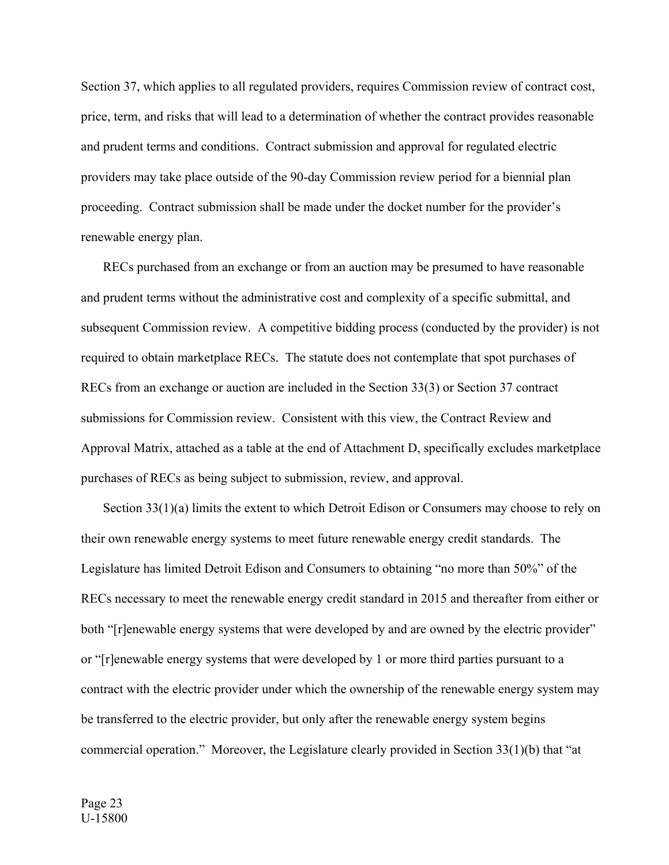Section 37, which applies to all regulated providers, requires Commission review of contract cost, price, term, and risks that will lead to a determination of whether the contract provides reasonable and prudent terms and conditions. Contract submission and approval for regulated electric providers may take place outside of the 90-day Commission review period for a biennial plan proceeding. Contract submission shall be made under the docket number for the provider's renewable energy plan.

 RECs purchased from an exchange or from an auction may be presumed to have reasonable and prudent terms without the administrative cost and complexity of a specific submittal, and subsequent Commission review. A competitive bidding process (conducted by the provider) is not required to obtain marketplace RECs. The statute does not contemplate that spot purchases of RECs from an exchange or auction are included in the Section 33(3) or Section 37 contract submissions for Commission review. Consistent with this view, the Contract Review and Approval Matrix, attached as a table at the end of Attachment D, specifically excludes marketplace purchases of RECs as being subject to submission, review, and approval.

 Section 33(1)(a) limits the extent to which Detroit Edison or Consumers may choose to rely on their own renewable energy systems to meet future renewable energy credit standards. The Legislature has limited Detroit Edison and Consumers to obtaining "no more than 50%" of the RECs necessary to meet the renewable energy credit standard in 2015 and thereafter from either or both "[r]enewable energy systems that were developed by and are owned by the electric provider" or "[r]enewable energy systems that were developed by 1 or more third parties pursuant to a contract with the electric provider under which the ownership of the renewable energy system may be transferred to the electric provider, but only after the renewable energy system begins commercial operation." Moreover, the Legislature clearly provided in Section 33(1)(b) that "at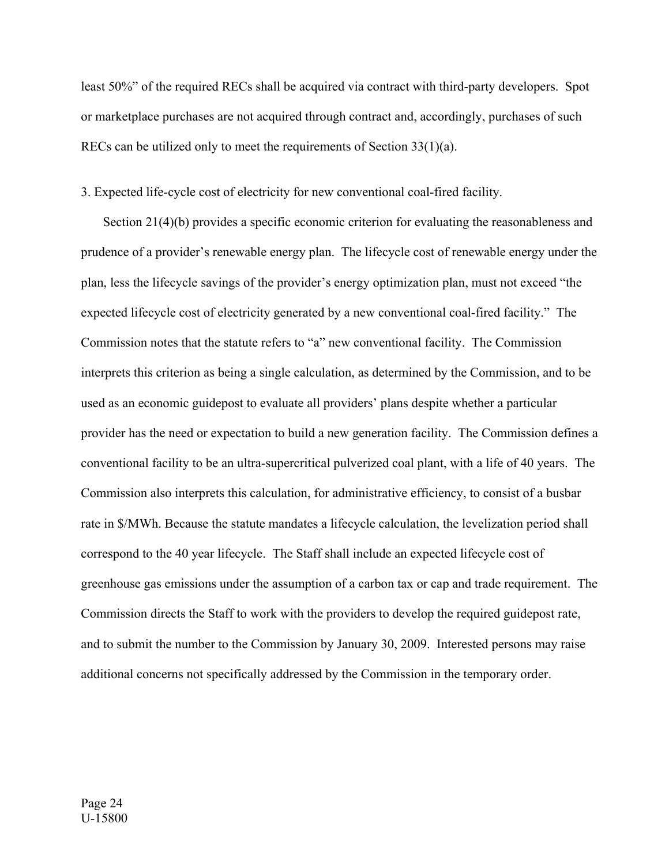least 50%" of the required RECs shall be acquired via contract with third-party developers. Spot or marketplace purchases are not acquired through contract and, accordingly, purchases of such RECs can be utilized only to meet the requirements of Section 33(1)(a).

# 3. Expected life-cycle cost of electricity for new conventional coal-fired facility.

Section 21(4)(b) provides a specific economic criterion for evaluating the reasonableness and prudence of a provider's renewable energy plan. The lifecycle cost of renewable energy under the plan, less the lifecycle savings of the provider's energy optimization plan, must not exceed "the expected lifecycle cost of electricity generated by a new conventional coal-fired facility." The Commission notes that the statute refers to "a" new conventional facility. The Commission interprets this criterion as being a single calculation, as determined by the Commission, and to be used as an economic guidepost to evaluate all providers' plans despite whether a particular provider has the need or expectation to build a new generation facility. The Commission defines a conventional facility to be an ultra-supercritical pulverized coal plant, with a life of 40 years. The Commission also interprets this calculation, for administrative efficiency, to consist of a busbar rate in \$/MWh. Because the statute mandates a lifecycle calculation, the levelization period shall correspond to the 40 year lifecycle. The Staff shall include an expected lifecycle cost of greenhouse gas emissions under the assumption of a carbon tax or cap and trade requirement. The Commission directs the Staff to work with the providers to develop the required guidepost rate, and to submit the number to the Commission by January 30, 2009. Interested persons may raise additional concerns not specifically addressed by the Commission in the temporary order.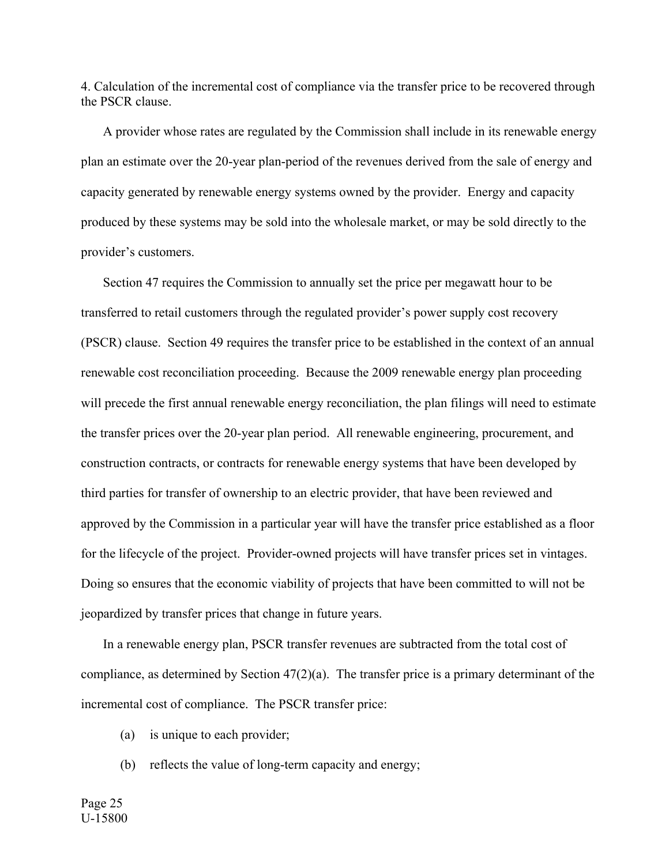4. Calculation of the incremental cost of compliance via the transfer price to be recovered through the PSCR clause.

 A provider whose rates are regulated by the Commission shall include in its renewable energy plan an estimate over the 20-year plan-period of the revenues derived from the sale of energy and capacity generated by renewable energy systems owned by the provider. Energy and capacity produced by these systems may be sold into the wholesale market, or may be sold directly to the provider's customers.

 Section 47 requires the Commission to annually set the price per megawatt hour to be transferred to retail customers through the regulated provider's power supply cost recovery (PSCR) clause. Section 49 requires the transfer price to be established in the context of an annual renewable cost reconciliation proceeding. Because the 2009 renewable energy plan proceeding will precede the first annual renewable energy reconciliation, the plan filings will need to estimate the transfer prices over the 20-year plan period. All renewable engineering, procurement, and construction contracts, or contracts for renewable energy systems that have been developed by third parties for transfer of ownership to an electric provider, that have been reviewed and approved by the Commission in a particular year will have the transfer price established as a floor for the lifecycle of the project. Provider-owned projects will have transfer prices set in vintages. Doing so ensures that the economic viability of projects that have been committed to will not be jeopardized by transfer prices that change in future years.

 In a renewable energy plan, PSCR transfer revenues are subtracted from the total cost of compliance, as determined by Section 47(2)(a). The transfer price is a primary determinant of the incremental cost of compliance. The PSCR transfer price:

- (a) is unique to each provider;
- (b) reflects the value of long-term capacity and energy;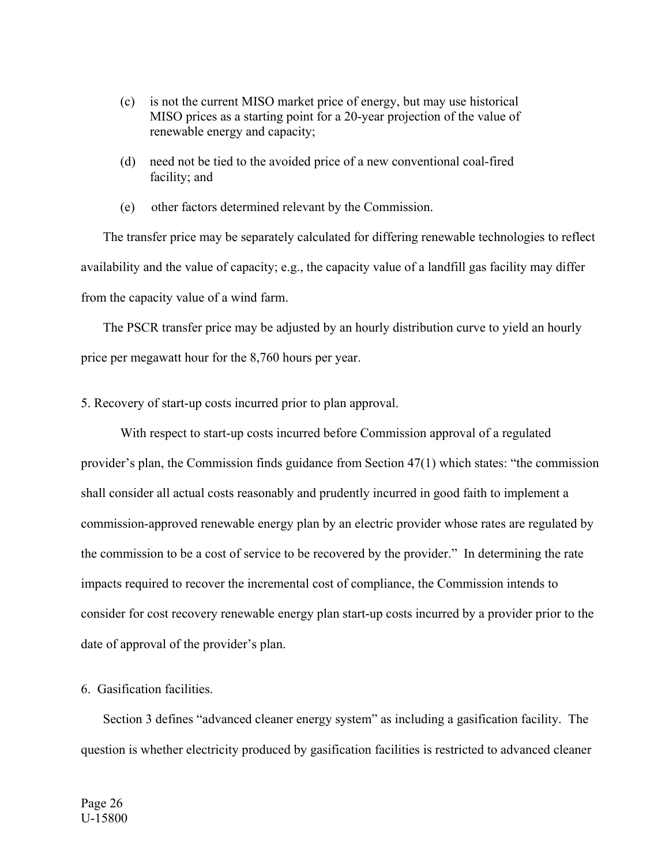- (c) is not the current MISO market price of energy, but may use historical MISO prices as a starting point for a 20-year projection of the value of renewable energy and capacity;
- (d) need not be tied to the avoided price of a new conventional coal-fired facility; and
- (e) other factors determined relevant by the Commission.

 The transfer price may be separately calculated for differing renewable technologies to reflect availability and the value of capacity; e.g., the capacity value of a landfill gas facility may differ from the capacity value of a wind farm.

 The PSCR transfer price may be adjusted by an hourly distribution curve to yield an hourly price per megawatt hour for the 8,760 hours per year.

5. Recovery of start-up costs incurred prior to plan approval.

With respect to start-up costs incurred before Commission approval of a regulated provider's plan, the Commission finds guidance from Section 47(1) which states: "the commission shall consider all actual costs reasonably and prudently incurred in good faith to implement a commission-approved renewable energy plan by an electric provider whose rates are regulated by the commission to be a cost of service to be recovered by the provider." In determining the rate impacts required to recover the incremental cost of compliance, the Commission intends to consider for cost recovery renewable energy plan start-up costs incurred by a provider prior to the date of approval of the provider's plan.

## 6. Gasification facilities.

 Section 3 defines "advanced cleaner energy system" as including a gasification facility. The question is whether electricity produced by gasification facilities is restricted to advanced cleaner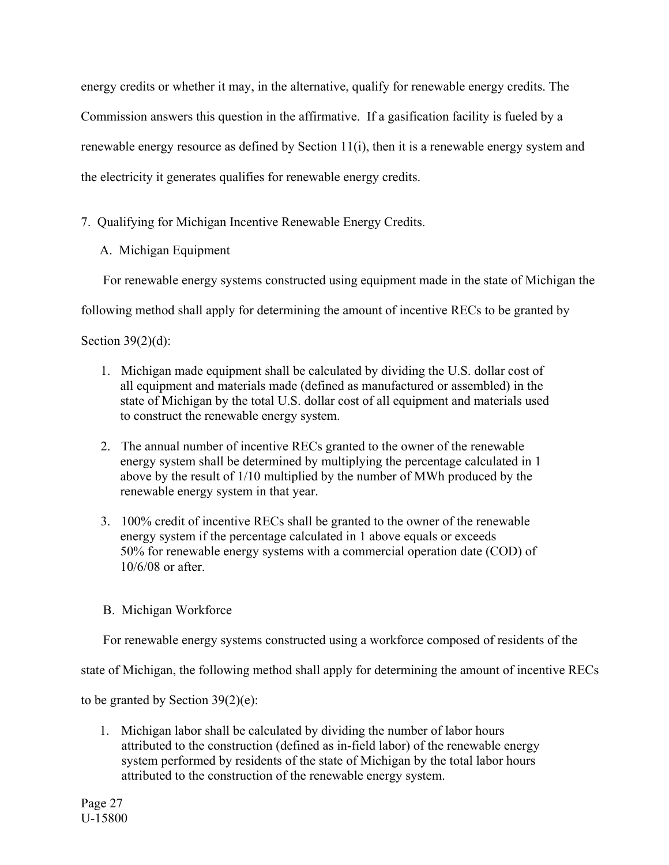energy credits or whether it may, in the alternative, qualify for renewable energy credits. The Commission answers this question in the affirmative. If a gasification facility is fueled by a renewable energy resource as defined by Section 11(i), then it is a renewable energy system and the electricity it generates qualifies for renewable energy credits.

# 7. Qualifying for Michigan Incentive Renewable Energy Credits.

A. Michigan Equipment

For renewable energy systems constructed using equipment made in the state of Michigan the

following method shall apply for determining the amount of incentive RECs to be granted by

Section  $39(2)(d)$ :

- 1. Michigan made equipment shall be calculated by dividing the U.S. dollar cost of all equipment and materials made (defined as manufactured or assembled) in the state of Michigan by the total U.S. dollar cost of all equipment and materials used to construct the renewable energy system.
- 2. The annual number of incentive RECs granted to the owner of the renewable energy system shall be determined by multiplying the percentage calculated in 1 above by the result of 1/10 multiplied by the number of MWh produced by the renewable energy system in that year.
- 3. 100% credit of incentive RECs shall be granted to the owner of the renewable energy system if the percentage calculated in 1 above equals or exceeds 50% for renewable energy systems with a commercial operation date (COD) of 10/6/08 or after.
- B. Michigan Workforce

For renewable energy systems constructed using a workforce composed of residents of the

state of Michigan, the following method shall apply for determining the amount of incentive RECs

to be granted by Section 39(2)(e):

1. Michigan labor shall be calculated by dividing the number of labor hours attributed to the construction (defined as in-field labor) of the renewable energy system performed by residents of the state of Michigan by the total labor hours attributed to the construction of the renewable energy system.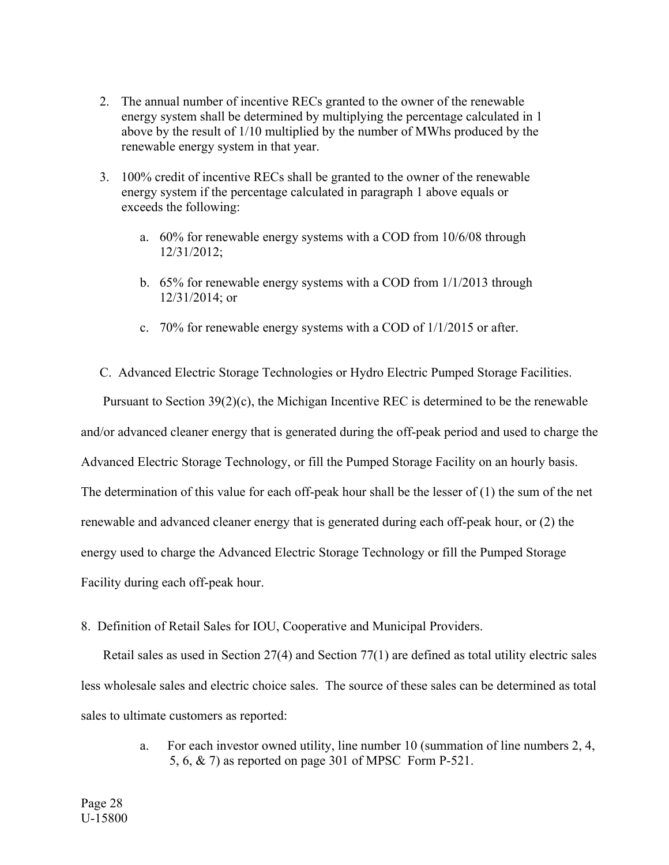- 2. The annual number of incentive RECs granted to the owner of the renewable energy system shall be determined by multiplying the percentage calculated in 1 above by the result of 1/10 multiplied by the number of MWhs produced by the renewable energy system in that year.
- 3. 100% credit of incentive RECs shall be granted to the owner of the renewable energy system if the percentage calculated in paragraph 1 above equals or exceeds the following:
	- a. 60% for renewable energy systems with a COD from 10/6/08 through 12/31/2012;
	- b. 65% for renewable energy systems with a COD from 1/1/2013 through 12/31/2014; or
	- c. 70% for renewable energy systems with a COD of 1/1/2015 or after.
- C. Advanced Electric Storage Technologies or Hydro Electric Pumped Storage Facilities.

 Pursuant to Section 39(2)(c), the Michigan Incentive REC is determined to be the renewable and/or advanced cleaner energy that is generated during the off-peak period and used to charge the Advanced Electric Storage Technology, or fill the Pumped Storage Facility on an hourly basis. The determination of this value for each off-peak hour shall be the lesser of (1) the sum of the net renewable and advanced cleaner energy that is generated during each off-peak hour, or (2) the energy used to charge the Advanced Electric Storage Technology or fill the Pumped Storage Facility during each off-peak hour.

8. Definition of Retail Sales for IOU, Cooperative and Municipal Providers.

Retail sales as used in Section 27(4) and Section 77(1) are defined as total utility electric sales less wholesale sales and electric choice sales. The source of these sales can be determined as total sales to ultimate customers as reported:

> a. For each investor owned utility, line number 10 (summation of line numbers 2, 4, 5, 6, & 7) as reported on page 301 of MPSC Form P-521.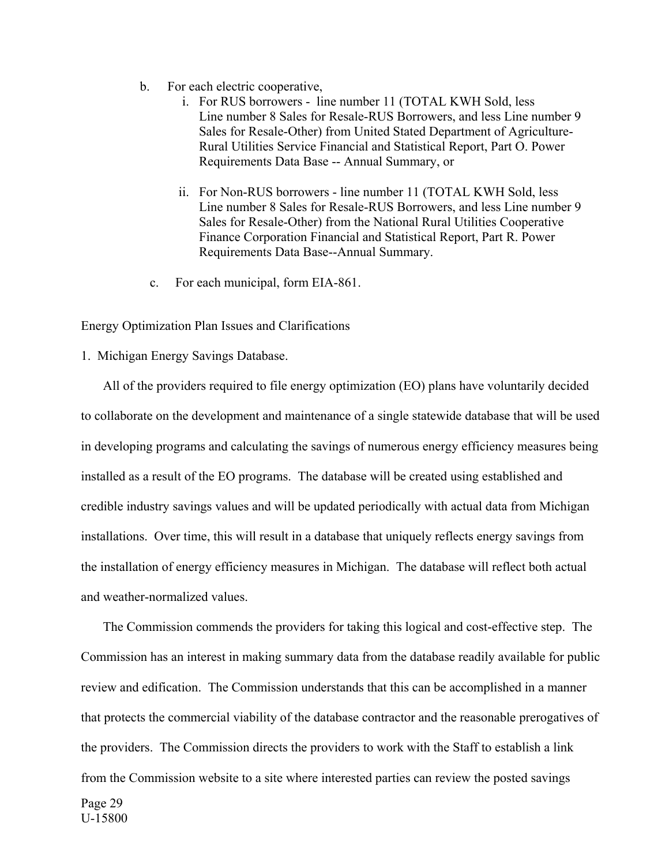- b. For each electric cooperative,
	- i. For RUS borrowers line number 11 (TOTAL KWH Sold, less Line number 8 Sales for Resale-RUS Borrowers, and less Line number 9 Sales for Resale-Other) from United Stated Department of Agriculture-Rural Utilities Service Financial and Statistical Report, Part O. Power Requirements Data Base -- Annual Summary, or
	- ii. For Non-RUS borrowers line number 11 (TOTAL KWH Sold, less Line number 8 Sales for Resale-RUS Borrowers, and less Line number 9 Sales for Resale-Other) from the National Rural Utilities Cooperative Finance Corporation Financial and Statistical Report, Part R. Power Requirements Data Base--Annual Summary.
	- c. For each municipal, form EIA-861.

Energy Optimization Plan Issues and Clarifications

1. Michigan Energy Savings Database.

 All of the providers required to file energy optimization (EO) plans have voluntarily decided to collaborate on the development and maintenance of a single statewide database that will be used in developing programs and calculating the savings of numerous energy efficiency measures being installed as a result of the EO programs. The database will be created using established and credible industry savings values and will be updated periodically with actual data from Michigan installations. Over time, this will result in a database that uniquely reflects energy savings from the installation of energy efficiency measures in Michigan. The database will reflect both actual and weather-normalized values.

 The Commission commends the providers for taking this logical and cost-effective step. The Commission has an interest in making summary data from the database readily available for public review and edification. The Commission understands that this can be accomplished in a manner that protects the commercial viability of the database contractor and the reasonable prerogatives of the providers. The Commission directs the providers to work with the Staff to establish a link from the Commission website to a site where interested parties can review the posted savings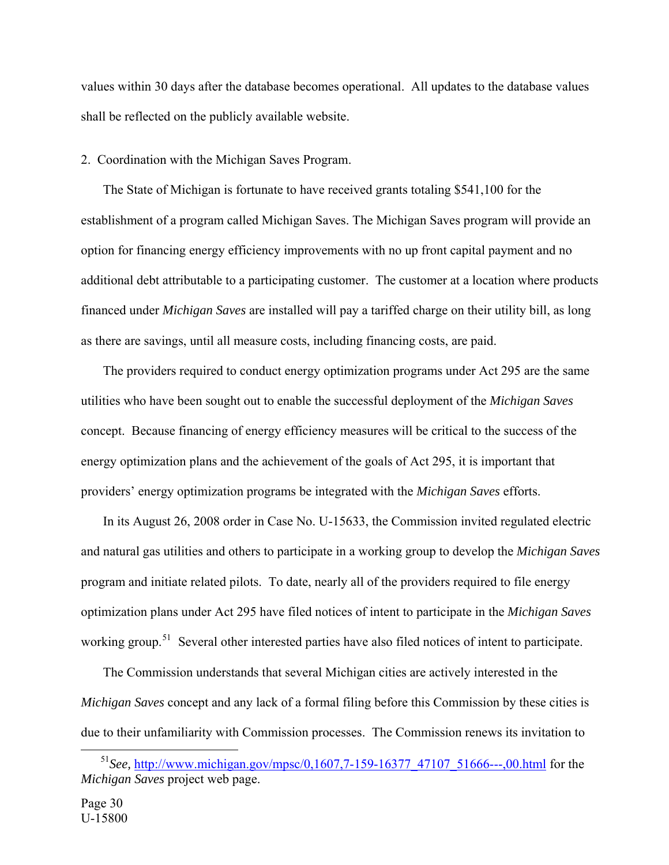values within 30 days after the database becomes operational. All updates to the database values shall be reflected on the publicly available website.

2. Coordination with the Michigan Saves Program.

 The State of Michigan is fortunate to have received grants totaling \$541,100 for the establishment of a program called Michigan Saves. The Michigan Saves program will provide an option for financing energy efficiency improvements with no up front capital payment and no additional debt attributable to a participating customer. The customer at a location where products financed under *Michigan Saves* are installed will pay a tariffed charge on their utility bill, as long as there are savings, until all measure costs, including financing costs, are paid.

 The providers required to conduct energy optimization programs under Act 295 are the same utilities who have been sought out to enable the successful deployment of the *Michigan Saves* concept. Because financing of energy efficiency measures will be critical to the success of the energy optimization plans and the achievement of the goals of Act 295, it is important that providers' energy optimization programs be integrated with the *Michigan Saves* efforts.

 In its August 26, 2008 order in Case No. U-15633, the Commission invited regulated electric and natural gas utilities and others to participate in a working group to develop the *Michigan Saves* program and initiate related pilots. To date, nearly all of the providers required to file energy optimization plans under Act 295 have filed notices of intent to participate in the *Michigan Saves* working group.<sup>[51](#page-29-0)</sup> Several other interested parties have also filed notices of intent to participate.

 The Commission understands that several Michigan cities are actively interested in the *Michigan Saves* concept and any lack of a formal filing before this Commission by these cities is due to their unfamiliarity with Commission processes. The Commission renews its invitation to

<span id="page-29-0"></span> <sup>51</sup>*See,* [http://www.michigan.gov/mpsc/0,1607,7-159-16377\\_47107\\_51666---,00.html](http://www.michigan.gov/mpsc/0,1607,7-159-16377_47107_51666---,00.html) for the *Michigan Saves* project web page.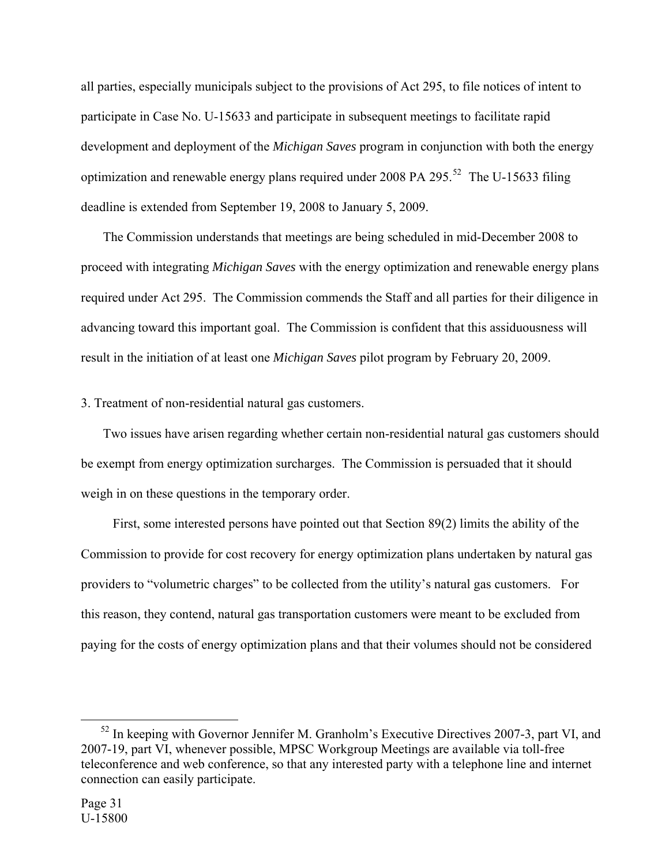all parties, especially municipals subject to the provisions of Act 295, to file notices of intent to participate in Case No. U-15633 and participate in subsequent meetings to facilitate rapid development and deployment of the *Michigan Saves* program in conjunction with both the energy optimization and renewable energy plans required under 2008 PA 295.<sup>[52](#page-30-0)</sup> The U-15633 filing deadline is extended from September 19, 2008 to January 5, 2009.

 The Commission understands that meetings are being scheduled in mid-December 2008 to proceed with integrating *Michigan Saves* with the energy optimization and renewable energy plans required under Act 295. The Commission commends the Staff and all parties for their diligence in advancing toward this important goal. The Commission is confident that this assiduousness will result in the initiation of at least one *Michigan Saves* pilot program by February 20, 2009.

3. Treatment of non-residential natural gas customers.

 Two issues have arisen regarding whether certain non-residential natural gas customers should be exempt from energy optimization surcharges. The Commission is persuaded that it should weigh in on these questions in the temporary order.

 First, some interested persons have pointed out that Section 89(2) limits the ability of the Commission to provide for cost recovery for energy optimization plans undertaken by natural gas providers to "volumetric charges" to be collected from the utility's natural gas customers. For this reason, they contend, natural gas transportation customers were meant to be excluded from paying for the costs of energy optimization plans and that their volumes should not be considered

<span id="page-30-0"></span><sup>&</sup>lt;sup>52</sup> In keeping with Governor Jennifer M. Granholm's Executive Directives 2007-3, part VI, and 2007-19, part VI, whenever possible, MPSC Workgroup Meetings are available via toll-free teleconference and web conference, so that any interested party with a telephone line and internet connection can easily participate.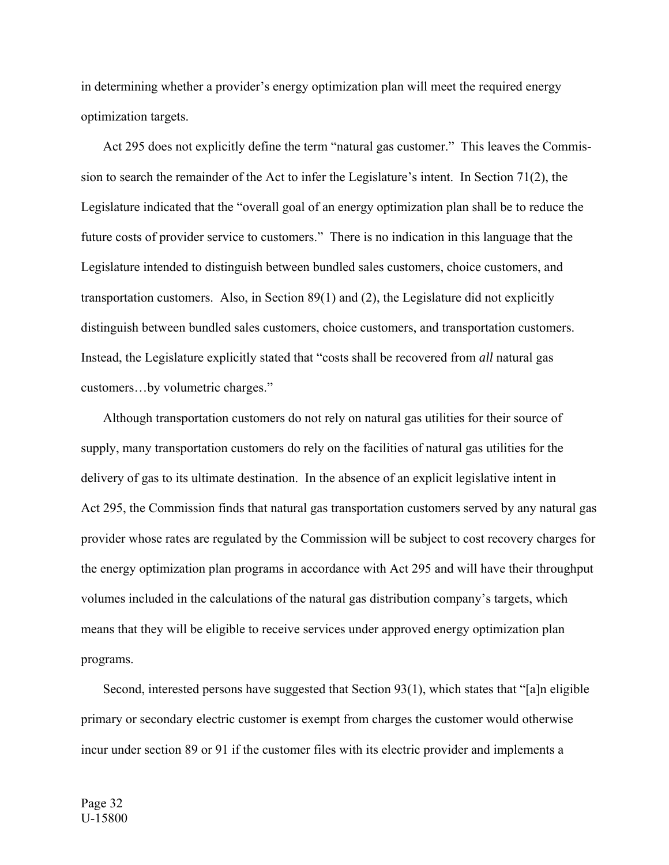in determining whether a provider's energy optimization plan will meet the required energy optimization targets.

 Act 295 does not explicitly define the term "natural gas customer." This leaves the Commission to search the remainder of the Act to infer the Legislature's intent. In Section 71(2), the Legislature indicated that the "overall goal of an energy optimization plan shall be to reduce the future costs of provider service to customers." There is no indication in this language that the Legislature intended to distinguish between bundled sales customers, choice customers, and transportation customers. Also, in Section 89(1) and (2), the Legislature did not explicitly distinguish between bundled sales customers, choice customers, and transportation customers. Instead, the Legislature explicitly stated that "costs shall be recovered from *all* natural gas customers…by volumetric charges."

 Although transportation customers do not rely on natural gas utilities for their source of supply, many transportation customers do rely on the facilities of natural gas utilities for the delivery of gas to its ultimate destination. In the absence of an explicit legislative intent in Act 295, the Commission finds that natural gas transportation customers served by any natural gas provider whose rates are regulated by the Commission will be subject to cost recovery charges for the energy optimization plan programs in accordance with Act 295 and will have their throughput volumes included in the calculations of the natural gas distribution company's targets, which means that they will be eligible to receive services under approved energy optimization plan programs.

 Second, interested persons have suggested that Section 93(1), which states that "[a]n eligible primary or secondary electric customer is exempt from charges the customer would otherwise incur under section 89 or 91 if the customer files with its electric provider and implements a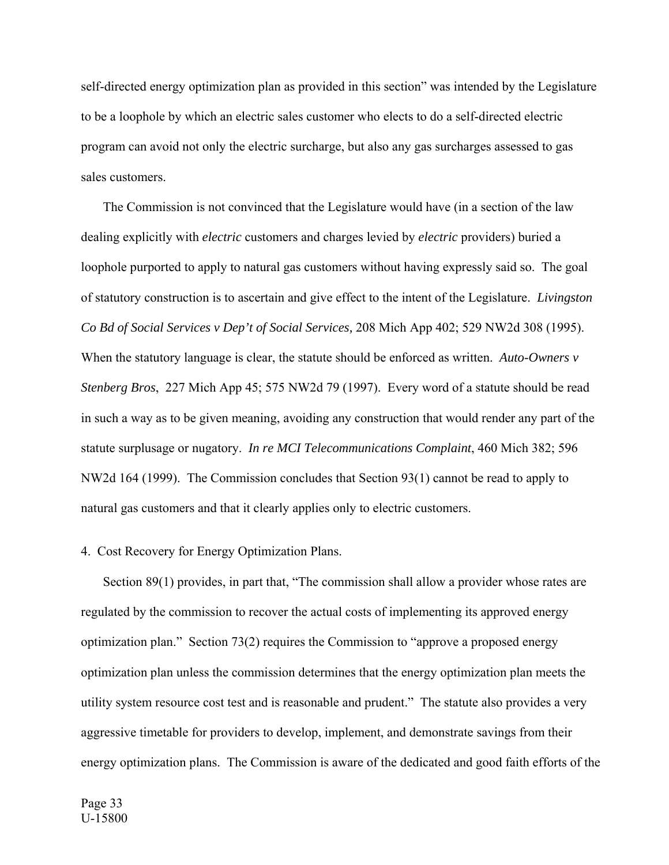self-directed energy optimization plan as provided in this section" was intended by the Legislature to be a loophole by which an electric sales customer who elects to do a self-directed electric program can avoid not only the electric surcharge, but also any gas surcharges assessed to gas sales customers.

 The Commission is not convinced that the Legislature would have (in a section of the law dealing explicitly with *electric* customers and charges levied by *electric* providers) buried a loophole purported to apply to natural gas customers without having expressly said so. The goal of statutory construction is to ascertain and give effect to the intent of the Legislature. *Livingston Co Bd of Social Services v Dep't of Social Services,* 208 Mich App 402; 529 NW2d 308 (1995). When the statutory language is clear, the statute should be enforced as written. *Auto-Owners v Stenberg Bros*, 227 Mich App 45; 575 NW2d 79 (1997). Every word of a statute should be read in such a way as to be given meaning, avoiding any construction that would render any part of the statute surplusage or nugatory. *In re MCI Telecommunications Complaint*, 460 Mich 382; 596 NW2d 164 (1999). The Commission concludes that Section 93(1) cannot be read to apply to natural gas customers and that it clearly applies only to electric customers.

## 4. Cost Recovery for Energy Optimization Plans.

Section 89(1) provides, in part that, "The commission shall allow a provider whose rates are regulated by the commission to recover the actual costs of implementing its approved energy optimization plan." Section 73(2) requires the Commission to "approve a proposed energy optimization plan unless the commission determines that the energy optimization plan meets the utility system resource cost test and is reasonable and prudent." The statute also provides a very aggressive timetable for providers to develop, implement, and demonstrate savings from their energy optimization plans. The Commission is aware of the dedicated and good faith efforts of the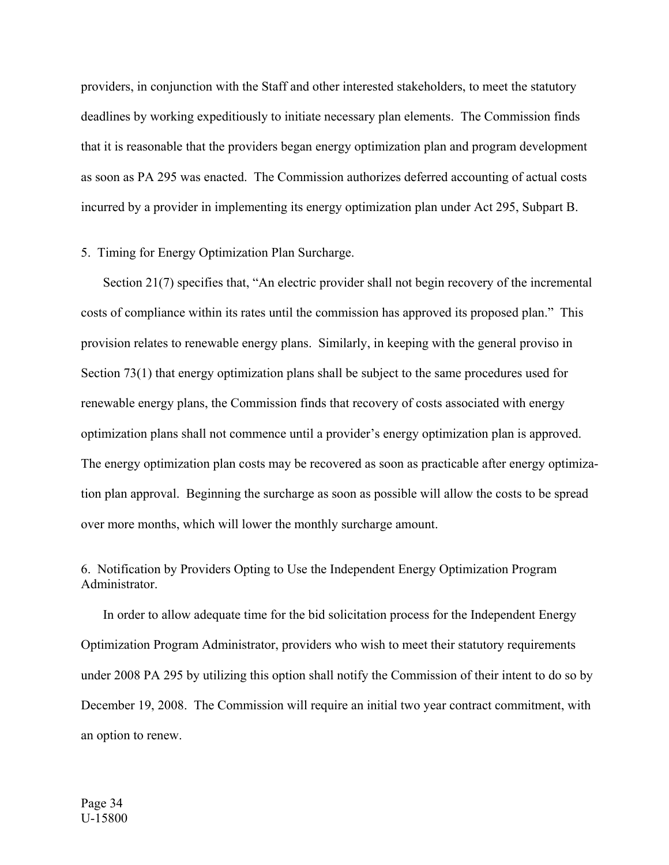providers, in conjunction with the Staff and other interested stakeholders, to meet the statutory deadlines by working expeditiously to initiate necessary plan elements. The Commission finds that it is reasonable that the providers began energy optimization plan and program development as soon as PA 295 was enacted. The Commission authorizes deferred accounting of actual costs incurred by a provider in implementing its energy optimization plan under Act 295, Subpart B.

# 5. Timing for Energy Optimization Plan Surcharge.

 Section 21(7) specifies that, "An electric provider shall not begin recovery of the incremental costs of compliance within its rates until the commission has approved its proposed plan." This provision relates to renewable energy plans. Similarly, in keeping with the general proviso in Section 73(1) that energy optimization plans shall be subject to the same procedures used for renewable energy plans, the Commission finds that recovery of costs associated with energy optimization plans shall not commence until a provider's energy optimization plan is approved. The energy optimization plan costs may be recovered as soon as practicable after energy optimization plan approval. Beginning the surcharge as soon as possible will allow the costs to be spread over more months, which will lower the monthly surcharge amount.

# 6. Notification by Providers Opting to Use the Independent Energy Optimization Program Administrator.

 In order to allow adequate time for the bid solicitation process for the Independent Energy Optimization Program Administrator, providers who wish to meet their statutory requirements under 2008 PA 295 by utilizing this option shall notify the Commission of their intent to do so by December 19, 2008. The Commission will require an initial two year contract commitment, with an option to renew.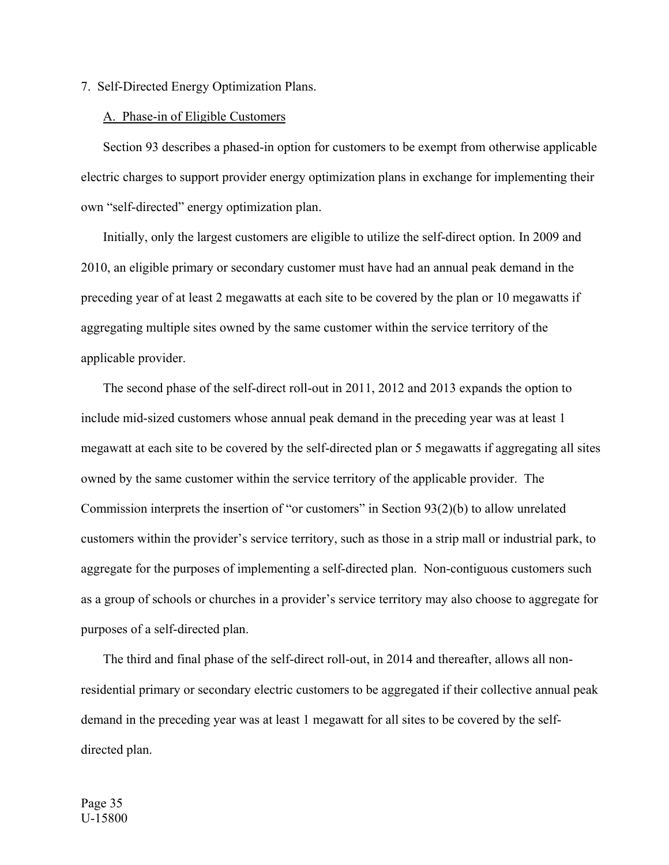7. Self-Directed Energy Optimization Plans.

### A. Phase-in of Eligible Customers

 Section 93 describes a phased-in option for customers to be exempt from otherwise applicable electric charges to support provider energy optimization plans in exchange for implementing their own "self-directed" energy optimization plan.

 Initially, only the largest customers are eligible to utilize the self-direct option. In 2009 and 2010, an eligible primary or secondary customer must have had an annual peak demand in the preceding year of at least 2 megawatts at each site to be covered by the plan or 10 megawatts if aggregating multiple sites owned by the same customer within the service territory of the applicable provider.

 The second phase of the self-direct roll-out in 2011, 2012 and 2013 expands the option to include mid-sized customers whose annual peak demand in the preceding year was at least 1 megawatt at each site to be covered by the self-directed plan or 5 megawatts if aggregating all sites owned by the same customer within the service territory of the applicable provider. The Commission interprets the insertion of "or customers" in Section 93(2)(b) to allow unrelated customers within the provider's service territory, such as those in a strip mall or industrial park, to aggregate for the purposes of implementing a self-directed plan. Non-contiguous customers such as a group of schools or churches in a provider's service territory may also choose to aggregate for purposes of a self-directed plan.

 The third and final phase of the self-direct roll-out, in 2014 and thereafter, allows all nonresidential primary or secondary electric customers to be aggregated if their collective annual peak demand in the preceding year was at least 1 megawatt for all sites to be covered by the selfdirected plan.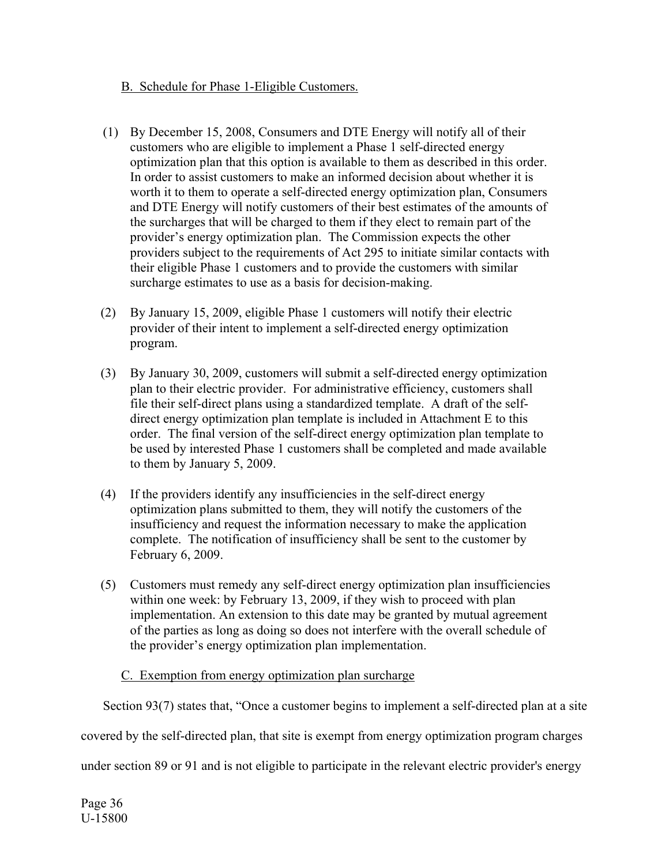# B. Schedule for Phase 1-Eligible Customers.

- (1) By December 15, 2008, Consumers and DTE Energy will notify all of their customers who are eligible to implement a Phase 1 self-directed energy optimization plan that this option is available to them as described in this order. In order to assist customers to make an informed decision about whether it is worth it to them to operate a self-directed energy optimization plan, Consumers and DTE Energy will notify customers of their best estimates of the amounts of the surcharges that will be charged to them if they elect to remain part of the provider's energy optimization plan. The Commission expects the other providers subject to the requirements of Act 295 to initiate similar contacts with their eligible Phase 1 customers and to provide the customers with similar surcharge estimates to use as a basis for decision-making.
- (2) By January 15, 2009, eligible Phase 1 customers will notify their electric provider of their intent to implement a self-directed energy optimization program.
- (3) By January 30, 2009, customers will submit a self-directed energy optimization plan to their electric provider. For administrative efficiency, customers shall file their self-direct plans using a standardized template. A draft of the selfdirect energy optimization plan template is included in Attachment E to this order. The final version of the self-direct energy optimization plan template to be used by interested Phase 1 customers shall be completed and made available to them by January 5, 2009.
- (4) If the providers identify any insufficiencies in the self-direct energy optimization plans submitted to them, they will notify the customers of the insufficiency and request the information necessary to make the application complete. The notification of insufficiency shall be sent to the customer by February 6, 2009.
- (5) Customers must remedy any self-direct energy optimization plan insufficiencies within one week: by February 13, 2009, if they wish to proceed with plan implementation. An extension to this date may be granted by mutual agreement of the parties as long as doing so does not interfere with the overall schedule of the provider's energy optimization plan implementation.

# C. Exemption from energy optimization plan surcharge

Section 93(7) states that, "Once a customer begins to implement a self-directed plan at a site

covered by the self-directed plan, that site is exempt from energy optimization program charges

under section 89 or 91 and is not eligible to participate in the relevant electric provider's energy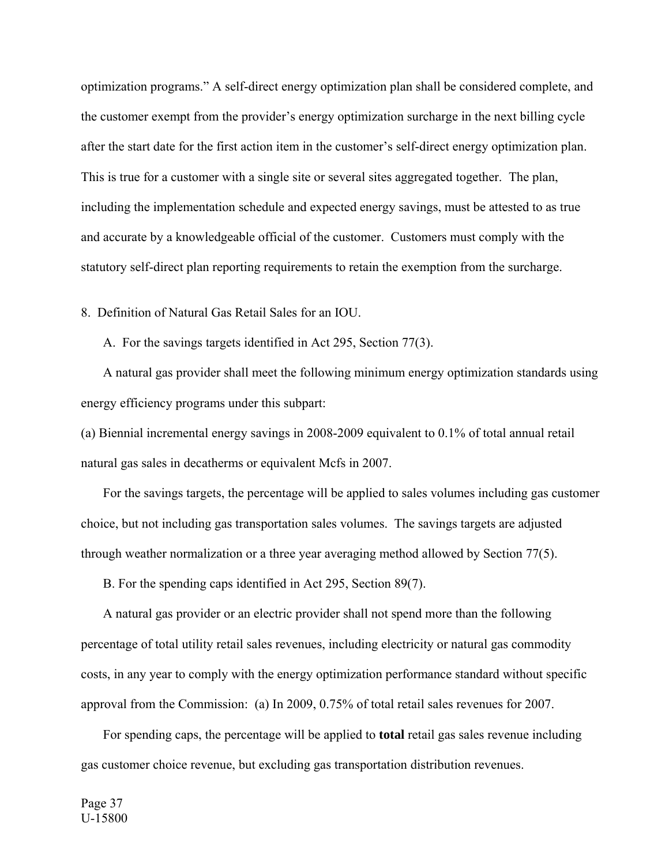optimization programs." A self-direct energy optimization plan shall be considered complete, and the customer exempt from the provider's energy optimization surcharge in the next billing cycle after the start date for the first action item in the customer's self-direct energy optimization plan. This is true for a customer with a single site or several sites aggregated together. The plan, including the implementation schedule and expected energy savings, must be attested to as true and accurate by a knowledgeable official of the customer. Customers must comply with the statutory self-direct plan reporting requirements to retain the exemption from the surcharge.

8. Definition of Natural Gas Retail Sales for an IOU.

A. For the savings targets identified in Act 295, Section 77(3).

 A natural gas provider shall meet the following minimum energy optimization standards using energy efficiency programs under this subpart:

(a) Biennial incremental energy savings in 2008-2009 equivalent to 0.1% of total annual retail natural gas sales in decatherms or equivalent Mcfs in 2007.

 For the savings targets, the percentage will be applied to sales volumes including gas customer choice, but not including gas transportation sales volumes. The savings targets are adjusted through weather normalization or a three year averaging method allowed by Section 77(5).

B. For the spending caps identified in Act 295, Section 89(7).

 A natural gas provider or an electric provider shall not spend more than the following percentage of total utility retail sales revenues, including electricity or natural gas commodity costs, in any year to comply with the energy optimization performance standard without specific approval from the Commission: (a) In 2009, 0.75% of total retail sales revenues for 2007.

 For spending caps, the percentage will be applied to **total** retail gas sales revenue including gas customer choice revenue, but excluding gas transportation distribution revenues.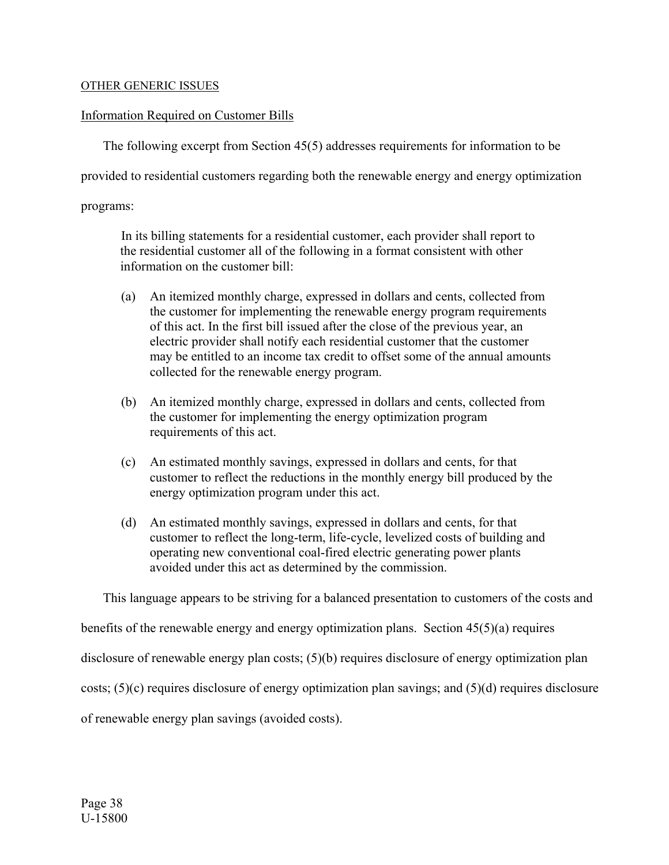#### OTHER GENERIC ISSUES

#### Information Required on Customer Bills

The following excerpt from Section 45(5) addresses requirements for information to be

provided to residential customers regarding both the renewable energy and energy optimization

programs:

 In its billing statements for a residential customer, each provider shall report to the residential customer all of the following in a format consistent with other information on the customer bill:

- (a) An itemized monthly charge, expressed in dollars and cents, collected from the customer for implementing the renewable energy program requirements of this act. In the first bill issued after the close of the previous year, an electric provider shall notify each residential customer that the customer may be entitled to an income tax credit to offset some of the annual amounts collected for the renewable energy program.
- (b) An itemized monthly charge, expressed in dollars and cents, collected from the customer for implementing the energy optimization program requirements of this act.
- (c) An estimated monthly savings, expressed in dollars and cents, for that customer to reflect the reductions in the monthly energy bill produced by the energy optimization program under this act.
- (d) An estimated monthly savings, expressed in dollars and cents, for that customer to reflect the long-term, life-cycle, levelized costs of building and operating new conventional coal-fired electric generating power plants avoided under this act as determined by the commission.

This language appears to be striving for a balanced presentation to customers of the costs and

benefits of the renewable energy and energy optimization plans. Section 45(5)(a) requires

disclosure of renewable energy plan costs; (5)(b) requires disclosure of energy optimization plan

costs; (5)(c) requires disclosure of energy optimization plan savings; and (5)(d) requires disclosure

of renewable energy plan savings (avoided costs).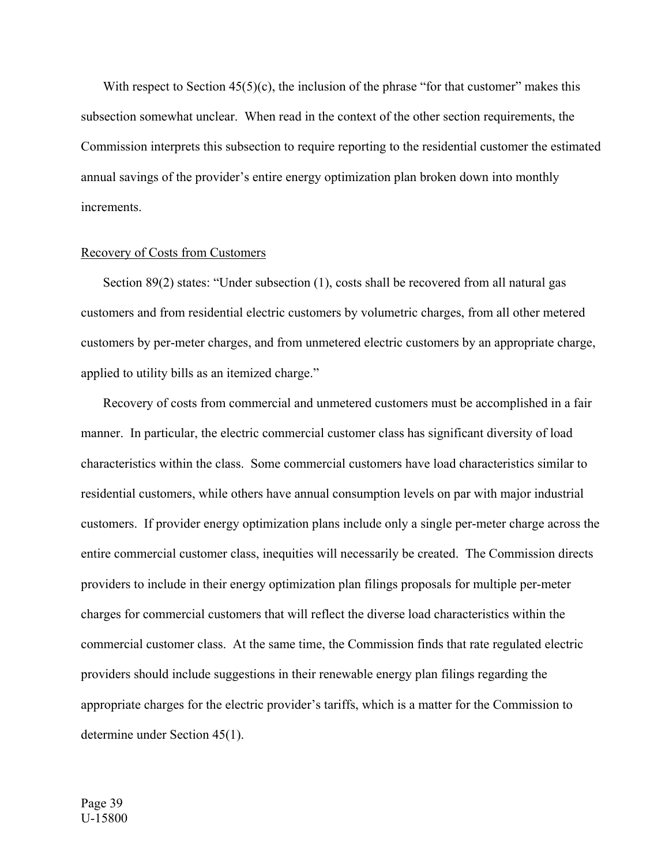With respect to Section  $45(5)(c)$ , the inclusion of the phrase "for that customer" makes this subsection somewhat unclear. When read in the context of the other section requirements, the Commission interprets this subsection to require reporting to the residential customer the estimated annual savings of the provider's entire energy optimization plan broken down into monthly increments.

#### Recovery of Costs from Customers

Section 89(2) states: "Under subsection (1), costs shall be recovered from all natural gas customers and from residential electric customers by volumetric charges, from all other metered customers by per-meter charges, and from unmetered electric customers by an appropriate charge, applied to utility bills as an itemized charge."

 Recovery of costs from commercial and unmetered customers must be accomplished in a fair manner. In particular, the electric commercial customer class has significant diversity of load characteristics within the class. Some commercial customers have load characteristics similar to residential customers, while others have annual consumption levels on par with major industrial customers. If provider energy optimization plans include only a single per-meter charge across the entire commercial customer class, inequities will necessarily be created. The Commission directs providers to include in their energy optimization plan filings proposals for multiple per-meter charges for commercial customers that will reflect the diverse load characteristics within the commercial customer class. At the same time, the Commission finds that rate regulated electric providers should include suggestions in their renewable energy plan filings regarding the appropriate charges for the electric provider's tariffs, which is a matter for the Commission to determine under Section 45(1).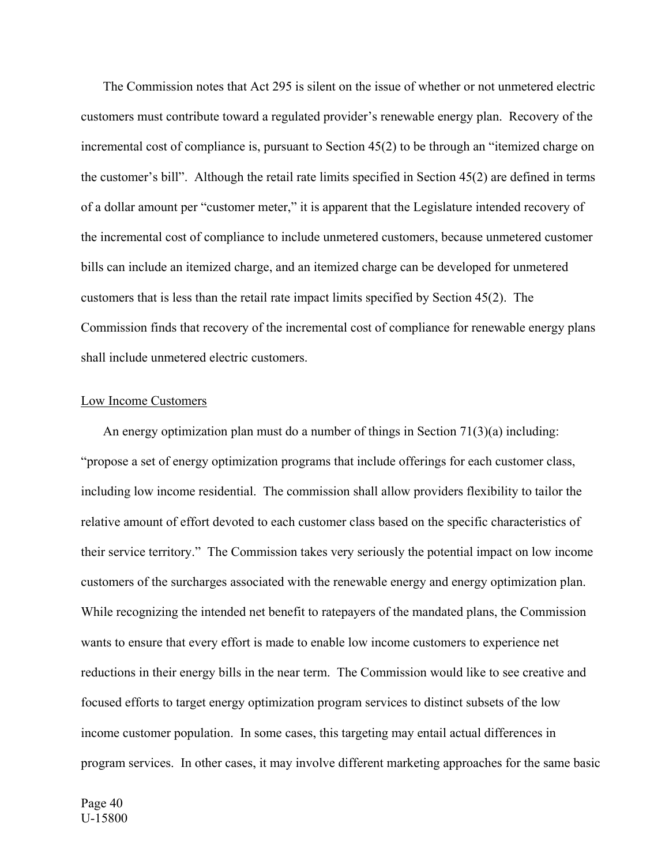The Commission notes that Act 295 is silent on the issue of whether or not unmetered electric customers must contribute toward a regulated provider's renewable energy plan. Recovery of the incremental cost of compliance is, pursuant to Section 45(2) to be through an "itemized charge on the customer's bill". Although the retail rate limits specified in Section 45(2) are defined in terms of a dollar amount per "customer meter," it is apparent that the Legislature intended recovery of the incremental cost of compliance to include unmetered customers, because unmetered customer bills can include an itemized charge, and an itemized charge can be developed for unmetered customers that is less than the retail rate impact limits specified by Section 45(2). The Commission finds that recovery of the incremental cost of compliance for renewable energy plans shall include unmetered electric customers.

#### Low Income Customers

 An energy optimization plan must do a number of things in Section 71(3)(a) including: "propose a set of energy optimization programs that include offerings for each customer class, including low income residential. The commission shall allow providers flexibility to tailor the relative amount of effort devoted to each customer class based on the specific characteristics of their service territory." The Commission takes very seriously the potential impact on low income customers of the surcharges associated with the renewable energy and energy optimization plan. While recognizing the intended net benefit to ratepayers of the mandated plans, the Commission wants to ensure that every effort is made to enable low income customers to experience net reductions in their energy bills in the near term. The Commission would like to see creative and focused efforts to target energy optimization program services to distinct subsets of the low income customer population. In some cases, this targeting may entail actual differences in program services. In other cases, it may involve different marketing approaches for the same basic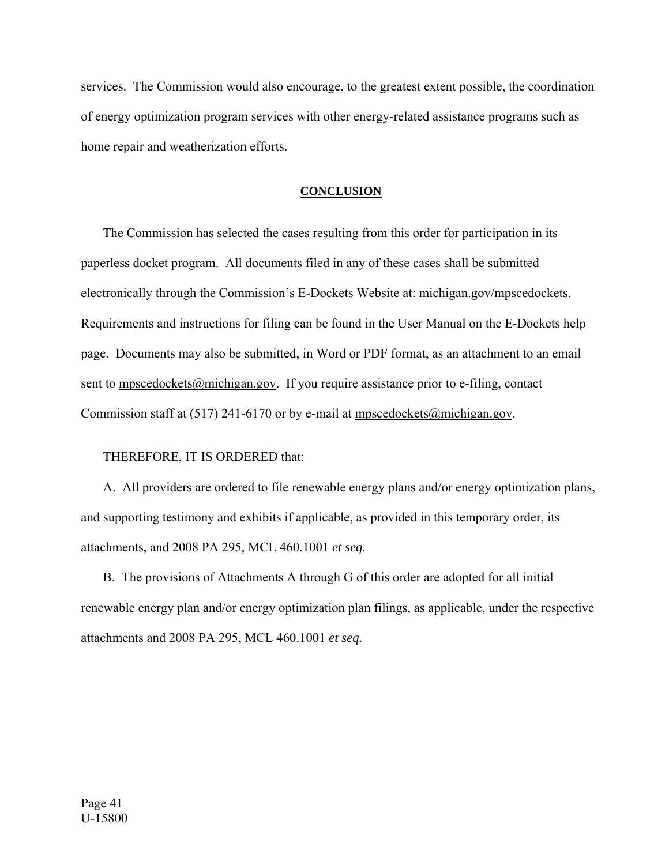services. The Commission would also encourage, to the greatest extent possible, the coordination of energy optimization program services with other energy-related assistance programs such as home repair and weatherization efforts.

#### **CONCLUSION**

 The Commission has selected the cases resulting from this order for participation in its paperless docket program. All documents filed in any of these cases shall be submitted electronically through the Commission's E-Dockets Website at: michigan.gov/mpscedockets. Requirements and instructions for filing can be found in the User Manual on the E-Dockets help page. Documents may also be submitted, in Word or PDF format, as an attachment to an email sent to mpscedockets@michigan.gov. If you require assistance prior to e-filing, contact Commission staff at (517) 241-6170 or by e-mail at  $m$ pscedockets@michigan.gov.

THEREFORE, IT IS ORDERED that:

 A. All providers are ordered to file renewable energy plans and/or energy optimization plans, and supporting testimony and exhibits if applicable, as provided in this temporary order, its attachments, and 2008 PA 295, MCL 460.1001 *et seq.*

 B. The provisions of Attachments A through G of this order are adopted for all initial renewable energy plan and/or energy optimization plan filings, as applicable, under the respective attachments and 2008 PA 295, MCL 460.1001 *et seq.*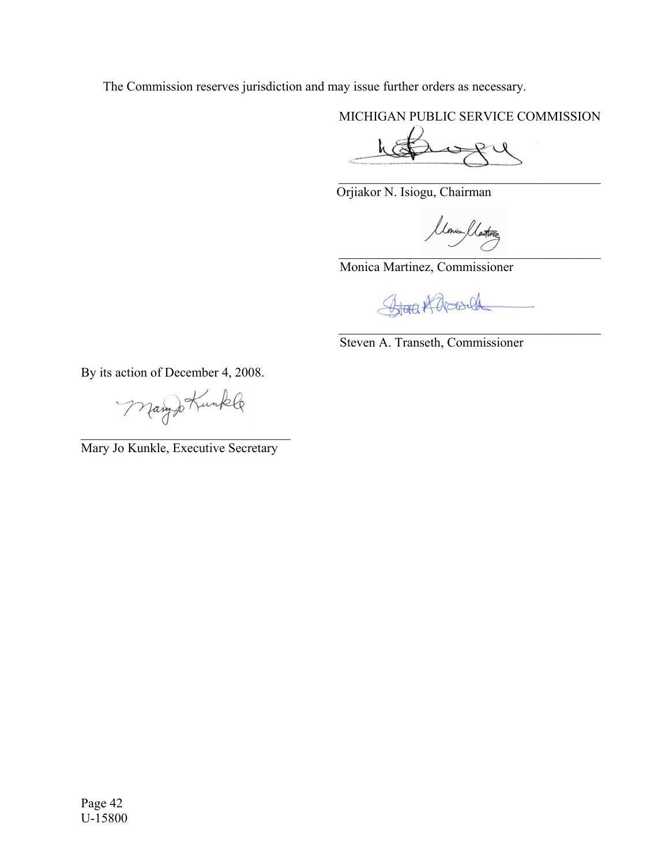The Commission reserves jurisdiction and may issue further orders as necessary.

MICHIGAN PUBLIC SERVICE COMMISSION

 $\mathcal{L}_\text{max}$  and  $\mathcal{L}_\text{max}$  and  $\mathcal{L}_\text{max}$  and  $\mathcal{L}_\text{max}$ 

het yga

Orjiakor N. Isiogu, Chairman

 $\overline{\phantom{a}}$ 

Monica Martinez, Commissioner

Stora Karola

\_\_\_\_\_\_\_\_\_\_\_\_\_\_\_\_\_\_\_\_\_\_\_\_\_\_\_\_\_\_\_\_\_\_\_\_\_\_\_\_

Steven A. Transeth, Commissioner

By its action of December 4, 2008.

Manyo Kunkle  $\overline{\phantom{a}}$  , and the set of the set of the set of the set of the set of the set of the set of the set of the set of the set of the set of the set of the set of the set of the set of the set of the set of the set of the s

Mary Jo Kunkle, Executive Secretary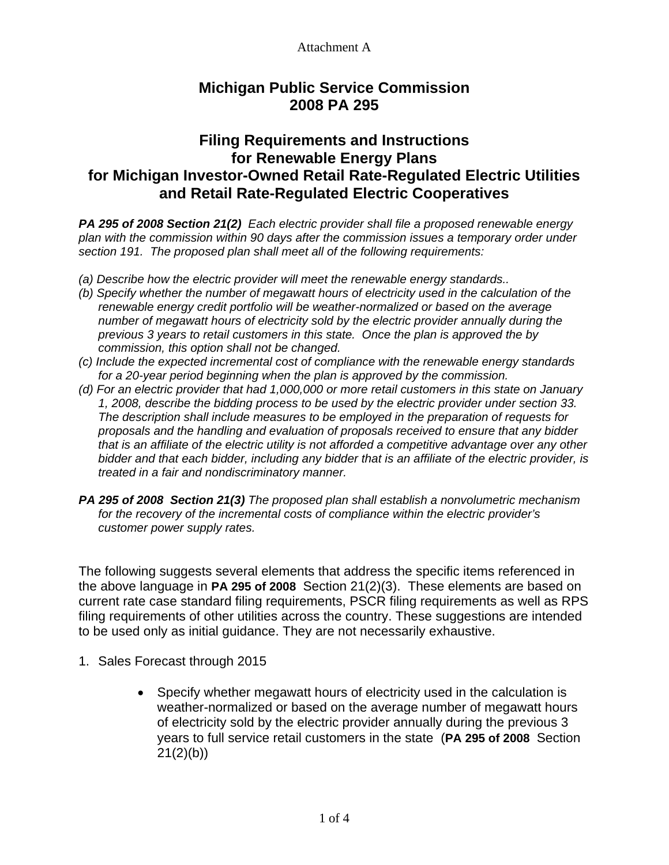# **Michigan Public Service Commission 2008 PA 295**

# **Filing Requirements and Instructions for Renewable Energy Plans for Michigan Investor-Owned Retail Rate-Regulated Electric Utilities and Retail Rate-Regulated Electric Cooperatives**

*PA 295 of 2008 Section 21(2) Each electric provider shall file a proposed renewable energy plan with the commission within 90 days after the commission issues a temporary order under section 191. The proposed plan shall meet all of the following requirements:* 

- *(a) Describe how the electric provider will meet the renewable energy standards..*
- *(b) Specify whether the number of megawatt hours of electricity used in the calculation of the renewable energy credit portfolio will be weather-normalized or based on the average number of megawatt hours of electricity sold by the electric provider annually during the previous 3 years to retail customers in this state. Once the plan is approved the by commission, this option shall not be changed.*
- *(c) Include the expected incremental cost of compliance with the renewable energy standards for a 20-year period beginning when the plan is approved by the commission.*
- *(d) For an electric provider that had 1,000,000 or more retail customers in this state on January 1, 2008, describe the bidding process to be used by the electric provider under section 33. The description shall include measures to be employed in the preparation of requests for proposals and the handling and evaluation of proposals received to ensure that any bidder that is an affiliate of the electric utility is not afforded a competitive advantage over any other bidder and that each bidder, including any bidder that is an affiliate of the electric provider, is treated in a fair and nondiscriminatory manner.*
- *PA 295 of 2008 Section 21(3) The proposed plan shall establish a nonvolumetric mechanism for the recovery of the incremental costs of compliance within the electric provider's customer power supply rates.*

The following suggests several elements that address the specific items referenced in the above language in **PA 295 of 2008** Section 21(2)(3). These elements are based on current rate case standard filing requirements, PSCR filing requirements as well as RPS filing requirements of other utilities across the country. These suggestions are intended to be used only as initial guidance. They are not necessarily exhaustive.

- 1. Sales Forecast through 2015
	- Specify whether megawatt hours of electricity used in the calculation is weather-normalized or based on the average number of megawatt hours of electricity sold by the electric provider annually during the previous 3 years to full service retail customers in the state (**PA 295 of 2008** Section  $21(2)(b)$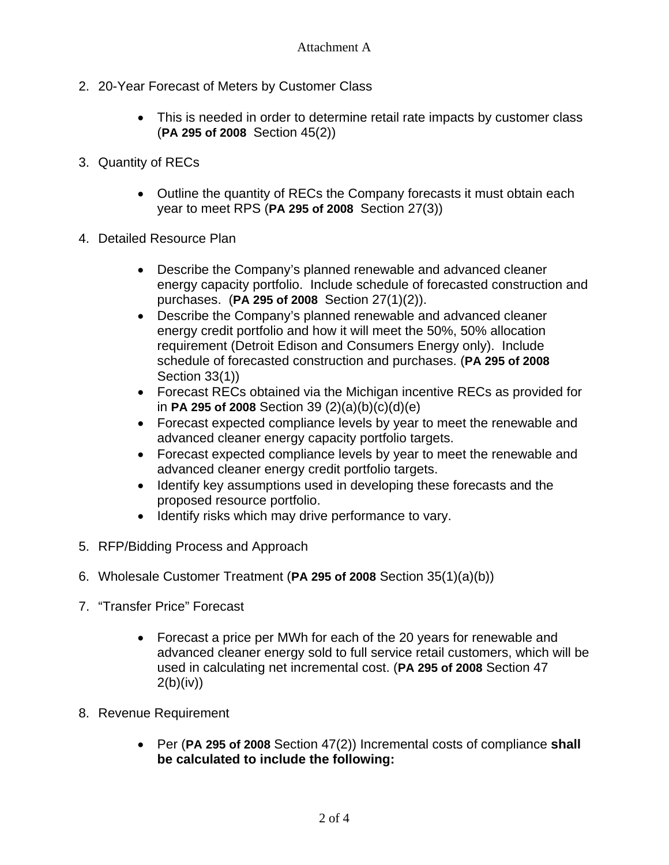- 2. 20-Year Forecast of Meters by Customer Class
	- This is needed in order to determine retail rate impacts by customer class (**PA 295 of 2008** Section 45(2))
- 3. Quantity of RECs
	- Outline the quantity of RECs the Company forecasts it must obtain each year to meet RPS (**PA 295 of 2008** Section 27(3))
- 4. Detailed Resource Plan
	- Describe the Company's planned renewable and advanced cleaner energy capacity portfolio. Include schedule of forecasted construction and purchases. (**PA 295 of 2008** Section 27(1)(2)).
	- Describe the Company's planned renewable and advanced cleaner energy credit portfolio and how it will meet the 50%, 50% allocation requirement (Detroit Edison and Consumers Energy only). Include schedule of forecasted construction and purchases. (**PA 295 of 2008** Section 33(1))
	- Forecast RECs obtained via the Michigan incentive RECs as provided for in **PA 295 of 2008** Section 39 (2)(a)(b)(c)(d)(e)
	- Forecast expected compliance levels by year to meet the renewable and advanced cleaner energy capacity portfolio targets.
	- Forecast expected compliance levels by year to meet the renewable and advanced cleaner energy credit portfolio targets.
	- Identify key assumptions used in developing these forecasts and the proposed resource portfolio.
	- Identify risks which may drive performance to vary.
- 5. RFP/Bidding Process and Approach
- 6. Wholesale Customer Treatment (**PA 295 of 2008** Section 35(1)(a)(b))
- 7. "Transfer Price" Forecast
	- Forecast a price per MWh for each of the 20 years for renewable and advanced cleaner energy sold to full service retail customers, which will be used in calculating net incremental cost. (**PA 295 of 2008** Section 47  $2(b)(iv))$
- 8. Revenue Requirement
	- Per (**PA 295 of 2008** Section 47(2)) Incremental costs of compliance **shall be calculated to include the following:**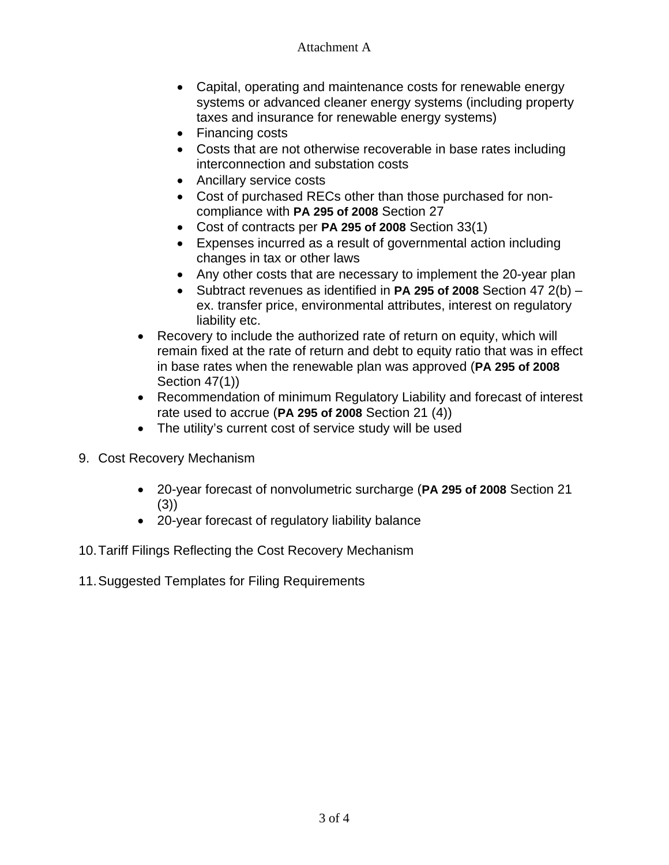- Capital, operating and maintenance costs for renewable energy systems or advanced cleaner energy systems (including property taxes and insurance for renewable energy systems)
- Financing costs
- Costs that are not otherwise recoverable in base rates including interconnection and substation costs
- Ancillary service costs
- Cost of purchased RECs other than those purchased for noncompliance with **PA 295 of 2008** Section 27
- Cost of contracts per **PA 295 of 2008** Section 33(1)
- Expenses incurred as a result of governmental action including changes in tax or other laws
- Any other costs that are necessary to implement the 20-year plan
- Subtract revenues as identified in **PA 295 of 2008** Section 47 2(b) ex. transfer price, environmental attributes, interest on regulatory liability etc.
- Recovery to include the authorized rate of return on equity, which will remain fixed at the rate of return and debt to equity ratio that was in effect in base rates when the renewable plan was approved (**PA 295 of 2008** Section 47(1))
- Recommendation of minimum Regulatory Liability and forecast of interest rate used to accrue (**PA 295 of 2008** Section 21 (4))
- The utility's current cost of service study will be used
- 9. Cost Recovery Mechanism
	- 20-year forecast of nonvolumetric surcharge (**PA 295 of 2008** Section 21 (3))
	- 20-year forecast of regulatory liability balance
- 10. Tariff Filings Reflecting the Cost Recovery Mechanism
- 11. Suggested Templates for Filing Requirements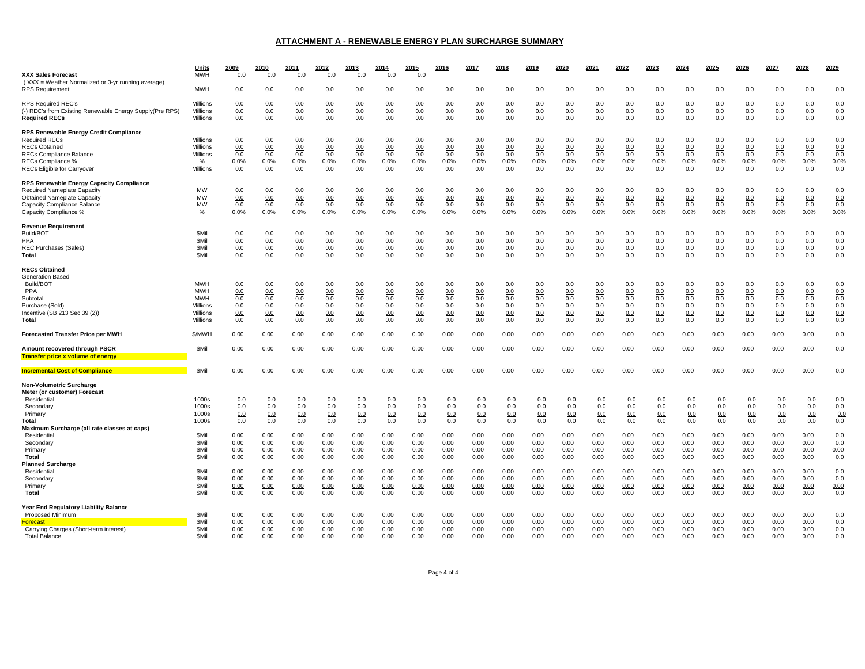#### **ATTACHMENT A - RENEWABLE ENERGY PLAN SURCHARGE SUMMARY**

| <b>XXX Sales Forecast</b><br>(XXX = Weather Normalized or 3-yr running average)                                                                                              | Units<br><b>MWH</b>                                                        | 2009<br>0.0                            | 2010<br>0.0                            | 2011<br>0.0                            | 2012<br>0.0                            | 2013<br>0.0                            | 2014<br>0.0                            | 2015<br>0.0                            | 2016                                   | 2017                                   | 2018                                   | 2019                                   | 2020                                   | 2021                                   | 2022                                   | 2023                                   | 2024                                       | 2025                                   | 2026                                   | 2027                                   | 2028                                   | 2029                                   |
|------------------------------------------------------------------------------------------------------------------------------------------------------------------------------|----------------------------------------------------------------------------|----------------------------------------|----------------------------------------|----------------------------------------|----------------------------------------|----------------------------------------|----------------------------------------|----------------------------------------|----------------------------------------|----------------------------------------|----------------------------------------|----------------------------------------|----------------------------------------|----------------------------------------|----------------------------------------|----------------------------------------|--------------------------------------------|----------------------------------------|----------------------------------------|----------------------------------------|----------------------------------------|----------------------------------------|
| <b>RPS Requirement</b>                                                                                                                                                       | <b>MWH</b>                                                                 | 0.0                                    | 0.0                                    | 0.0                                    | 0.0                                    | 0.0                                    | 0.0                                    | 0.0                                    | 0.0                                    | 0.0                                    | 0.0                                    | 0.0                                    | 0.0                                    | 0.0                                    | 0.0                                    | 0.0                                    | 0.0                                        | 0.0                                    | 0.0                                    | 0.0                                    | 0.0                                    | 0.0                                    |
| RPS Reauired REC's<br>(-) REC's from Existing Renewable Energy Supply(Pre RPS)<br><b>Required RECs</b>                                                                       | Millions<br>Millions<br>Millions                                           | 0.0<br>0.0<br>0.0                      | 0.0<br>0.0<br>0.0                      | 0.0<br>0.0<br>0.0                      | 0.0<br>0.0<br>0.0                      | 0.0<br>0.0<br>0.0                      | 0.0<br>0.0<br>0.0                      | 0.0<br>0.0<br>0.0                      | 0.0<br>0.0<br>0.0                      | 0.0<br>0.0<br>0.0                      | 0.0<br>0.0<br>0.0                      | 0.0<br>0.0<br>0.0                      | 0.0<br>0.0<br>0.0                      | 0.0<br>0.0<br>0.0                      | 0.0<br>0.0<br>0.0                      | 0.0<br>0.0<br>0.0                      | 0.0<br>0.0<br>0.0                          | 0.0<br>0.0<br>0.0                      | 0.0<br>0.0<br>0.0                      | 0.0<br>0.0<br>0.0                      | 0.0<br>0.0<br>0.0                      | 0.0<br>0.0<br>0.0                      |
| RPS Renewable Energy Credit Compliance<br><b>Required RECs</b><br><b>RECs Obtained</b>                                                                                       | Millions<br>Millions                                                       | 0.0<br>0.0                             | 0.0<br>0.0                             | 0.0<br>0.0                             | 0.0<br>0.0                             | 0.0<br>0.0                             | 0.0<br>0.0                             | 0.0<br>0.0                             | 0.0<br>0.0                             | 0.0<br>0.0                             | 0.0<br>0.0                             | 0.0<br>0.0                             | 0.0<br>0.0                             | 0.0<br>0.0                             | 0.0<br>0.0                             | 0.0<br>0.0                             | 0.0<br>0.0                                 | 0.0<br>0.0                             | 0.0<br>0.0                             | 0.0<br>0.0                             | 0.0<br>0.0                             | 0.0<br>0.0                             |
| RECs Compliance Balance<br>RECs Compliance %<br><b>RECs Eligible for Carryover</b>                                                                                           | Millions<br>%<br>Millions                                                  | 0.0<br>0.0%<br>0.0                     | 0.0<br>0.0%<br>0.0                     | 0.0<br>0.0%<br>0.0                     | 0.0<br>0.0%<br>0.0                     | 0.0<br>0.0%<br>0.0                     | 0.0<br>0.0%<br>0.0                     | 0.0<br>0.0%<br>0.0                     | 0.0<br>0.0%<br>0.0                     | 0.0<br>0.0%<br>0.0                     | 0.0<br>0.0%<br>0.0                     | 0.0<br>0.0%<br>0.0                     | 0.0<br>0.0%<br>0.0                     | 0.0<br>0.0%<br>0.0                     | 0.0<br>0.0%<br>0.0                     | 0.0<br>0.0%<br>0.0                     | 0.0<br>0.0%<br>0.0                         | 0.0<br>0.0%<br>0.0                     | 0.0<br>0.0%<br>0.0                     | 0.0<br>0.0%<br>0.0                     | 0.0<br>0.0%<br>0.0                     | 0.0<br>0.0%<br>0.0                     |
| RPS Renewable Energy Capacity Compliance<br><b>Required Nameplate Capacity</b><br><b>Obtained Nameplate Capacity</b><br>Capacity Compliance Balance<br>Capacity Compliance % | <b>MW</b><br>MW<br>MW<br>%                                                 | 0.0<br>0.0<br>0.0<br>0.0%              | 0.0<br>0.0<br>0.0<br>0.0%              | 0.0<br>0.0<br>0.0<br>0.0%              | 0.0<br>0.0<br>0.0<br>0.0%              | 0.0<br>0.0<br>0.0<br>0.0%              | 0.0<br>0.0<br>0.0<br>0.0%              | 0.0<br>0.0<br>0.0<br>0.0%              | 0.0<br>0.0<br>0.0<br>0.0%              | 0.0<br>0.0<br>0.0<br>0.0%              | 0.0<br>0.0<br>0.0<br>0.0%              | 0.0<br>0.0<br>0.0<br>0.0%              | 0.0<br>0.0<br>0.0<br>0.0%              | 0.0<br>0.0<br>0.0<br>0.0%              | 0.0<br>0.0<br>0.0<br>0.0%              | 0.0<br>0.0<br>0.0<br>0.0%              | 0.0<br>0.0<br>0.0<br>0.0%                  | 0.0<br>0.0<br>0.0<br>0.0%              | 0.0<br>0.0<br>0.0<br>0.0%              | 0.0<br>0.0<br>0.0<br>0.0%              | 0.0<br>0.0<br>0.0<br>0.0%              | 0.0<br>0.0<br>0.0<br>0.0%              |
| <b>Revenue Requirement</b><br>Build/BOT<br><b>PPA</b><br><b>REC Purchases (Sales)</b><br>Total                                                                               | <b>SMil</b><br><b>SMil</b><br><b>SMil</b><br><b>SMil</b>                   | 0.0<br>0.0<br>0.0<br>0.0               | 0.0<br>0.0<br>0.0<br>0.0               | 0.0<br>0.0<br>0.0<br>0.0               | 0.0<br>0.0<br>0.0<br>0.0               | 0.0<br>0.0<br>0.0<br>0.0               | 0.0<br>0.0<br>0.0<br>0.0               | 0.0<br>0.0<br>0.0<br>0.0               | 0.0<br>0.0<br>0.0<br>0.0               | 0.0<br>0.0<br>0.0<br>0.0               | 0.0<br>0.0<br>0.0<br>0.0               | 0.0<br>0.0<br>0.0<br>0.0               | 0.0<br>0.0<br>0.0<br>0.0               | 0.0<br>0.0<br>0.0<br>0.0               | 0.0<br>0.0<br>0.0<br>0.0               | 0.0<br>0.0<br>0.0<br>0.0               | 0.0<br>0.0<br>0.0<br>0.0                   | 0.0<br>0.0<br>0.0<br>0.0               | 0.0<br>0.0<br>0.0<br>0.0               | 0.0<br>0.0<br>0.0<br>0.0               | 0.0<br>0.0<br>0.0<br>0.0               | 0.0<br>0.0<br>0.0<br>0.0               |
| <b>RECs Obtained</b><br>Generation Based<br>Build/BOT<br>PPA<br>Subtotal<br>Purchase (Sold)<br>Incentive (SB 213 Sec 39 (2))<br>Total                                        | <b>MWH</b><br><b>MWH</b><br><b>MWH</b><br>Millions<br>Millions<br>Millions | 0.0<br>0.0<br>0.0<br>0.0<br>0.0<br>0.0 | 0.0<br>0.0<br>0.0<br>0.0<br>0.0<br>0.0 | 0.0<br>0.0<br>0.0<br>0.0<br>0.0<br>0.0 | 0.0<br>0.0<br>0.0<br>0.0<br>0.0<br>0.0 | 0.0<br>0.0<br>0.0<br>0.0<br>0.0<br>0.0 | 0.0<br>0.0<br>0.0<br>0.0<br>0.0<br>0.0 | 0.0<br>0.0<br>0.0<br>0.0<br>0.0<br>0.0 | 0.0<br>0.0<br>0.0<br>0.0<br>0.0<br>0.0 | 0.0<br>0.0<br>0.0<br>0.0<br>0.0<br>0.0 | 0.0<br>0.0<br>0.0<br>0.0<br>0.0<br>0.0 | 0.0<br>0.0<br>0.0<br>0.0<br>0.0<br>0.0 | 0.0<br>0.0<br>0.0<br>0.0<br>0.0<br>0.0 | 0.0<br>0.0<br>0.0<br>0.0<br>0.0<br>0.0 | 0.0<br>0.0<br>0.0<br>0.0<br>0.0<br>0.0 | 0.0<br>0.0<br>0.0<br>0.0<br>0.0<br>0.0 | 0.0<br>0.0<br>0.0<br>0.0<br>0.0<br>$0.0\,$ | 0.0<br>0.0<br>0.0<br>0.0<br>0.0<br>0.0 | 0.0<br>0.0<br>0.0<br>0.0<br>0.0<br>0.0 | 0.0<br>0.0<br>0.0<br>0.0<br>0.0<br>0.0 | 0.0<br>0.0<br>0.0<br>0.0<br>0.0<br>0.0 | 0.0<br>0.0<br>0.0<br>0.0<br>0.0<br>0.0 |
| <b>Forecasted Transfer Price per MWH</b>                                                                                                                                     | \$/MWH                                                                     | 0.00                                   | 0.00                                   | 0.00                                   | 0.00                                   | 0.00                                   | 0.00                                   | 0.00                                   | 0.00                                   | 0.00                                   | 0.00                                   | 0.00                                   | 0.00                                   | 0.00                                   | 0.00                                   | 0.00                                   | 0.00                                       | 0.00                                   | 0.00                                   | 0.00                                   | 0.00                                   | 0.0                                    |
| Amount recovered through PSCR<br><b>Transfer price x volume of energy</b>                                                                                                    | <b>SMil</b>                                                                | 0.00                                   | 0.00                                   | 0.00                                   | 0.00                                   | 0.00                                   | 0.00                                   | 0.00                                   | 0.00                                   | 0.00                                   | 0.00                                   | 0.00                                   | 0.00                                   | 0.00                                   | 0.00                                   | 0.00                                   | 0.00                                       | 0.00                                   | 0.00                                   | 0.00                                   | 0.00                                   | 0.0                                    |
| <b>Incremental Cost of Compliance</b>                                                                                                                                        | <b>SMil</b>                                                                | 0.00                                   | 0.00                                   | 0.00                                   | 0.00                                   | 0.00                                   | 0.00                                   | 0.00                                   | 0.00                                   | 0.00                                   | 0.00                                   | 0.00                                   | 0.00                                   | 0.00                                   | 0.00                                   | 0.00                                   | 0.00                                       | 0.00                                   | 0.00                                   | 0.00                                   | 0.00                                   | 0.0                                    |
| Non-Volumetric Surcharge<br>Meter (or customer) Forecast<br>Residential<br>Secondary<br>Primary<br>Total                                                                     | 1000s<br>1000s<br>1000s<br>1000s                                           | 0.0<br>0.0<br>0.0<br>0.0               | 0.0<br>0.0<br>0.0<br>0.0               | 0.0<br>0.0<br>0.0<br>0.0               | 0.0<br>0.0<br>0.0<br>0.0               | 0.0<br>0.0<br>0.0<br>0.0               | 0.0<br>0.0<br>0.0<br>0.0               | 0.0<br>0.0<br>0.0<br>0.0               | 0.0<br>0.0<br>0.0<br>0.0               | 0.0<br>0.0<br>0.0<br>0.0               | 0.0<br>0.0<br>0.0<br>0.0               | 0.0<br>0.0<br>0.0<br>0.0               | 0.0<br>0.0<br>0.0<br>0.0               | 0.0<br>0.0<br>0.0<br>0.0               | 0.0<br>0.0<br>0.0<br>0.0               | 0.0<br>0.0<br>0.0<br>0.0               | 0.0<br>0.0<br>0.0<br>0.0                   | 0.0<br>0.0<br>0.0<br>0.0               | 0.0<br>0.0<br>0.0<br>0.0               | 0.0<br>0.0<br>0.0<br>0.0               | 0.0<br>0.0<br>0.0<br>0.0               | 0.0<br>0.0<br>0.0<br>0.0               |
| Maximum Surcharge (all rate classes at caps)<br>Residential<br>Secondary<br>Primary<br>Total                                                                                 | <b>SMil</b><br><b>SMil</b><br><b>SMil</b><br><b>SMil</b>                   | 0.00<br>0.00<br>0.00<br>0.00           | 0.00<br>0.00<br>0.00<br>0.00           | 0.00<br>0.00<br>0.00<br>0.00           | 0.00<br>0.00<br>0.00<br>0.00           | 0.00<br>0.00<br>0.00<br>0.00           | 0.00<br>0.00<br>0.00<br>0.00           | 0.00<br>0.00<br>0.00<br>0.00           | 0.00<br>0.00<br>0.00<br>0.00           | 0.00<br>0.00<br>0.00<br>0.00           | 0.00<br>0.00<br>0.00<br>0.00           | 0.00<br>0.00<br>0.00<br>0.00           | 0.00<br>0.00<br>0.00<br>0.00           | 0.00<br>0.00<br>0.00<br>0.00           | 0.00<br>0.00<br>0.00<br>0.00           | 0.00<br>0.00<br>0.00<br>0.00           | 0.00<br>0.00<br>0.00<br>0.00               | 0.00<br>0.00<br>0.00<br>0.00           | 0.00<br>0.00<br>0.00<br>0.00           | 0.00<br>0.00<br>0.00<br>0.00           | 0.00<br>0.00<br>0.00<br>0.00           | 0.0<br>0.0<br>0.00<br>0.0              |
| <b>Planned Surcharge</b><br>Residential<br>Secondary<br>Primary<br>Total                                                                                                     | <b>SMil</b><br><b>SMil</b><br><b>SMil</b><br><b>SMil</b>                   | 0.00<br>0.00<br>0.00<br>0.00           | 0.00<br>0.00<br>0.00<br>0.00           | 0.00<br>0.00<br>0.00<br>0.00           | 0.00<br>0.00<br>0.00<br>0.00           | 0.00<br>0.00<br>0.00<br>0.00           | 0.00<br>0.00<br>0.00<br>0.00           | 0.00<br>0.00<br>0.00<br>0.00           | 0.00<br>0.00<br>0.00<br>0.00           | 0.00<br>0.00<br>0.00<br>0.00           | 0.00<br>0.00<br>0.00<br>0.00           | 0.00<br>0.00<br>0.00<br>0.00           | 0.00<br>0.00<br>0.00<br>0.00           | 0.00<br>0.00<br>0.00<br>0.00           | 0.00<br>0.00<br>0.00<br>0.00           | 0.00<br>0.00<br>0.00<br>0.00           | 0.00<br>0.00<br>0.00<br>0.00               | 0.00<br>0.00<br>0.00<br>0.00           | 0.00<br>0.00<br>0.00<br>0.00           | 0.00<br>0.00<br>0.00<br>0.00           | 0.00<br>0.00<br>0.00<br>0.00           | 0.0<br>0.0<br>0.00<br>0.0              |
| Year End Regulatory Liability Balance<br>Proposed Minimum<br><b>Forecast</b>                                                                                                 | <b>SMil</b><br><b>SMil</b><br><b>SMil</b>                                  | 0.00<br>0.00                           | 0.00<br>0.00                           | 0.00<br>0.00                           | 0.00<br>0.00<br>0.00                   | 0.00<br>0.00                           | 0.00<br>0.00                           | 0.00<br>0.00                           | 0.00<br>0.00                           | 0.00<br>0.00<br>0.00                   | 0.00<br>0.00                           | 0.00<br>0.00                           | 0.00<br>0.00                           | 0.00<br>0.00                           | 0.00<br>0.00                           | 0.00<br>0.00                           | 0.00<br>0.00                               | 0.00<br>0.00                           | 0.00<br>0.00<br>0.00                   | 0.00<br>0.00                           | 0.00<br>0.00<br>0.00                   | 0.0<br>0.0<br>0.0                      |
| Carrying Charges (Short-term interest)<br><b>Total Balance</b>                                                                                                               | <b>SMil</b>                                                                | 0.00<br>0.00                           | 0.00<br>0.00                           | 0.00<br>0.00                           | 0.00                                   | 0.00<br>0.00                           | 0.00<br>0.00                           | 0.00<br>0.00                           | 0.00<br>0.00                           | 0.00                                   | 0.00<br>0.00                           | 0.00<br>0.00                           | 0.00<br>0.00                           | 0.00<br>0.00                           | 0.00<br>0.00                           | 0.00<br>n nn                           | 0.00<br>0.00                               | 0.00<br>0.00                           | n nn                                   | 0.00<br>0.00                           | 0.00                                   | 0.0                                    |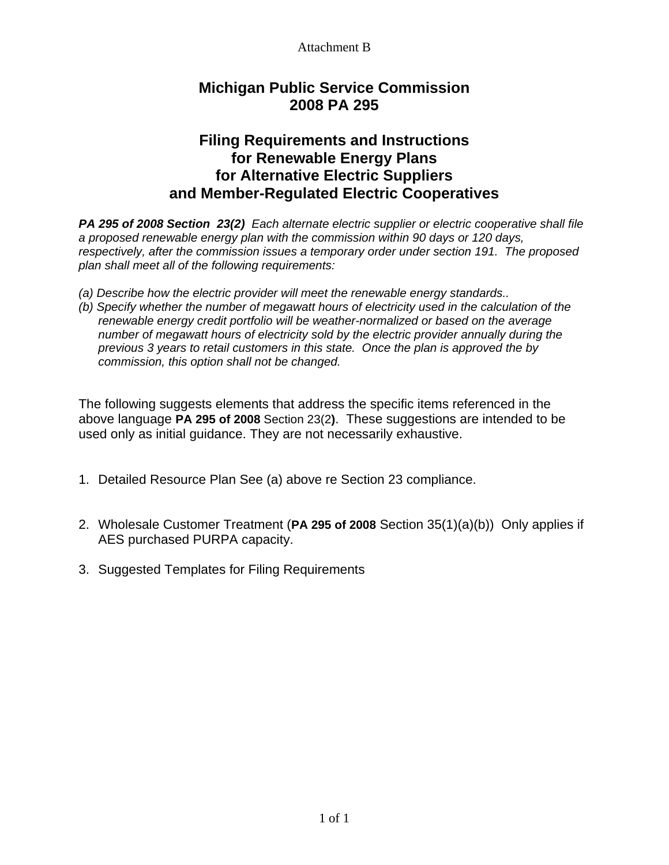# **Michigan Public Service Commission 2008 PA 295**

## **Filing Requirements and Instructions for Renewable Energy Plans for Alternative Electric Suppliers and Member-Regulated Electric Cooperatives**

*PA 295 of 2008 Section 23(2) Each alternate electric supplier or electric cooperative shall file a proposed renewable energy plan with the commission within 90 days or 120 days, respectively, after the commission issues a temporary order under section 191. The proposed plan shall meet all of the following requirements:* 

- *(a) Describe how the electric provider will meet the renewable energy standards..*
- *(b) Specify whether the number of megawatt hours of electricity used in the calculation of the renewable energy credit portfolio will be weather-normalized or based on the average number of megawatt hours of electricity sold by the electric provider annually during the previous 3 years to retail customers in this state. Once the plan is approved the by commission, this option shall not be changed.*

The following suggests elements that address the specific items referenced in the above language **PA 295 of 2008** Section 23(2**)**. These suggestions are intended to be used only as initial guidance. They are not necessarily exhaustive.

- 1. Detailed Resource Plan See (a) above re Section 23 compliance.
- 2. Wholesale Customer Treatment (**PA 295 of 2008** Section 35(1)(a)(b)) Only applies if AES purchased PURPA capacity.
- 3. Suggested Templates for Filing Requirements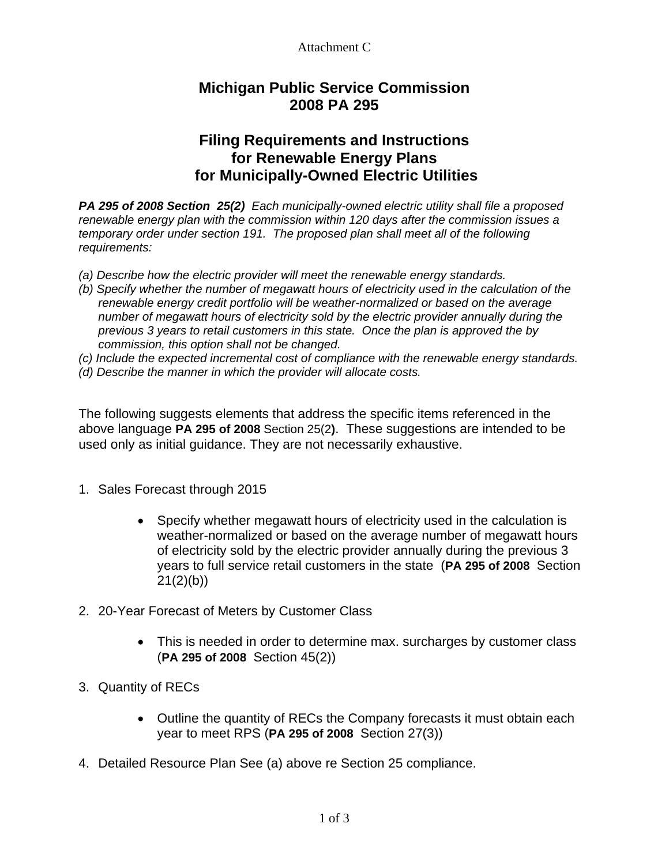# **Michigan Public Service Commission 2008 PA 295**

# **Filing Requirements and Instructions for Renewable Energy Plans for Municipally-Owned Electric Utilities**

*PA 295 of 2008 Section 25(2) Each municipally-owned electric utility shall file a proposed renewable energy plan with the commission within 120 days after the commission issues a temporary order under section 191. The proposed plan shall meet all of the following requirements:* 

- *(a) Describe how the electric provider will meet the renewable energy standards.*
- *(b) Specify whether the number of megawatt hours of electricity used in the calculation of the renewable energy credit portfolio will be weather-normalized or based on the average number of megawatt hours of electricity sold by the electric provider annually during the previous 3 years to retail customers in this state. Once the plan is approved the by commission, this option shall not be changed.*
- *(c) Include the expected incremental cost of compliance with the renewable energy standards.*
- *(d) Describe the manner in which the provider will allocate costs.*

The following suggests elements that address the specific items referenced in the above language **PA 295 of 2008** Section 25(2**)**. These suggestions are intended to be used only as initial guidance. They are not necessarily exhaustive.

- 1. Sales Forecast through 2015
	- Specify whether megawatt hours of electricity used in the calculation is weather-normalized or based on the average number of megawatt hours of electricity sold by the electric provider annually during the previous 3 years to full service retail customers in the state (**PA 295 of 2008** Section  $21(2)(b)$
- 2. 20-Year Forecast of Meters by Customer Class
	- This is needed in order to determine max. surcharges by customer class (**PA 295 of 2008** Section 45(2))
- 3. Quantity of RECs
	- Outline the quantity of RECs the Company forecasts it must obtain each year to meet RPS (**PA 295 of 2008** Section 27(3))
- 4. Detailed Resource Plan See (a) above re Section 25 compliance.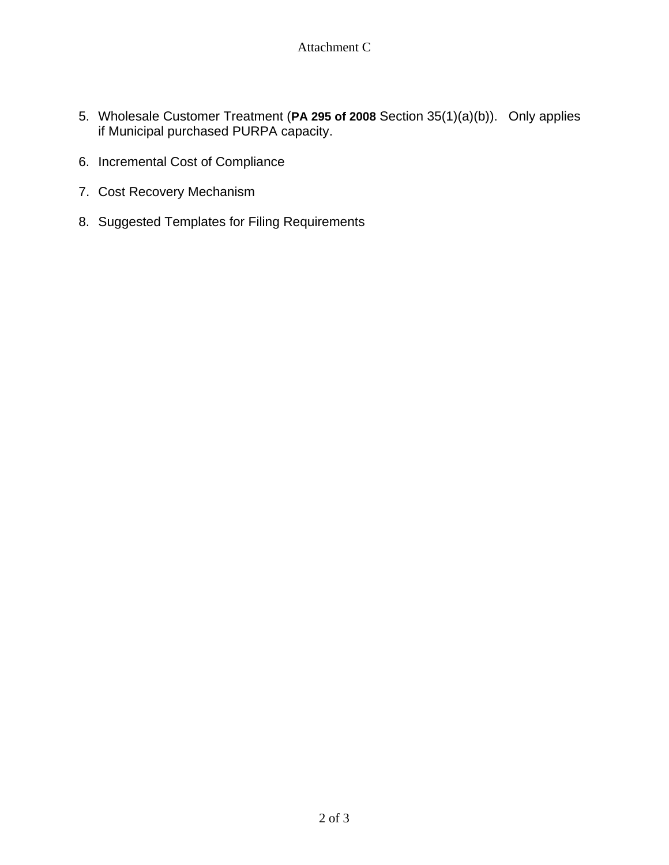- 5. Wholesale Customer Treatment (**PA 295 of 2008** Section 35(1)(a)(b)). Only applies if Municipal purchased PURPA capacity.
- 6. Incremental Cost of Compliance
- 7. Cost Recovery Mechanism
- 8. Suggested Templates for Filing Requirements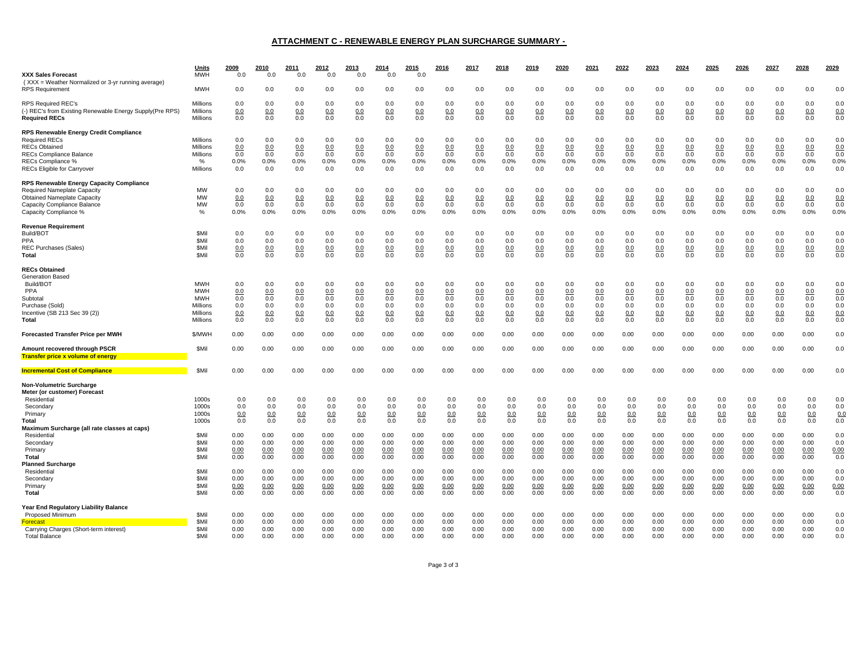#### **ATTACHMENT C - RENEWABLE ENERGY PLAN SURCHARGE SUMMARY -**

| <b>XXX Sales Forecast</b>                                                                                                                                                    | <u>Units</u><br><b>MWH</b>                                                        | 2009<br>0.0                            | 2010<br>0.0                            | 2011<br>0.0                            | 2012<br>0.0                            | 2013<br>0.0                            | 2014<br>0.0                            | 2015<br>0.0                            | 2016                                   | 2017                                   | 2018                                   | 2019                                   | 2020                                   | 2021                                   | 2022                                   | 2023                                   | 2024                                   | 2025                                   | 2026                                   | 2027                                   | 2028                                   | 2029                                   |
|------------------------------------------------------------------------------------------------------------------------------------------------------------------------------|-----------------------------------------------------------------------------------|----------------------------------------|----------------------------------------|----------------------------------------|----------------------------------------|----------------------------------------|----------------------------------------|----------------------------------------|----------------------------------------|----------------------------------------|----------------------------------------|----------------------------------------|----------------------------------------|----------------------------------------|----------------------------------------|----------------------------------------|----------------------------------------|----------------------------------------|----------------------------------------|----------------------------------------|----------------------------------------|----------------------------------------|
| (XXX = Weather Normalized or 3-yr running average)<br><b>RPS Requirement</b>                                                                                                 | <b>MWH</b>                                                                        | 0.0                                    | 0.0                                    | 0.0                                    | 0.0                                    | 0.0                                    | 0.0                                    | 0.0                                    | 0.0                                    | 0.0                                    | 0.0                                    | 0.0                                    | 0.0                                    | 0.0                                    | 0.0                                    | 0.0                                    | 0.0                                    | 0.0                                    | 0.0                                    | 0.0                                    | 0.0                                    | 0.0                                    |
| <b>RPS Required REC's</b><br>(-) REC's from Existing Renewable Energy Supply(Pre RPS)<br><b>Required RECs</b>                                                                | <b>Millions</b><br><b>Millions</b><br>Millions                                    | 0.0<br>0.0<br>0.0                      | 0.0<br>0.0<br>0.0                      | 0.0<br>0.0<br>0.0                      | 0.0<br>0.0<br>0.0                      | 0.0<br>0.0<br>0.0                      | 0.0<br>0.0<br>0.0                      | 0.0<br>0.0<br>0.0                      | 0.0<br>0.0<br>0.0                      | 0.0<br>0.0<br>0.0                      | 0.0<br>0.0<br>0.0                      | 0.0<br>0.0<br>0.0                      | 0.0<br>0.0<br>0.0                      | 0.0<br>0.0<br>0.0                      | 0.0<br>0.0<br>0.0                      | 0.0<br>0.0<br>0.0                      | 0.0<br>0.0<br>0.0                      | 0.0<br>0.0<br>0.0                      | 0.0<br>0.0<br>0.0                      | 0.0<br>0.0<br>0.0                      | 0.0<br>0.0<br>0.0                      | 0.0<br>0.0<br>0.0                      |
| <b>RPS Renewable Energy Credit Compliance</b><br><b>Required RECs</b><br><b>RECs Obtained</b><br>RECs Compliance Balance<br>RECs Compliance %<br>RECs Eligible for Carryover | Millions<br>Millions<br>Millions<br>%<br>Millions                                 | 0.0<br>0.0<br>0.0<br>0.0%<br>0.0       | 0.0<br>0.0<br>0.0<br>0.0%<br>0.0       | 0.0<br>0.0<br>0.0<br>0.0%<br>0.0       | 0.0<br>0.0<br>0.0<br>0.0%<br>0.0       | 0.0<br>0.0<br>0.0<br>0.0%<br>0.0       | 0.0<br>0.0<br>0.0<br>0.0%<br>0.0       | 0.0<br>0.0<br>0.0<br>0.0%<br>0.0       | 0.0<br>0.0<br>0.0<br>0.0%<br>0.0       | 0.0<br>0.0<br>0.0<br>0.0%<br>0.0       | 0.0<br>0.0<br>0.0<br>0.0%<br>0.0       | 0.0<br>0.0<br>0.0<br>0.0%<br>0.0       | 0.0<br>0.0<br>0.0<br>0.0%<br>0.0       | 0.0<br>0.0<br>0.0<br>0.0%<br>0.0       | 0.0<br>0.0<br>0.0<br>0.0%<br>0.0       | 0.0<br>0.0<br>0.0<br>0.0%<br>0.0       | 0.0<br>0.0<br>0.0<br>0.0%<br>0.0       | 0.0<br>0.0<br>0.0<br>0.0%<br>0.0       | 0.0<br>0.0<br>0.0<br>0.0%<br>0.0       | 0.0<br>0.0<br>0.0<br>0.0%<br>0.0       | 0.0<br>0.0<br>0.0<br>0.0%<br>0.0       | 0.0<br>0.0<br>0.0<br>0.0%<br>0.0       |
| RPS Renewable Energy Capacity Compliance<br>Required Nameplate Capacity<br><b>Obtained Nameplate Capacity</b><br>Capacity Compliance Balance<br>Capacity Compliance %        | MW<br>MW<br>MW<br>%                                                               | 0.0<br>0.0<br>0.0<br>0.0%              | 0.0<br>0.0<br>0.0<br>0.0%              | 0.0<br>0.0<br>0.0<br>0.0%              | 0.0<br>0.0<br>0.0<br>0.0%              | 0.0<br>0.0<br>0.0<br>0.0%              | 0.0<br>0.0<br>0.0<br>0.0%              | 0.0<br>0.0<br>0.0<br>0.0%              | 0.0<br>0.0<br>0.0<br>0.0%              | 0.0<br>0.0<br>0.0<br>0.0%              | 0.0<br>0.0<br>0.0<br>0.0%              | 0.0<br>0.0<br>0.0<br>0.0%              | 0.0<br>0.0<br>0.0<br>0.0%              | 0.0<br>0.0<br>0.0<br>0.0%              | 0.0<br>0.0<br>0.0<br>0.0%              | 0.0<br>0.0<br>0.0<br>0.0%              | 0.0<br>0.0<br>0.0<br>0.0%              | 0.0<br>0.0<br>0.0<br>0.0%              | 0.0<br>0.0<br>0.0<br>0.0%              | 0.0<br>0.0<br>0.0<br>0.0%              | 0.0<br>0.0<br>0.0<br>0.0%              | 0.0<br>0.0<br>0.0<br>0.0%              |
| <b>Revenue Requirement</b><br>Build/BOT<br><b>PPA</b><br>REC Purchases (Sales)<br>Total                                                                                      | <b>SMil</b><br><b>SMil</b><br><b>SMil</b><br>\$Mil                                | 0.0<br>0.0<br>0.0<br>0.0               | 0.0<br>0.0<br>0.0<br>0.0               | 0.0<br>0.0<br>0.0<br>0.0               | 0.0<br>0.0<br>0.0<br>0.0               | 0.0<br>0.0<br>0.0<br>0.0               | 0.0<br>0.0<br>0.0<br>0.0               | 0.0<br>0.0<br>0.0<br>0.0               | 0.0<br>0.0<br>0.0<br>0.0               | 0.0<br>0.0<br>0.0<br>0.0               | 0.0<br>0.0<br>0.0<br>0.0               | 0.0<br>0.0<br>0.0<br>0.0               | 0.0<br>0.0<br>0.0<br>0.0               | 0.0<br>0.0<br>0.0<br>0.0               | 0.0<br>0.0<br>0.0<br>0.0               | 0.0<br>0.0<br>0.0<br>0.0               | 0.0<br>0.0<br>0.0<br>0.0               | 0.0<br>0.0<br>0.0<br>0.0               | 0.0<br>0.0<br>0.0<br>0.0               | 0.0<br>0.0<br>0.0<br>0.0               | 0.0<br>0.0<br>0.0<br>0.0               | 0.0<br>0.0<br>0.0<br>$0.0\,$           |
| <b>RECs Obtained</b><br>Generation Based<br>Build/BOT<br>PPA<br>Subtotal<br>Purchase (Sold)<br>Incentive (SB 213 Sec 39 (2))<br>Total                                        | <b>MWH</b><br><b>MWH</b><br><b>MWH</b><br>Millions<br><b>Millions</b><br>Millions | 0.0<br>0.0<br>0.0<br>0.0<br>0.0<br>0.0 | 0.0<br>0.0<br>0.0<br>0.0<br>0.0<br>0.0 | 0.0<br>0.0<br>0.0<br>0.0<br>0.0<br>0.0 | 0.0<br>0.0<br>0.0<br>0.0<br>0.0<br>0.0 | 0.0<br>0.0<br>0.0<br>0.0<br>0.0<br>0.0 | 0.0<br>0.0<br>0.0<br>0.0<br>0.0<br>0.0 | 0.0<br>0.0<br>0.0<br>0.0<br>0.0<br>0.0 | 0.0<br>0.0<br>0.0<br>0.0<br>0.0<br>0.0 | 0.0<br>0.0<br>0.0<br>0.0<br>0.0<br>0.0 | 0.0<br>0.0<br>0.0<br>0.0<br>0.0<br>0.0 | 0.0<br>0.0<br>0.0<br>0.0<br>0.0<br>0.0 | 0.0<br>0.0<br>0.0<br>0.0<br>0.0<br>0.0 | 0.0<br>0.0<br>0.0<br>0.0<br>0.0<br>0.0 | 0.0<br>0.0<br>0.0<br>0.0<br>0.0<br>0.0 | 0.0<br>0.0<br>0.0<br>0.0<br>0.0<br>0.0 | 0.0<br>0.0<br>0.0<br>0.0<br>0.0<br>0.0 | 0.0<br>0.0<br>0.0<br>0.0<br>0.0<br>0.0 | 0.0<br>0.0<br>0.0<br>0.0<br>0.0<br>0.0 | 0.0<br>0.0<br>0.0<br>0.0<br>0.0<br>0.0 | 0.0<br>0.0<br>0.0<br>0.0<br>0.0<br>0.0 | 0.0<br>0.0<br>0.0<br>0.0<br>0.0<br>0.0 |
| <b>Forecasted Transfer Price per MWH</b>                                                                                                                                     | \$/MWH                                                                            | 0.00                                   | 0.00                                   | 0.00                                   | 0.00                                   | 0.00                                   | 0.00                                   | 0.00                                   | 0.00                                   | 0.00                                   | 0.00                                   | 0.00                                   | 0.00                                   | 0.00                                   | 0.00                                   | 0.00                                   | 0.00                                   | 0.00                                   | 0.00                                   | 0.00                                   | 0.00                                   | 0.0                                    |
| Amount recovered through PSCR<br><b>Transfer price x volume of energy</b>                                                                                                    | <b>SMil</b>                                                                       | 0.00                                   | 0.00                                   | 0.00                                   | 0.00                                   | 0.00                                   | 0.00                                   | 0.00                                   | 0.00                                   | 0.00                                   | 0.00                                   | 0.00                                   | 0.00                                   | 0.00                                   | 0.00                                   | 0.00                                   | 0.00                                   | 0.00                                   | 0.00                                   | 0.00                                   | 0.00                                   | 0.0                                    |
| <b>Incremental Cost of Compliance</b>                                                                                                                                        | <b>SMil</b>                                                                       | 0.00                                   | 0.00                                   | 0.00                                   | 0.00                                   | 0.00                                   | 0.00                                   | 0.00                                   | 0.00                                   | 0.00                                   | 0.00                                   | 0.00                                   | 0.00                                   | 0.00                                   | 0.00                                   | 0.00                                   | 0.00                                   | 0.00                                   | 0.00                                   | 0.00                                   | 0.00                                   | 0.0                                    |
| <b>Non-Volumetric Surcharge</b><br>Meter (or customer) Forecast<br>Residential<br>Secondary<br>Primary<br>Total<br>Maximum Surcharge (all rate classes at caps)              | 1000s<br>1000s<br>1000s<br>1000s                                                  | 0.0<br>0.0<br>0.0<br>0.0               | 0.0<br>0.0<br>0.0<br>0.0               | 0.0<br>0.0<br>0.0<br>0.0               | 0.0<br>0.0<br>0.0<br>0.0               | 0.0<br>0.0<br>0.0<br>0.0               | 0.0<br>0.0<br>0.0<br>0.0               | 0.0<br>0.0<br>0.0<br>0.0               | 0.0<br>0.0<br>0.0<br>0.0               | 0.0<br>0.0<br>0.0<br>0.0               | 0.0<br>0.0<br>0.0<br>0.0               | 0.0<br>0.0<br>0.0<br>0.0               | 0.0<br>0.0<br>0.0<br>0.0               | 0.0<br>0.0<br>0.0<br>0.0               | 0.0<br>0.0<br>0.0<br>0.0               | 0.0<br>0.0<br>0.0<br>0.0               | 0.0<br>0.0<br>0.0<br>0.0               | 0.0<br>0.0<br>0.0<br>0.0               | 0.0<br>0.0<br>0.0<br>0.0               | 0.0<br>0.0<br>0.0<br>0.0               | 0.0<br>0.0<br>0.0<br>0.0               | 0.0<br>0.0<br>0.0<br>0.0               |
| Residential<br>Secondary<br>Primary<br>Total                                                                                                                                 | <b>SMil</b><br><b>SMil</b><br><b>SMil</b><br><b>SMil</b>                          | 0.00<br>0.00<br>0.00<br>0.00           | 0.00<br>0.00<br>0.00<br>0.00           | 0.00<br>0.00<br>0.00<br>0.00           | 0.00<br>0.00<br>0.00<br>0.00           | 0.00<br>0.00<br>0.00<br>0.00           | 0.00<br>0.00<br>0.00<br>0.00           | 0.00<br>0.00<br>0.00<br>0.00           | 0.00<br>0.00<br>0.00<br>0.00           | 0.00<br>0.00<br>0.00<br>0.00           | 0.00<br>0.00<br>0.00<br>0.00           | 0.00<br>0.00<br>0.00<br>0.00           | 0.00<br>0.00<br>0.00<br>0.00           | 0.00<br>0.00<br>0.00<br>0.00           | 0.00<br>0.00<br>0.00<br>0.00           | 0.00<br>0.00<br>0.00<br>0.00           | 0.00<br>0.00<br>0.00<br>0.00           | 0.00<br>0.00<br>0.00<br>0.00           | 0.00<br>0.00<br>0.00<br>0.00           | 0.00<br>0.00<br>0.00<br>0.00           | 0.00<br>0.00<br>0.00<br>0.00           | 0.0<br>0.0<br>0.00<br>0.0              |
| <b>Planned Surcharge</b><br>Residential<br>Secondary<br>Primary<br>Total                                                                                                     | <b>SMil</b><br><b>SMil</b><br><b>SMil</b><br><b>SMil</b>                          | 0.00<br>0.00<br>0.00<br>0.00           | 0.00<br>0.00<br>0.00<br>0.00           | 0.00<br>0.00<br>0.00<br>0.00           | 0.00<br>0.00<br>0.00<br>0.00           | 0.00<br>0.00<br>0.00<br>0.00           | 0.00<br>0.00<br>0.00<br>0.00           | 0.00<br>0.00<br>0.00<br>0.00           | 0.00<br>0.00<br>0.00<br>0.00           | 0.00<br>0.00<br>0.00<br>0.00           | 0.00<br>0.00<br>0.00<br>0.00           | 0.00<br>0.00<br>0.00<br>0.00           | 0.00<br>0.00<br>0.00<br>0.00           | 0.00<br>0.00<br>0.00<br>0.00           | 0.00<br>0.00<br>0.00<br>0.00           | 0.00<br>0.00<br>0.00<br>0.00           | 0.00<br>0.00<br>0.00<br>0.00           | 0.00<br>0.00<br>0.00<br>0.00           | 0.00<br>0.00<br>0.00<br>0.00           | 0.00<br>0.00<br>0.00<br>0.00           | 0.00<br>0.00<br>0.00<br>0.00           | 0.0<br>0.0<br>0.00<br>0.0              |
| Year End Regulatory Liability Balance<br>Proposed Minimum<br><b>Forecast</b><br>Carrying Charges (Short-term interest)<br><b>Total Balance</b>                               | <b>SMil</b><br><b>SMil</b><br><b>SMil</b><br><b>SMil</b>                          | 0.00<br>0.00<br>0.00<br>n nn           | 0.00<br>0.00<br>0.00<br>0.00           | 0.00<br>0.00<br>0.00<br>0.00           | 0.00<br>0.00<br>0.00<br>0.00           | 0.00<br>0.00<br>0.00<br>0.00           | 0.00<br>0.00<br>0.00<br>0.00           | 0.00<br>0.00<br>0.00<br>0.00           | 0.00<br>0.00<br>0.00<br>n nn           | 0.00<br>0.00<br>0.00<br>0.00           | 0.00<br>0.00<br>0.00<br>0.00           | 0.00<br>0.00<br>0.00<br>0.00           | 0.00<br>0.00<br>0.00<br>0.00           | 0.00<br>0.00<br>0.00<br>0.00           | 0.00<br>0.00<br>0.00<br>0.00           | 0.00<br>0.00<br>0.00<br>0.00           | 0.00<br>0.00<br>0.00<br>0.00           | 0.00<br>0.00<br>0.00<br>n nn           | 0.00<br>0.00<br>0.00<br>0.00           | 0.00<br>0.00<br>0.00<br>0.00           | 0.00<br>0.00<br>0.00<br>0.00           | 0.0<br>0.0<br>0.0<br>0.0               |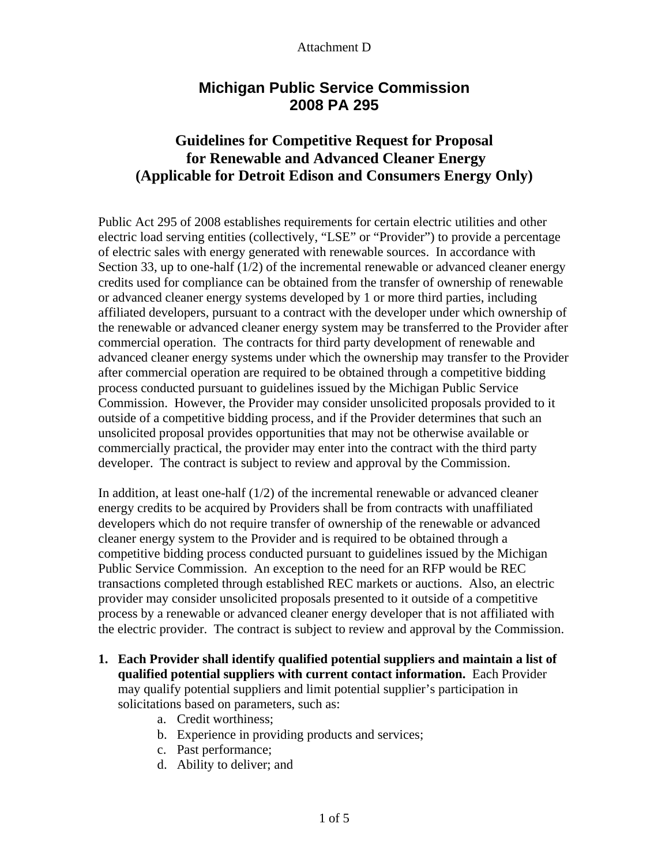# **Michigan Public Service Commission 2008 PA 295**

# **Guidelines for Competitive Request for Proposal for Renewable and Advanced Cleaner Energy (Applicable for Detroit Edison and Consumers Energy Only)**

Public Act 295 of 2008 establishes requirements for certain electric utilities and other electric load serving entities (collectively, "LSE" or "Provider") to provide a percentage of electric sales with energy generated with renewable sources. In accordance with Section 33, up to one-half  $(1/2)$  of the incremental renewable or advanced cleaner energy credits used for compliance can be obtained from the transfer of ownership of renewable or advanced cleaner energy systems developed by 1 or more third parties, including affiliated developers, pursuant to a contract with the developer under which ownership of the renewable or advanced cleaner energy system may be transferred to the Provider after commercial operation. The contracts for third party development of renewable and advanced cleaner energy systems under which the ownership may transfer to the Provider after commercial operation are required to be obtained through a competitive bidding process conducted pursuant to guidelines issued by the Michigan Public Service Commission. However, the Provider may consider unsolicited proposals provided to it outside of a competitive bidding process, and if the Provider determines that such an unsolicited proposal provides opportunities that may not be otherwise available or commercially practical, the provider may enter into the contract with the third party developer. The contract is subject to review and approval by the Commission.

In addition, at least one-half  $(1/2)$  of the incremental renewable or advanced cleaner energy credits to be acquired by Providers shall be from contracts with unaffiliated developers which do not require transfer of ownership of the renewable or advanced cleaner energy system to the Provider and is required to be obtained through a competitive bidding process conducted pursuant to guidelines issued by the Michigan Public Service Commission. An exception to the need for an RFP would be REC transactions completed through established REC markets or auctions. Also, an electric provider may consider unsolicited proposals presented to it outside of a competitive process by a renewable or advanced cleaner energy developer that is not affiliated with the electric provider. The contract is subject to review and approval by the Commission.

- **1. Each Provider shall identify qualified potential suppliers and maintain a list of qualified potential suppliers with current contact information.** Each Provider may qualify potential suppliers and limit potential supplier's participation in solicitations based on parameters, such as:
	- a. Credit worthiness;
	- b. Experience in providing products and services;
	- c. Past performance;
	- d. Ability to deliver; and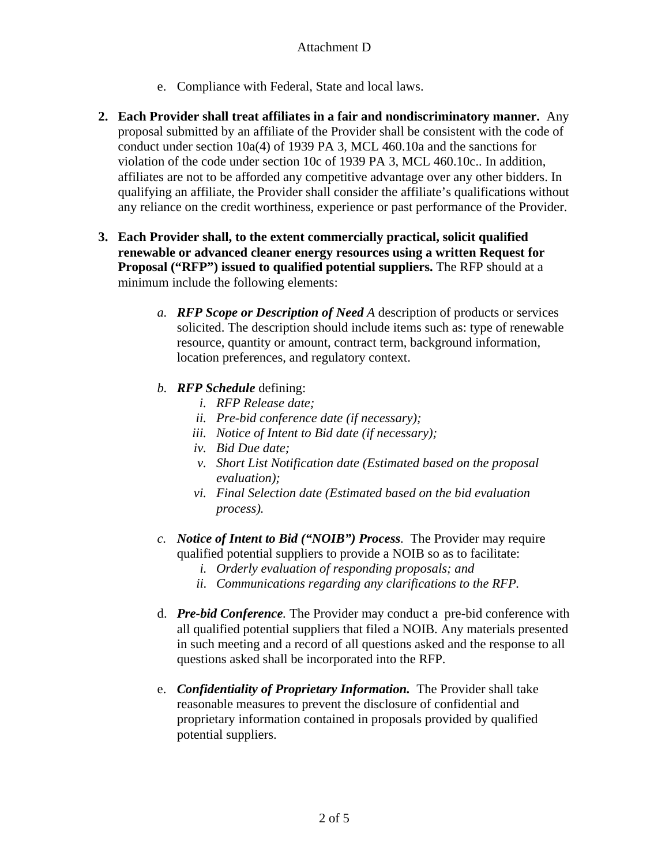- e. Compliance with Federal, State and local laws.
- **2. Each Provider shall treat affiliates in a fair and nondiscriminatory manner.** Any proposal submitted by an affiliate of the Provider shall be consistent with the code of conduct under section 10a(4) of 1939 PA 3, MCL 460.10a and the sanctions for violation of the code under section 10c of 1939 PA 3, MCL 460.10c.. In addition, affiliates are not to be afforded any competitive advantage over any other bidders. In qualifying an affiliate, the Provider shall consider the affiliate's qualifications without any reliance on the credit worthiness, experience or past performance of the Provider.
- **3. Each Provider shall, to the extent commercially practical, solicit qualified renewable or advanced cleaner energy resources using a written Request for Proposal ("RFP") issued to qualified potential suppliers.** The RFP should at a minimum include the following elements:
	- *a. RFP Scope or Description of Need A* description of products or services solicited. The description should include items such as: type of renewable resource, quantity or amount, contract term, background information, location preferences, and regulatory context.
	- *b. RFP Schedule* defining:
		- *i. RFP Release date;*
		- *ii. Pre-bid conference date (if necessary);*
		- *iii. Notice of Intent to Bid date (if necessary);*
		- *iv. Bid Due date;*
		- *v. Short List Notification date (Estimated based on the proposal evaluation);*
		- *vi. Final Selection date (Estimated based on the bid evaluation process).*
	- *c. Notice of Intent to Bid ("NOIB") Process.* The Provider may require qualified potential suppliers to provide a NOIB so as to facilitate:
		- *i. Orderly evaluation of responding proposals; and*
		- *ii. Communications regarding any clarifications to the RFP.*
	- d. *Pre-bid Conference.* The Provider may conduct a pre-bid conference with all qualified potential suppliers that filed a NOIB. Any materials presented in such meeting and a record of all questions asked and the response to all questions asked shall be incorporated into the RFP.
	- e. *Confidentiality of Proprietary Information.* The Provider shall take reasonable measures to prevent the disclosure of confidential and proprietary information contained in proposals provided by qualified potential suppliers.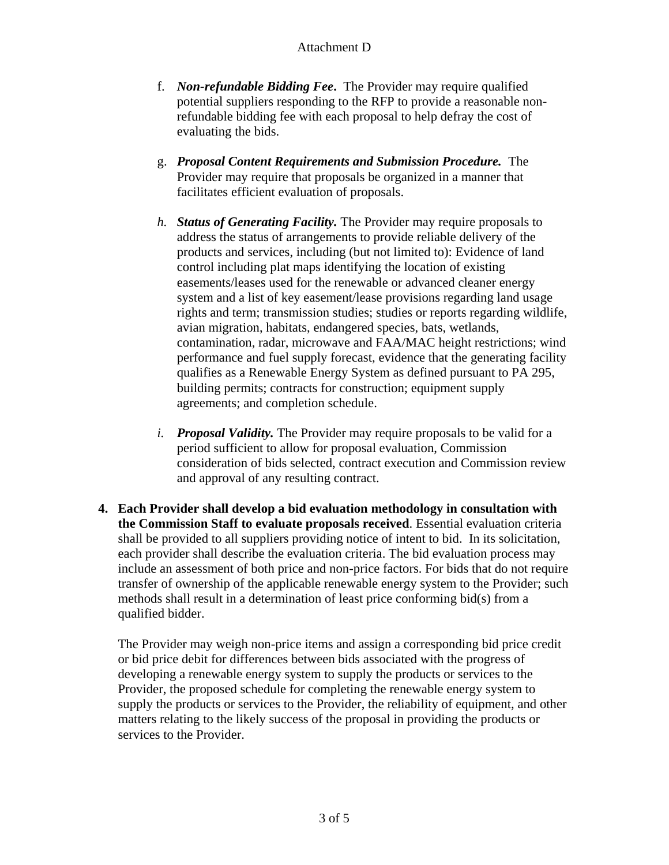- f. *Non-refundable Bidding Fee***.** The Provider may require qualified potential suppliers responding to the RFP to provide a reasonable nonrefundable bidding fee with each proposal to help defray the cost of evaluating the bids.
- g. *Proposal Content Requirements and Submission Procedure.* The Provider may require that proposals be organized in a manner that facilitates efficient evaluation of proposals.
- *h. Status of Generating Facility.* The Provider may require proposals to address the status of arrangements to provide reliable delivery of the products and services, including (but not limited to): Evidence of land control including plat maps identifying the location of existing easements/leases used for the renewable or advanced cleaner energy system and a list of key easement/lease provisions regarding land usage rights and term; transmission studies; studies or reports regarding wildlife, avian migration, habitats, endangered species, bats, wetlands, contamination, radar, microwave and FAA/MAC height restrictions; wind performance and fuel supply forecast, evidence that the generating facility qualifies as a Renewable Energy System as defined pursuant to PA 295, building permits; contracts for construction; equipment supply agreements; and completion schedule.
- *i. Proposal Validity.* The Provider may require proposals to be valid for a period sufficient to allow for proposal evaluation, Commission consideration of bids selected, contract execution and Commission review and approval of any resulting contract.
- **4. Each Provider shall develop a bid evaluation methodology in consultation with the Commission Staff to evaluate proposals received**. Essential evaluation criteria shall be provided to all suppliers providing notice of intent to bid. In its solicitation, each provider shall describe the evaluation criteria. The bid evaluation process may include an assessment of both price and non-price factors. For bids that do not require transfer of ownership of the applicable renewable energy system to the Provider; such methods shall result in a determination of least price conforming bid(s) from a qualified bidder.

The Provider may weigh non-price items and assign a corresponding bid price credit or bid price debit for differences between bids associated with the progress of developing a renewable energy system to supply the products or services to the Provider, the proposed schedule for completing the renewable energy system to supply the products or services to the Provider, the reliability of equipment, and other matters relating to the likely success of the proposal in providing the products or services to the Provider.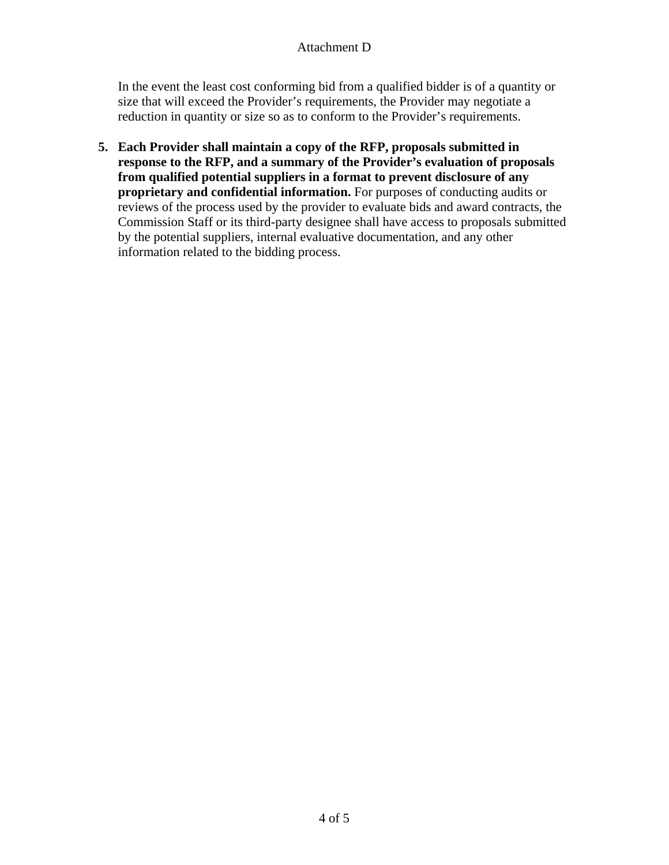In the event the least cost conforming bid from a qualified bidder is of a quantity or size that will exceed the Provider's requirements, the Provider may negotiate a reduction in quantity or size so as to conform to the Provider's requirements.

**5. Each Provider shall maintain a copy of the RFP, proposals submitted in response to the RFP, and a summary of the Provider's evaluation of proposals from qualified potential suppliers in a format to prevent disclosure of any proprietary and confidential information.** For purposes of conducting audits or reviews of the process used by the provider to evaluate bids and award contracts, the Commission Staff or its third-party designee shall have access to proposals submitted by the potential suppliers, internal evaluative documentation, and any other information related to the bidding process.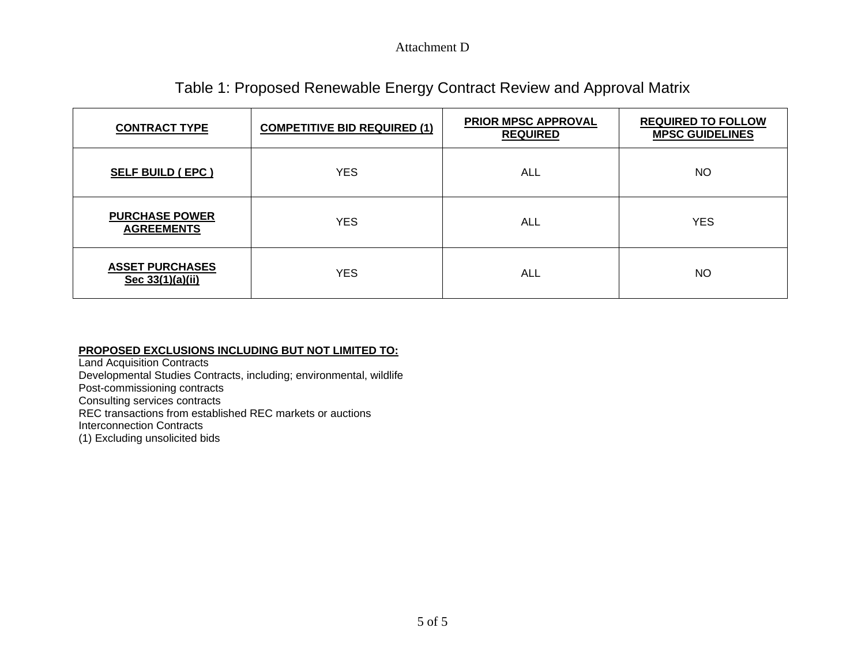# Table 1: Proposed Renewable Energy Contract Review and Approval Matrix

| <b>CONTRACT TYPE</b>                       | <b>COMPETITIVE BID REQUIRED (1)</b> | <b>PRIOR MPSC APPROVAL</b><br><b>REQUIRED</b> | <b>REQUIRED TO FOLLOW</b><br><b>MPSC GUIDELINES</b> |
|--------------------------------------------|-------------------------------------|-----------------------------------------------|-----------------------------------------------------|
| <b>SELF BUILD (EPC)</b>                    | <b>YES</b>                          | ALL                                           | <b>NO</b>                                           |
| <b>PURCHASE POWER</b><br><b>AGREEMENTS</b> | <b>YES</b>                          | ALL                                           | <b>YES</b>                                          |
| <b>ASSET PURCHASES</b><br>Sec 33(1)(a)(ii) | <b>YES</b>                          | ALL                                           | <b>NO</b>                                           |

#### **PROPOSED EXCLUSIONS INCLUDING BUT NOT LIMITED TO:**

Land Acquisition Contracts Developmental Studies Contracts, including; environmental, wildlife Post-commissioning contracts Consulting services contracts REC transactions from established REC markets or auctions Interconnection Contracts (1) Excluding unsolicited bids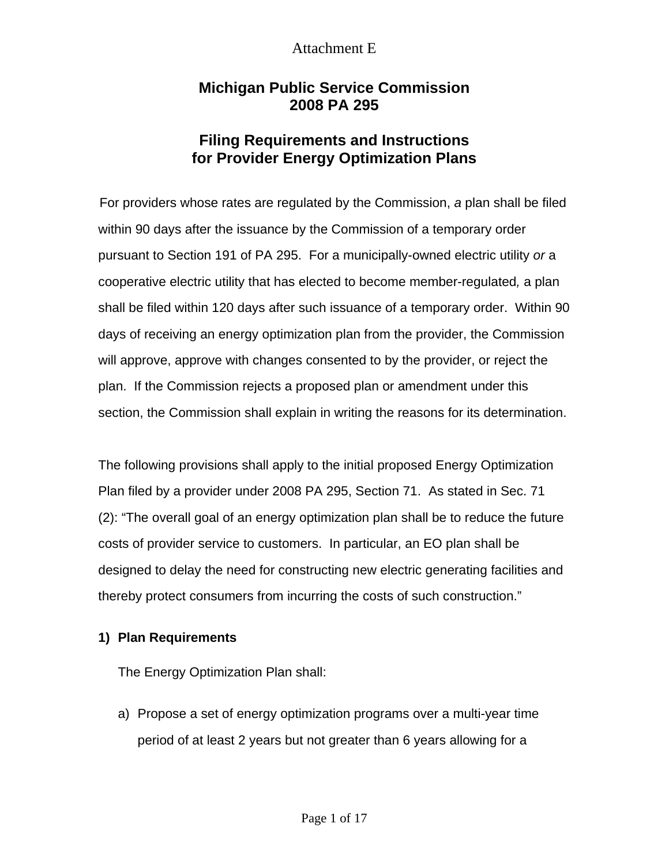# **Michigan Public Service Commission 2008 PA 295**

# **Filing Requirements and Instructions for Provider Energy Optimization Plans**

 For providers whose rates are regulated by the Commission, *a* plan shall be filed within 90 days after the issuance by the Commission of a temporary order pursuant to Section 191 of PA 295. For a municipally-owned electric utility *or* a cooperative electric utility that has elected to become member-regulated*,* a plan shall be filed within 120 days after such issuance of a temporary order. Within 90 days of receiving an energy optimization plan from the provider, the Commission will approve, approve with changes consented to by the provider, or reject the plan. If the Commission rejects a proposed plan or amendment under this section, the Commission shall explain in writing the reasons for its determination.

The following provisions shall apply to the initial proposed Energy Optimization Plan filed by a provider under 2008 PA 295, Section 71. As stated in Sec. 71 (2): "The overall goal of an energy optimization plan shall be to reduce the future costs of provider service to customers. In particular, an EO plan shall be designed to delay the need for constructing new electric generating facilities and thereby protect consumers from incurring the costs of such construction."

#### **1) Plan Requirements**

The Energy Optimization Plan shall:

a) Propose a set of energy optimization programs over a multi-year time period of at least 2 years but not greater than 6 years allowing for a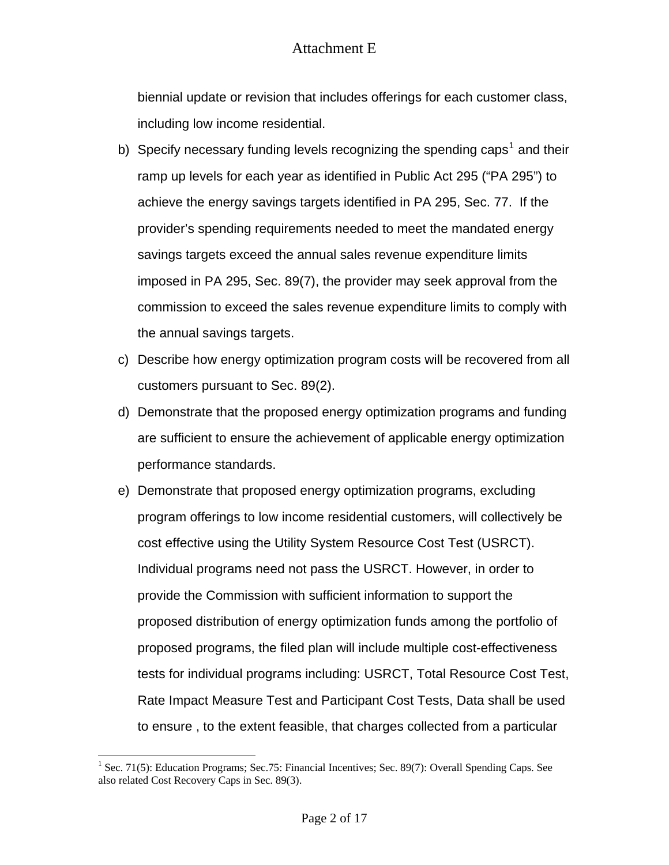biennial update or revision that includes offerings for each customer class, including low income residential.

- b) Specify necessary funding levels recognizing the spending caps<sup>[1](#page-56-0)</sup> and their ramp up levels for each year as identified in Public Act 295 ("PA 295") to achieve the energy savings targets identified in PA 295, Sec. 77. If the provider's spending requirements needed to meet the mandated energy savings targets exceed the annual sales revenue expenditure limits imposed in PA 295, Sec. 89(7), the provider may seek approval from the commission to exceed the sales revenue expenditure limits to comply with the annual savings targets.
- c) Describe how energy optimization program costs will be recovered from all customers pursuant to Sec. 89(2).
- d) Demonstrate that the proposed energy optimization programs and funding are sufficient to ensure the achievement of applicable energy optimization performance standards.
- e) Demonstrate that proposed energy optimization programs, excluding program offerings to low income residential customers, will collectively be cost effective using the Utility System Resource Cost Test (USRCT). Individual programs need not pass the USRCT. However, in order to provide the Commission with sufficient information to support the proposed distribution of energy optimization funds among the portfolio of proposed programs, the filed plan will include multiple cost-effectiveness tests for individual programs including: USRCT, Total Resource Cost Test, Rate Impact Measure Test and Participant Cost Tests, Data shall be used to ensure , to the extent feasible, that charges collected from a particular

 $\overline{a}$ 

<span id="page-56-0"></span><sup>&</sup>lt;sup>1</sup> Sec. 71(5): Education Programs; Sec.75: Financial Incentives; Sec. 89(7): Overall Spending Caps. See also related Cost Recovery Caps in Sec. 89(3).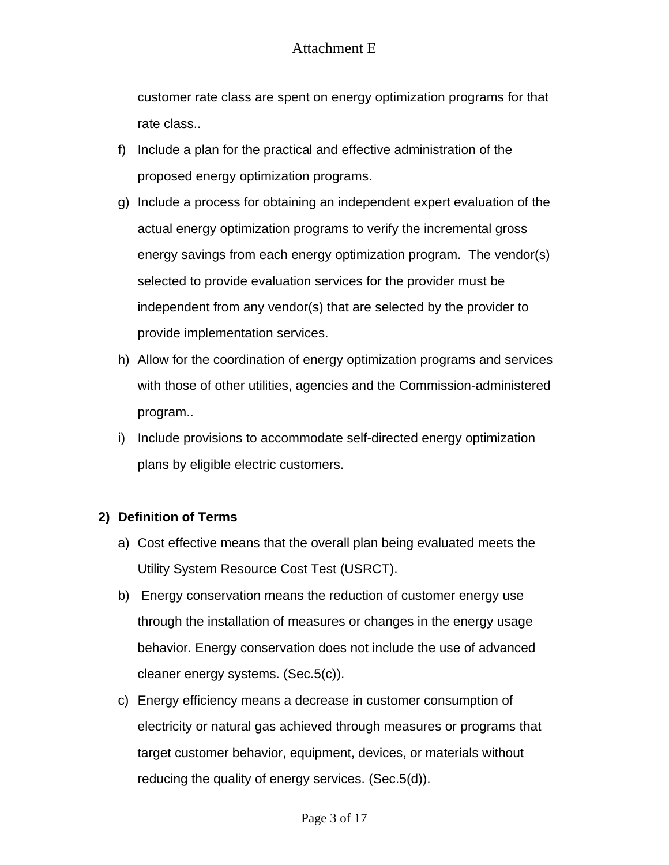customer rate class are spent on energy optimization programs for that rate class..

- f) Include a plan for the practical and effective administration of the proposed energy optimization programs.
- g) Include a process for obtaining an independent expert evaluation of the actual energy optimization programs to verify the incremental gross energy savings from each energy optimization program. The vendor(s) selected to provide evaluation services for the provider must be independent from any vendor(s) that are selected by the provider to provide implementation services.
- h) Allow for the coordination of energy optimization programs and services with those of other utilities, agencies and the Commission-administered program..
- i) Include provisions to accommodate self-directed energy optimization plans by eligible electric customers.

### **2) Definition of Terms**

- a) Cost effective means that the overall plan being evaluated meets the Utility System Resource Cost Test (USRCT).
- b) Energy conservation means the reduction of customer energy use through the installation of measures or changes in the energy usage behavior. Energy conservation does not include the use of advanced cleaner energy systems. (Sec.5(c)).
- c) Energy efficiency means a decrease in customer consumption of electricity or natural gas achieved through measures or programs that target customer behavior, equipment, devices, or materials without reducing the quality of energy services. (Sec.5(d)).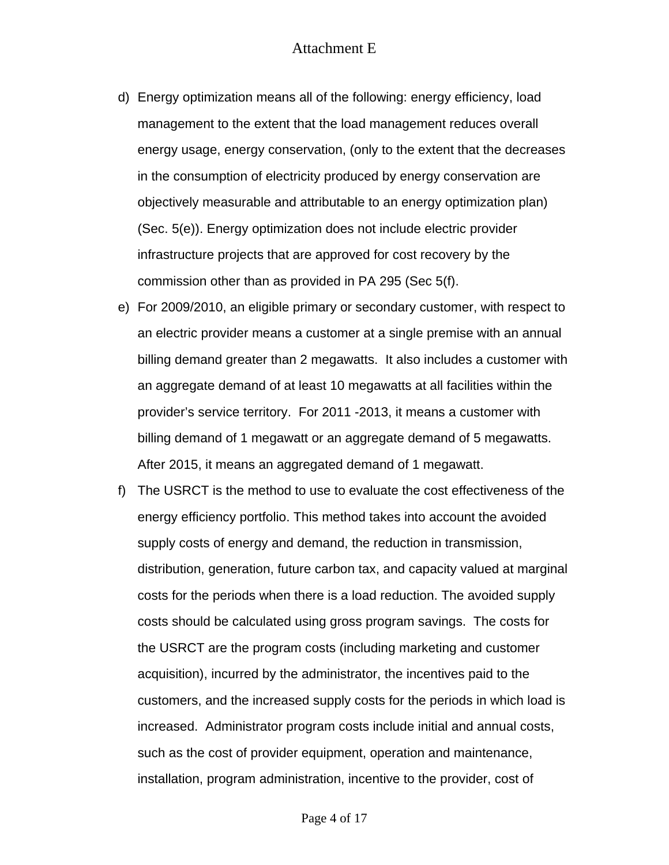- d) Energy optimization means all of the following: energy efficiency, load management to the extent that the load management reduces overall energy usage, energy conservation, (only to the extent that the decreases in the consumption of electricity produced by energy conservation are objectively measurable and attributable to an energy optimization plan) (Sec. 5(e)). Energy optimization does not include electric provider infrastructure projects that are approved for cost recovery by the commission other than as provided in PA 295 (Sec 5(f).
- e) For 2009/2010, an eligible primary or secondary customer, with respect to an electric provider means a customer at a single premise with an annual billing demand greater than 2 megawatts. It also includes a customer with an aggregate demand of at least 10 megawatts at all facilities within the provider's service territory. For 2011 -2013, it means a customer with billing demand of 1 megawatt or an aggregate demand of 5 megawatts. After 2015, it means an aggregated demand of 1 megawatt.
- f) The USRCT is the method to use to evaluate the cost effectiveness of the energy efficiency portfolio. This method takes into account the avoided supply costs of energy and demand, the reduction in transmission, distribution, generation, future carbon tax, and capacity valued at marginal costs for the periods when there is a load reduction. The avoided supply costs should be calculated using gross program savings. The costs for the USRCT are the program costs (including marketing and customer acquisition), incurred by the administrator, the incentives paid to the customers, and the increased supply costs for the periods in which load is increased. Administrator program costs include initial and annual costs, such as the cost of provider equipment, operation and maintenance, installation, program administration, incentive to the provider, cost of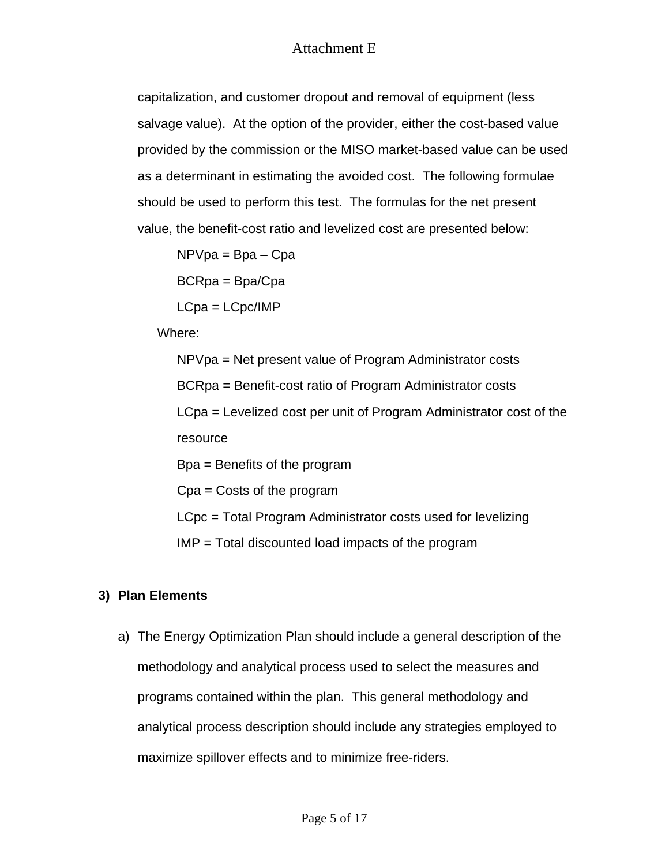capitalization, and customer dropout and removal of equipment (less salvage value). At the option of the provider, either the cost-based value provided by the commission or the MISO market-based value can be used as a determinant in estimating the avoided cost. The following formulae should be used to perform this test. The formulas for the net present value, the benefit-cost ratio and levelized cost are presented below:

 $NPVpa = Bpa - Cpa$ BCRpa = Bpa/Cpa LCpa = LCpc/IMP

Where:

NPVpa = Net present value of Program Administrator costs

BCRpa = Benefit-cost ratio of Program Administrator costs

LCpa = Levelized cost per unit of Program Administrator cost of the resource

Bpa = Benefits of the program

Cpa = Costs of the program

LCpc = Total Program Administrator costs used for levelizing

IMP = Total discounted load impacts of the program

## **3) Plan Elements**

a) The Energy Optimization Plan should include a general description of the methodology and analytical process used to select the measures and programs contained within the plan. This general methodology and analytical process description should include any strategies employed to maximize spillover effects and to minimize free-riders.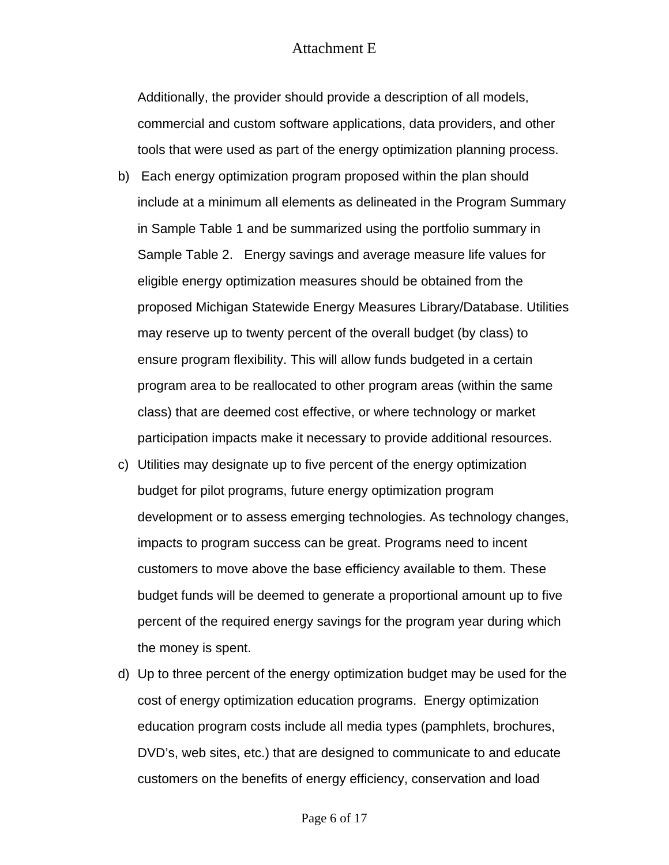Additionally, the provider should provide a description of all models, commercial and custom software applications, data providers, and other tools that were used as part of the energy optimization planning process.

- b) Each energy optimization program proposed within the plan should include at a minimum all elements as delineated in the Program Summary in Sample Table 1 and be summarized using the portfolio summary in Sample Table 2. Energy savings and average measure life values for eligible energy optimization measures should be obtained from the proposed Michigan Statewide Energy Measures Library/Database. Utilities may reserve up to twenty percent of the overall budget (by class) to ensure program flexibility. This will allow funds budgeted in a certain program area to be reallocated to other program areas (within the same class) that are deemed cost effective, or where technology or market participation impacts make it necessary to provide additional resources.
- c) Utilities may designate up to five percent of the energy optimization budget for pilot programs, future energy optimization program development or to assess emerging technologies. As technology changes, impacts to program success can be great. Programs need to incent customers to move above the base efficiency available to them. These budget funds will be deemed to generate a proportional amount up to five percent of the required energy savings for the program year during which the money is spent.
- d) Up to three percent of the energy optimization budget may be used for the cost of energy optimization education programs. Energy optimization education program costs include all media types (pamphlets, brochures, DVD's, web sites, etc.) that are designed to communicate to and educate customers on the benefits of energy efficiency, conservation and load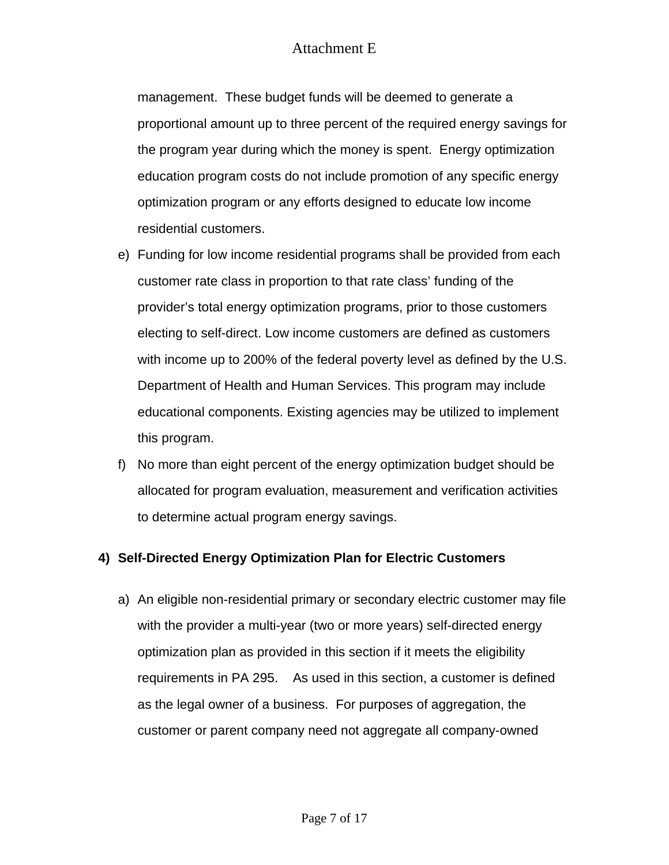management. These budget funds will be deemed to generate a proportional amount up to three percent of the required energy savings for the program year during which the money is spent. Energy optimization education program costs do not include promotion of any specific energy optimization program or any efforts designed to educate low income residential customers.

- e) Funding for low income residential programs shall be provided from each customer rate class in proportion to that rate class' funding of the provider's total energy optimization programs, prior to those customers electing to self-direct. Low income customers are defined as customers with income up to 200% of the federal poverty level as defined by the U.S. Department of Health and Human Services. This program may include educational components. Existing agencies may be utilized to implement this program.
- f) No more than eight percent of the energy optimization budget should be allocated for program evaluation, measurement and verification activities to determine actual program energy savings.

### **4) Self-Directed Energy Optimization Plan for Electric Customers**

a) An eligible non-residential primary or secondary electric customer may file with the provider a multi-year (two or more years) self-directed energy optimization plan as provided in this section if it meets the eligibility requirements in PA 295. As used in this section, a customer is defined as the legal owner of a business. For purposes of aggregation, the customer or parent company need not aggregate all company-owned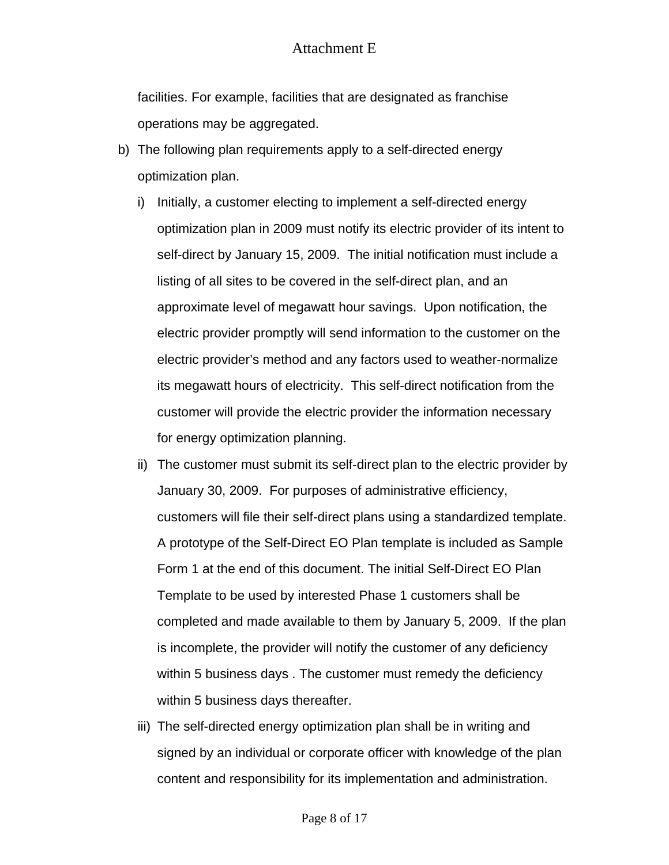facilities. For example, facilities that are designated as franchise operations may be aggregated.

- b) The following plan requirements apply to a self-directed energy optimization plan.
	- i) Initially, a customer electing to implement a self-directed energy optimization plan in 2009 must notify its electric provider of its intent to self-direct by January 15, 2009. The initial notification must include a listing of all sites to be covered in the self-direct plan, and an approximate level of megawatt hour savings. Upon notification, the electric provider promptly will send information to the customer on the electric provider's method and any factors used to weather-normalize its megawatt hours of electricity. This self-direct notification from the customer will provide the electric provider the information necessary for energy optimization planning.
	- ii) The customer must submit its self-direct plan to the electric provider by January 30, 2009. For purposes of administrative efficiency, customers will file their self-direct plans using a standardized template. A prototype of the Self-Direct EO Plan template is included as Sample Form 1 at the end of this document. The initial Self-Direct EO Plan Template to be used by interested Phase 1 customers shall be completed and made available to them by January 5, 2009. If the plan is incomplete, the provider will notify the customer of any deficiency within 5 business days . The customer must remedy the deficiency within 5 business days thereafter.
	- iii) The self-directed energy optimization plan shall be in writing and signed by an individual or corporate officer with knowledge of the plan content and responsibility for its implementation and administration.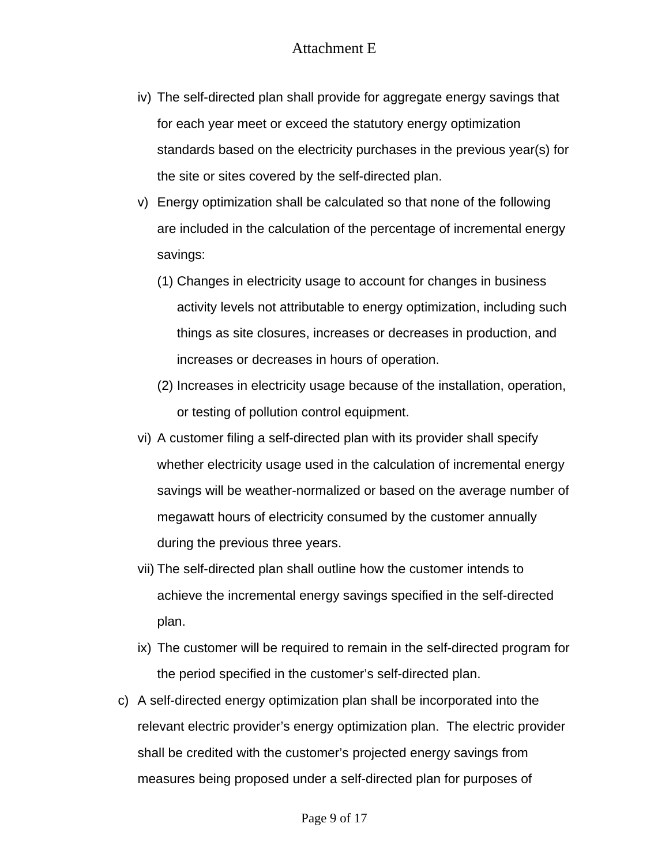- iv) The self-directed plan shall provide for aggregate energy savings that for each year meet or exceed the statutory energy optimization standards based on the electricity purchases in the previous year(s) for the site or sites covered by the self-directed plan.
- v) Energy optimization shall be calculated so that none of the following are included in the calculation of the percentage of incremental energy savings:
	- (1) Changes in electricity usage to account for changes in business activity levels not attributable to energy optimization, including such things as site closures, increases or decreases in production, and increases or decreases in hours of operation.
	- (2) Increases in electricity usage because of the installation, operation, or testing of pollution control equipment.
- vi) A customer filing a self-directed plan with its provider shall specify whether electricity usage used in the calculation of incremental energy savings will be weather-normalized or based on the average number of megawatt hours of electricity consumed by the customer annually during the previous three years.
- vii) The self-directed plan shall outline how the customer intends to achieve the incremental energy savings specified in the self-directed plan.
- ix) The customer will be required to remain in the self-directed program for the period specified in the customer's self-directed plan.
- c) A self-directed energy optimization plan shall be incorporated into the relevant electric provider's energy optimization plan. The electric provider shall be credited with the customer's projected energy savings from measures being proposed under a self-directed plan for purposes of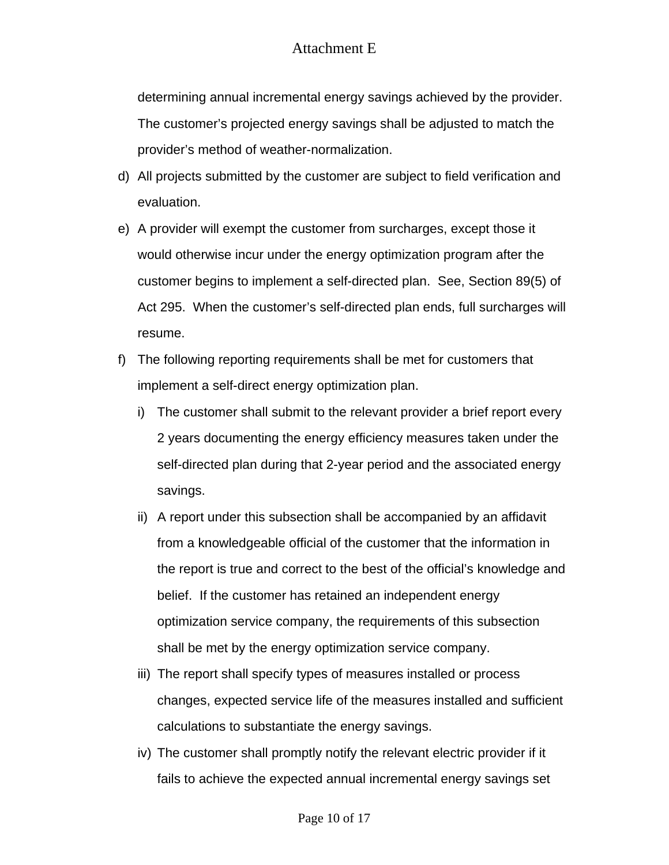determining annual incremental energy savings achieved by the provider. The customer's projected energy savings shall be adjusted to match the provider's method of weather-normalization.

- d) All projects submitted by the customer are subject to field verification and evaluation.
- e) A provider will exempt the customer from surcharges, except those it would otherwise incur under the energy optimization program after the customer begins to implement a self-directed plan. See, Section 89(5) of Act 295. When the customer's self-directed plan ends, full surcharges will resume.
- f) The following reporting requirements shall be met for customers that implement a self-direct energy optimization plan.
	- i) The customer shall submit to the relevant provider a brief report every 2 years documenting the energy efficiency measures taken under the self-directed plan during that 2-year period and the associated energy savings.
	- ii) A report under this subsection shall be accompanied by an affidavit from a knowledgeable official of the customer that the information in the report is true and correct to the best of the official's knowledge and belief. If the customer has retained an independent energy optimization service company, the requirements of this subsection shall be met by the energy optimization service company.
	- iii) The report shall specify types of measures installed or process changes, expected service life of the measures installed and sufficient calculations to substantiate the energy savings.
	- iv) The customer shall promptly notify the relevant electric provider if it fails to achieve the expected annual incremental energy savings set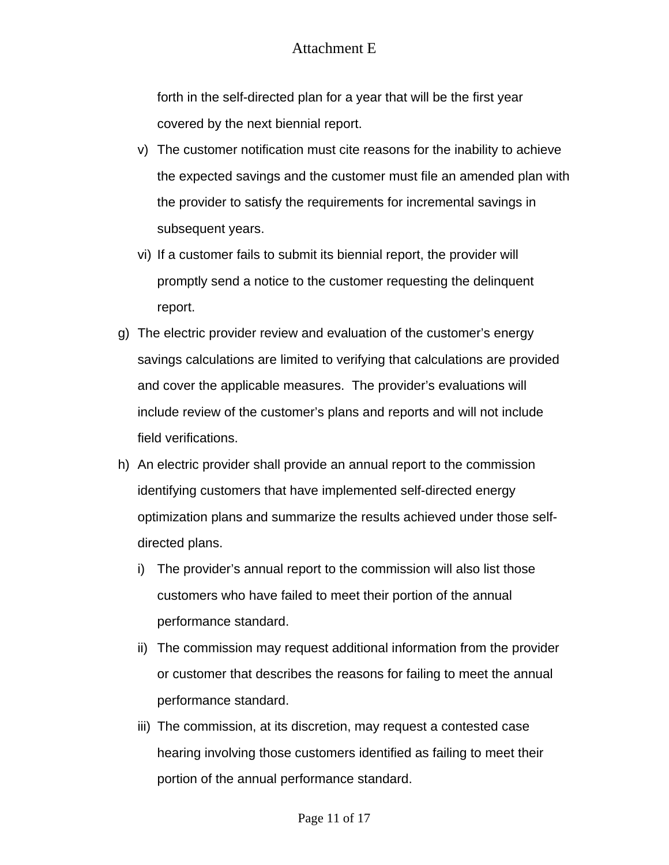forth in the self-directed plan for a year that will be the first year covered by the next biennial report.

- v) The customer notification must cite reasons for the inability to achieve the expected savings and the customer must file an amended plan with the provider to satisfy the requirements for incremental savings in subsequent years.
- vi) If a customer fails to submit its biennial report, the provider will promptly send a notice to the customer requesting the delinquent report.
- g) The electric provider review and evaluation of the customer's energy savings calculations are limited to verifying that calculations are provided and cover the applicable measures. The provider's evaluations will include review of the customer's plans and reports and will not include field verifications.
- h) An electric provider shall provide an annual report to the commission identifying customers that have implemented self-directed energy optimization plans and summarize the results achieved under those selfdirected plans.
	- i) The provider's annual report to the commission will also list those customers who have failed to meet their portion of the annual performance standard.
	- ii) The commission may request additional information from the provider or customer that describes the reasons for failing to meet the annual performance standard.
	- iii) The commission, at its discretion, may request a contested case hearing involving those customers identified as failing to meet their portion of the annual performance standard.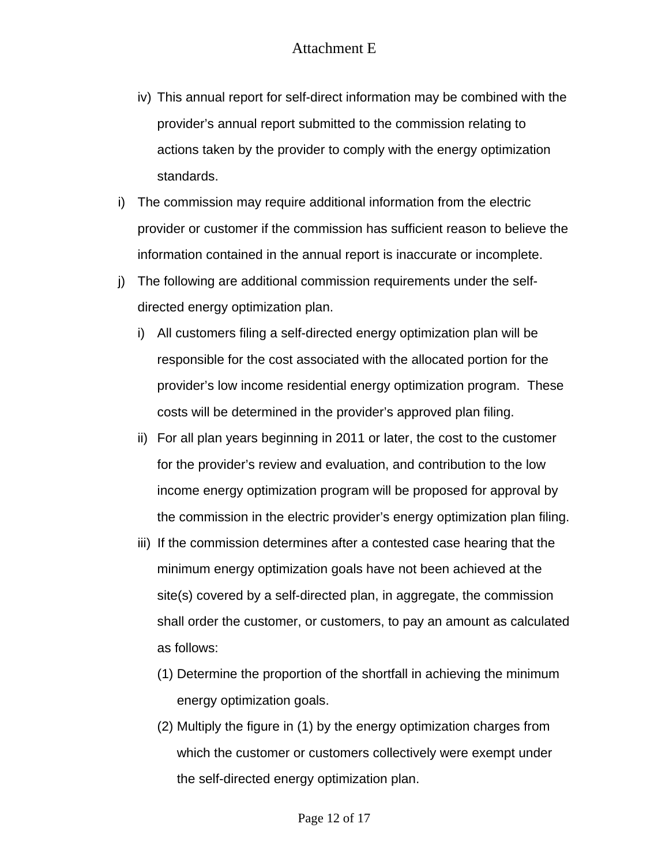- iv) This annual report for self-direct information may be combined with the provider's annual report submitted to the commission relating to actions taken by the provider to comply with the energy optimization standards.
- i) The commission may require additional information from the electric provider or customer if the commission has sufficient reason to believe the information contained in the annual report is inaccurate or incomplete.
- j) The following are additional commission requirements under the selfdirected energy optimization plan.
	- i) All customers filing a self-directed energy optimization plan will be responsible for the cost associated with the allocated portion for the provider's low income residential energy optimization program. These costs will be determined in the provider's approved plan filing.
	- ii) For all plan years beginning in 2011 or later, the cost to the customer for the provider's review and evaluation, and contribution to the low income energy optimization program will be proposed for approval by the commission in the electric provider's energy optimization plan filing.
	- iii) If the commission determines after a contested case hearing that the minimum energy optimization goals have not been achieved at the site(s) covered by a self-directed plan, in aggregate, the commission shall order the customer, or customers, to pay an amount as calculated as follows:
		- (1) Determine the proportion of the shortfall in achieving the minimum energy optimization goals.
		- (2) Multiply the figure in (1) by the energy optimization charges from which the customer or customers collectively were exempt under the self-directed energy optimization plan.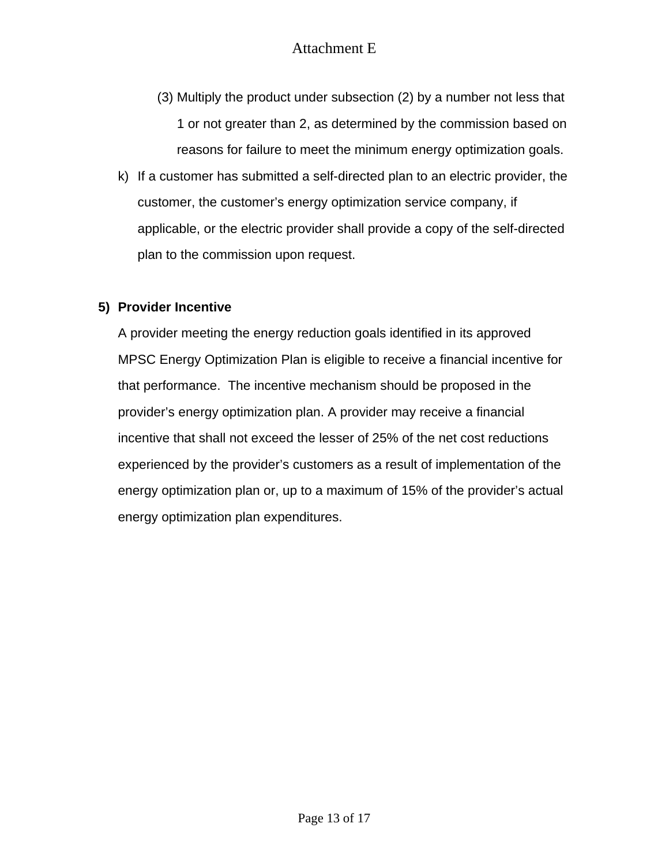- (3) Multiply the product under subsection (2) by a number not less that 1 or not greater than 2, as determined by the commission based on reasons for failure to meet the minimum energy optimization goals.
- k) If a customer has submitted a self-directed plan to an electric provider, the customer, the customer's energy optimization service company, if applicable, or the electric provider shall provide a copy of the self-directed plan to the commission upon request.

### **5) Provider Incentive**

A provider meeting the energy reduction goals identified in its approved MPSC Energy Optimization Plan is eligible to receive a financial incentive for that performance. The incentive mechanism should be proposed in the provider's energy optimization plan. A provider may receive a financial incentive that shall not exceed the lesser of 25% of the net cost reductions experienced by the provider's customers as a result of implementation of the energy optimization plan or, up to a maximum of 15% of the provider's actual energy optimization plan expenditures.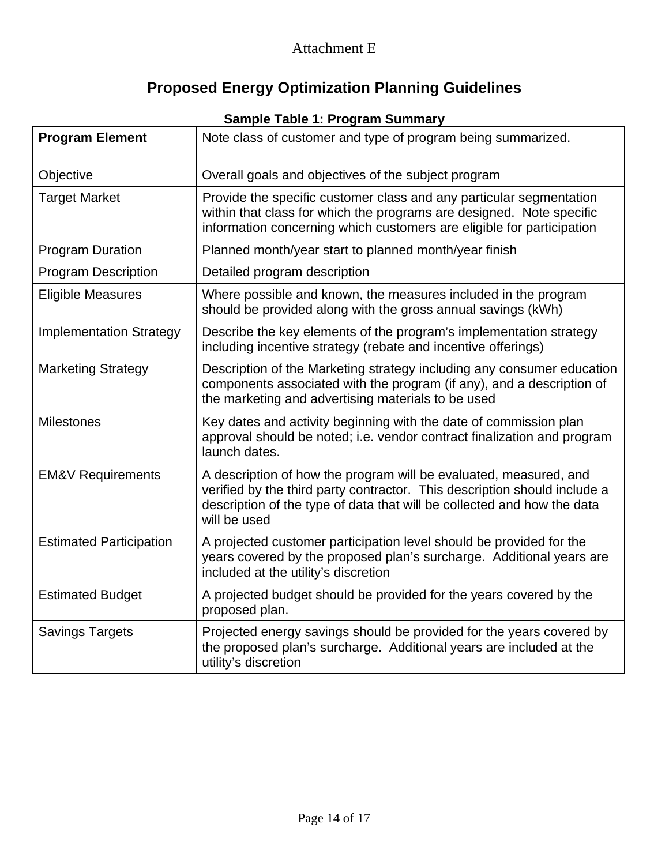# **Proposed Energy Optimization Planning Guidelines**

|                                | <b>Sample Table 1: Program Summary</b>                                                                                                                                                                                                    |
|--------------------------------|-------------------------------------------------------------------------------------------------------------------------------------------------------------------------------------------------------------------------------------------|
| <b>Program Element</b>         | Note class of customer and type of program being summarized.                                                                                                                                                                              |
| Objective                      | Overall goals and objectives of the subject program                                                                                                                                                                                       |
| <b>Target Market</b>           | Provide the specific customer class and any particular segmentation<br>within that class for which the programs are designed. Note specific<br>information concerning which customers are eligible for participation                      |
| <b>Program Duration</b>        | Planned month/year start to planned month/year finish                                                                                                                                                                                     |
| <b>Program Description</b>     | Detailed program description                                                                                                                                                                                                              |
| <b>Eligible Measures</b>       | Where possible and known, the measures included in the program<br>should be provided along with the gross annual savings (kWh)                                                                                                            |
| <b>Implementation Strategy</b> | Describe the key elements of the program's implementation strategy<br>including incentive strategy (rebate and incentive offerings)                                                                                                       |
| <b>Marketing Strategy</b>      | Description of the Marketing strategy including any consumer education<br>components associated with the program (if any), and a description of<br>the marketing and advertising materials to be used                                     |
| <b>Milestones</b>              | Key dates and activity beginning with the date of commission plan<br>approval should be noted; i.e. vendor contract finalization and program<br>launch dates.                                                                             |
| <b>EM&amp;V Requirements</b>   | A description of how the program will be evaluated, measured, and<br>verified by the third party contractor. This description should include a<br>description of the type of data that will be collected and how the data<br>will be used |
| <b>Estimated Participation</b> | A projected customer participation level should be provided for the<br>years covered by the proposed plan's surcharge. Additional years are<br>included at the utility's discretion                                                       |
| <b>Estimated Budget</b>        | A projected budget should be provided for the years covered by the<br>proposed plan.                                                                                                                                                      |
| <b>Savings Targets</b>         | Projected energy savings should be provided for the years covered by<br>the proposed plan's surcharge. Additional years are included at the<br>utility's discretion                                                                       |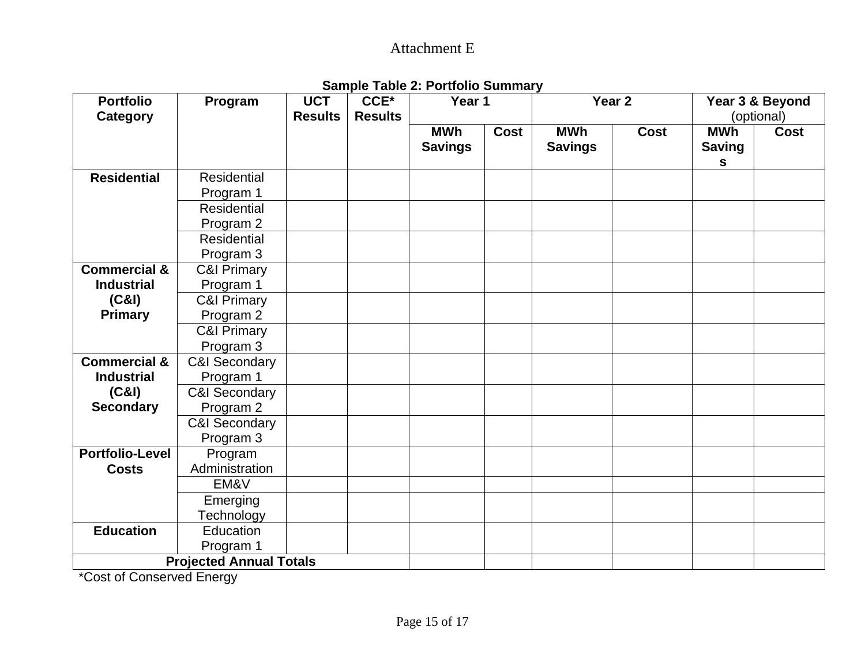| <b>Portfolio</b>        | Program                        | <b>UCT</b>     | , <b>.</b> .<br>CCE*<br><b>Results</b> | .<br>Year 1                  |      |                              | Year 2      |                             | Year 3 & Beyond |  |
|-------------------------|--------------------------------|----------------|----------------------------------------|------------------------------|------|------------------------------|-------------|-----------------------------|-----------------|--|
| <b>Category</b>         |                                | <b>Results</b> |                                        |                              |      |                              |             | (optional)                  |                 |  |
|                         |                                |                |                                        | <b>MWh</b><br><b>Savings</b> | Cost | <b>MWh</b><br><b>Savings</b> | <b>Cost</b> | <b>MWh</b><br><b>Saving</b> | <b>Cost</b>     |  |
|                         |                                |                |                                        |                              |      |                              |             | S                           |                 |  |
| <b>Residential</b>      | Residential                    |                |                                        |                              |      |                              |             |                             |                 |  |
|                         | Program 1                      |                |                                        |                              |      |                              |             |                             |                 |  |
|                         | Residential                    |                |                                        |                              |      |                              |             |                             |                 |  |
|                         | Program 2                      |                |                                        |                              |      |                              |             |                             |                 |  |
|                         | <b>Residential</b>             |                |                                        |                              |      |                              |             |                             |                 |  |
|                         | Program 3                      |                |                                        |                              |      |                              |             |                             |                 |  |
| <b>Commercial &amp;</b> | C&I Primary                    |                |                                        |                              |      |                              |             |                             |                 |  |
| <b>Industrial</b>       | Program 1                      |                |                                        |                              |      |                              |             |                             |                 |  |
| (C&1)                   | <b>C&amp;I Primary</b>         |                |                                        |                              |      |                              |             |                             |                 |  |
| <b>Primary</b>          | Program 2                      |                |                                        |                              |      |                              |             |                             |                 |  |
|                         | <b>C&amp;I Primary</b>         |                |                                        |                              |      |                              |             |                             |                 |  |
|                         | Program 3                      |                |                                        |                              |      |                              |             |                             |                 |  |
| <b>Commercial &amp;</b> | <b>C&amp;I Secondary</b>       |                |                                        |                              |      |                              |             |                             |                 |  |
| <b>Industrial</b>       | Program 1                      |                |                                        |                              |      |                              |             |                             |                 |  |
| (C&I)                   | <b>C&amp;I Secondary</b>       |                |                                        |                              |      |                              |             |                             |                 |  |
| <b>Secondary</b>        | Program 2                      |                |                                        |                              |      |                              |             |                             |                 |  |
|                         | <b>C&amp;I Secondary</b>       |                |                                        |                              |      |                              |             |                             |                 |  |
|                         | Program 3                      |                |                                        |                              |      |                              |             |                             |                 |  |
| <b>Portfolio-Level</b>  | Program                        |                |                                        |                              |      |                              |             |                             |                 |  |
| <b>Costs</b>            | Administration                 |                |                                        |                              |      |                              |             |                             |                 |  |
|                         | EM&V                           |                |                                        |                              |      |                              |             |                             |                 |  |
|                         | Emerging                       |                |                                        |                              |      |                              |             |                             |                 |  |
|                         | Technology                     |                |                                        |                              |      |                              |             |                             |                 |  |
| <b>Education</b>        | Education                      |                |                                        |                              |      |                              |             |                             |                 |  |
|                         | Program 1                      |                |                                        |                              |      |                              |             |                             |                 |  |
|                         | <b>Projected Annual Totals</b> |                |                                        |                              |      |                              |             |                             |                 |  |

**Sample Table 2: Portfolio Summary** 

\*Cost of Conserved Energy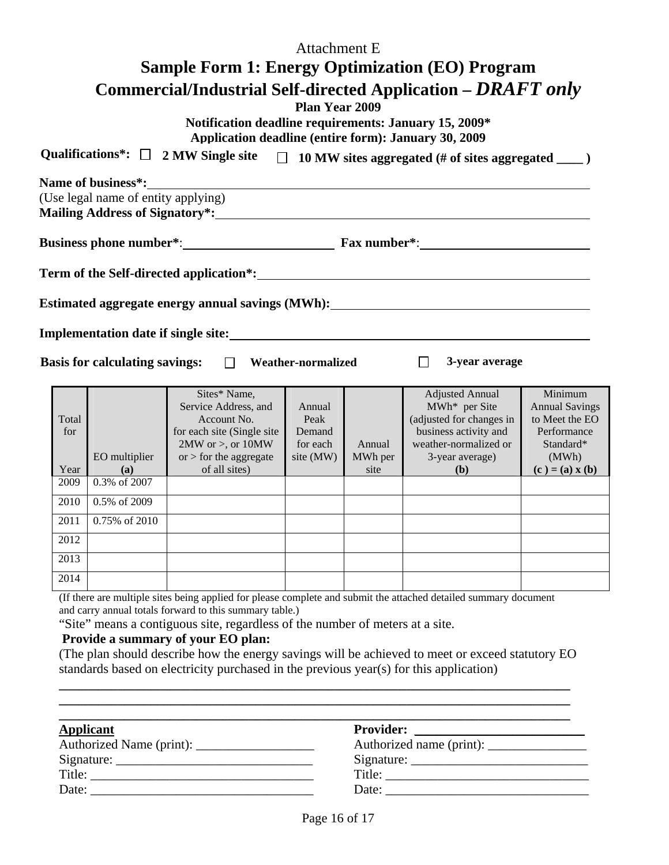|                      |                                                           |                                                                                                                                                            | <b>Attachment E</b>                               |                           |                                                                                                                                                                                                                                                           |                                                                                                              |
|----------------------|-----------------------------------------------------------|------------------------------------------------------------------------------------------------------------------------------------------------------------|---------------------------------------------------|---------------------------|-----------------------------------------------------------------------------------------------------------------------------------------------------------------------------------------------------------------------------------------------------------|--------------------------------------------------------------------------------------------------------------|
|                      |                                                           |                                                                                                                                                            |                                                   |                           | <b>Sample Form 1: Energy Optimization (EO) Program</b>                                                                                                                                                                                                    |                                                                                                              |
|                      |                                                           | Notification deadline requirements: January 15, 2009*<br>Application deadline (entire form): January 30, 2009                                              | <b>Plan Year 2009</b>                             |                           | Commercial/Industrial Self-directed Application – DRAFT only                                                                                                                                                                                              |                                                                                                              |
|                      |                                                           |                                                                                                                                                            |                                                   |                           | Qualifications*: $\Box$ 2 MW Single site $\Box$ 10 MW sites aggregated (# of sites aggregated ___)                                                                                                                                                        |                                                                                                              |
|                      | Name of business*:<br>(Use legal name of entity applying) |                                                                                                                                                            |                                                   |                           |                                                                                                                                                                                                                                                           |                                                                                                              |
|                      |                                                           |                                                                                                                                                            |                                                   |                           |                                                                                                                                                                                                                                                           |                                                                                                              |
|                      | <b>Basis for calculating savings:</b>                     | $\Box$                                                                                                                                                     | <b>Weather-normalized</b>                         |                           | Estimated aggregate energy annual savings (MWh): The manual savings (MWh) and the same of the same of the same of the same of the same of the same of the same of the same of the same of the same of the same of the same of<br>$\Box$<br>3-year average |                                                                                                              |
| Total<br>for<br>Year | EO multiplier<br>(a)<br>0.3% of 2007                      | Sites* Name,<br>Service Address, and<br>Account No.<br>for each site (Single site<br>$2MW$ or $>$ , or $10MW$<br>or $>$ for the aggregate<br>of all sites) | Annual<br>Peak<br>Demand<br>for each<br>site (MW) | Annual<br>MWh per<br>site | <b>Adjusted Annual</b><br>MWh* per Site<br>(adjusted for changes in<br>business activity and<br>weather-normalized or<br>3-year average)<br>(b)                                                                                                           | Minimum<br><b>Annual Savings</b><br>to Meet the EO<br>Performance<br>Standard*<br>(MWh)<br>$(c) = (a) x (b)$ |
| 2009<br>2010         | 0.5% of 2009                                              |                                                                                                                                                            |                                                   |                           |                                                                                                                                                                                                                                                           |                                                                                                              |
| 2011                 | 0.75% of 2010                                             |                                                                                                                                                            |                                                   |                           |                                                                                                                                                                                                                                                           |                                                                                                              |
| 2012                 |                                                           |                                                                                                                                                            |                                                   |                           |                                                                                                                                                                                                                                                           |                                                                                                              |
| 2013                 |                                                           |                                                                                                                                                            |                                                   |                           |                                                                                                                                                                                                                                                           |                                                                                                              |
| 2014                 |                                                           |                                                                                                                                                            |                                                   |                           |                                                                                                                                                                                                                                                           |                                                                                                              |
| $\sigma$ c $\sigma$  |                                                           | $\mathbf{1}$ $\mathbf{1}$ $\mathbf{0}$ $\mathbf{1}$                                                                                                        |                                                   |                           | $\mathbf{A}$ and $\mathbf{A}$ are a set of $\mathbf{A}$ and $\mathbf{A}$ are a set of $\mathbf{A}$                                                                                                                                                        |                                                                                                              |

(If there are multiple sites being applied for please complete and submit the attached detailed summary document and carry annual totals forward to this summary table.)

"Site" means a contiguous site, regardless of the number of meters at a site.

#### **Provide a summary of your EO plan:**

(The plan should describe how the energy savings will be achieved to meet or exceed statutory EO standards based on electricity purchased in the previous year(s) for this application)

**\_\_\_\_\_\_\_\_\_\_\_\_\_\_\_\_\_\_\_\_\_\_\_\_\_\_\_\_\_\_\_\_\_\_\_\_\_\_\_\_\_\_\_\_\_\_\_\_\_\_\_\_\_\_\_\_\_\_\_\_\_\_\_\_\_\_\_\_\_\_\_\_\_\_\_\_\_\_ \_\_\_\_\_\_\_\_\_\_\_\_\_\_\_\_\_\_\_\_\_\_\_\_\_\_\_\_\_\_\_\_\_\_\_\_\_\_\_\_\_\_\_\_\_\_\_\_\_\_\_\_\_\_\_\_\_\_\_\_\_\_\_\_\_\_\_\_\_\_\_\_\_\_\_\_\_\_** 

| <b>Applicant</b>                                                                                                               |                                                                                                                                                                                                                                                                                                                                                                                                              |
|--------------------------------------------------------------------------------------------------------------------------------|--------------------------------------------------------------------------------------------------------------------------------------------------------------------------------------------------------------------------------------------------------------------------------------------------------------------------------------------------------------------------------------------------------------|
|                                                                                                                                |                                                                                                                                                                                                                                                                                                                                                                                                              |
|                                                                                                                                |                                                                                                                                                                                                                                                                                                                                                                                                              |
| Title:<br><u> 1980 - Jan Samuel Barbara, político establecera e a la propia de la propia de la propia de la propia de la p</u> | Title: $\frac{1}{\sqrt{1-\frac{1}{2}}\sqrt{1-\frac{1}{2}}\sqrt{1-\frac{1}{2}}\sqrt{1-\frac{1}{2}}\sqrt{1-\frac{1}{2}}\sqrt{1-\frac{1}{2}}\sqrt{1-\frac{1}{2}}\sqrt{1-\frac{1}{2}}\sqrt{1-\frac{1}{2}}\sqrt{1-\frac{1}{2}}\sqrt{1-\frac{1}{2}}\sqrt{1-\frac{1}{2}}\sqrt{1-\frac{1}{2}}\sqrt{1-\frac{1}{2}}\sqrt{1-\frac{1}{2}}\sqrt{1-\frac{1}{2}}\sqrt{1-\frac{1}{2}}\sqrt{1-\frac{1}{2}}\sqrt{1-\frac{1}{2$ |
| Date:                                                                                                                          | Date:                                                                                                                                                                                                                                                                                                                                                                                                        |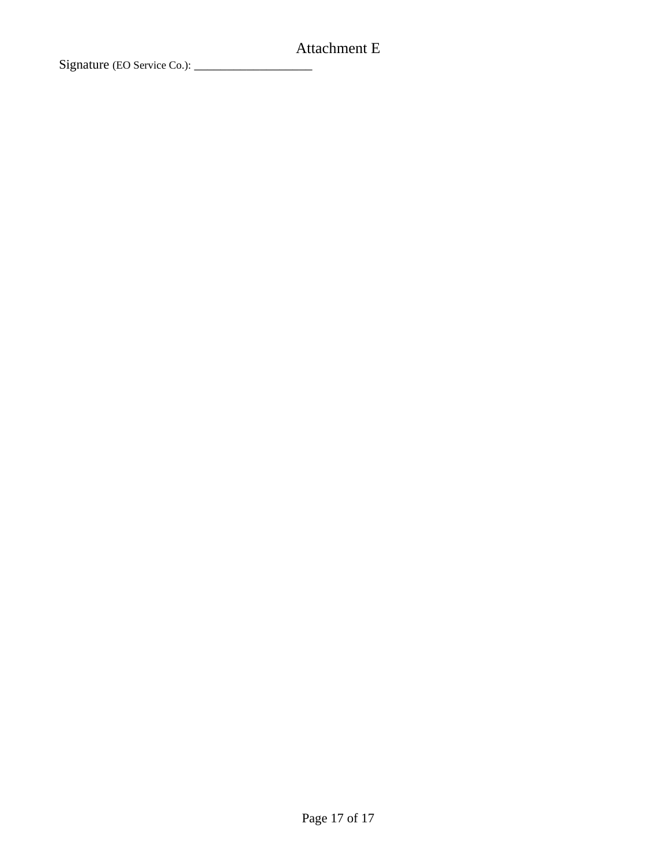Signature (EO Service Co.): \_\_\_\_\_\_\_\_\_\_\_\_\_\_\_\_\_\_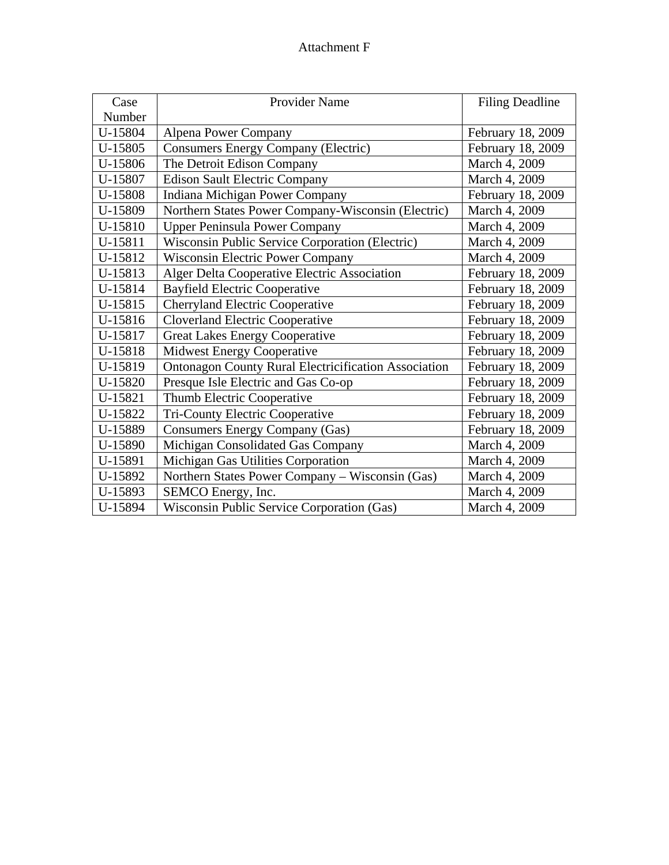| Case    | <b>Provider Name</b>                                        | <b>Filing Deadline</b> |
|---------|-------------------------------------------------------------|------------------------|
| Number  |                                                             |                        |
| U-15804 | <b>Alpena Power Company</b>                                 | February 18, 2009      |
| U-15805 | <b>Consumers Energy Company (Electric)</b>                  | February 18, 2009      |
| U-15806 | The Detroit Edison Company                                  | March 4, 2009          |
| U-15807 | <b>Edison Sault Electric Company</b>                        | March 4, 2009          |
| U-15808 | Indiana Michigan Power Company                              | February 18, 2009      |
| U-15809 | Northern States Power Company-Wisconsin (Electric)          | March 4, 2009          |
| U-15810 | <b>Upper Peninsula Power Company</b>                        | March 4, 2009          |
| U-15811 | Wisconsin Public Service Corporation (Electric)             | March 4, 2009          |
| U-15812 | <b>Wisconsin Electric Power Company</b>                     | March 4, 2009          |
| U-15813 | Alger Delta Cooperative Electric Association                | February 18, 2009      |
| U-15814 | <b>Bayfield Electric Cooperative</b>                        | February 18, 2009      |
| U-15815 | <b>Cherryland Electric Cooperative</b>                      | February 18, 2009      |
| U-15816 | <b>Cloverland Electric Cooperative</b>                      | February 18, 2009      |
| U-15817 | <b>Great Lakes Energy Cooperative</b>                       | February 18, 2009      |
| U-15818 | <b>Midwest Energy Cooperative</b>                           | February 18, 2009      |
| U-15819 | <b>Ontonagon County Rural Electricification Association</b> | February 18, 2009      |
| U-15820 | Presque Isle Electric and Gas Co-op                         | February 18, 2009      |
| U-15821 | Thumb Electric Cooperative                                  | February 18, 2009      |
| U-15822 | Tri-County Electric Cooperative                             | February 18, 2009      |
| U-15889 | <b>Consumers Energy Company (Gas)</b>                       | February 18, 2009      |
| U-15890 | Michigan Consolidated Gas Company                           | March 4, 2009          |
| U-15891 | Michigan Gas Utilities Corporation                          | March 4, 2009          |
| U-15892 | Northern States Power Company - Wisconsin (Gas)             | March 4, 2009          |
| U-15893 | SEMCO Energy, Inc.                                          | March 4, 2009          |
| U-15894 | <b>Wisconsin Public Service Corporation (Gas)</b>           | March 4, 2009          |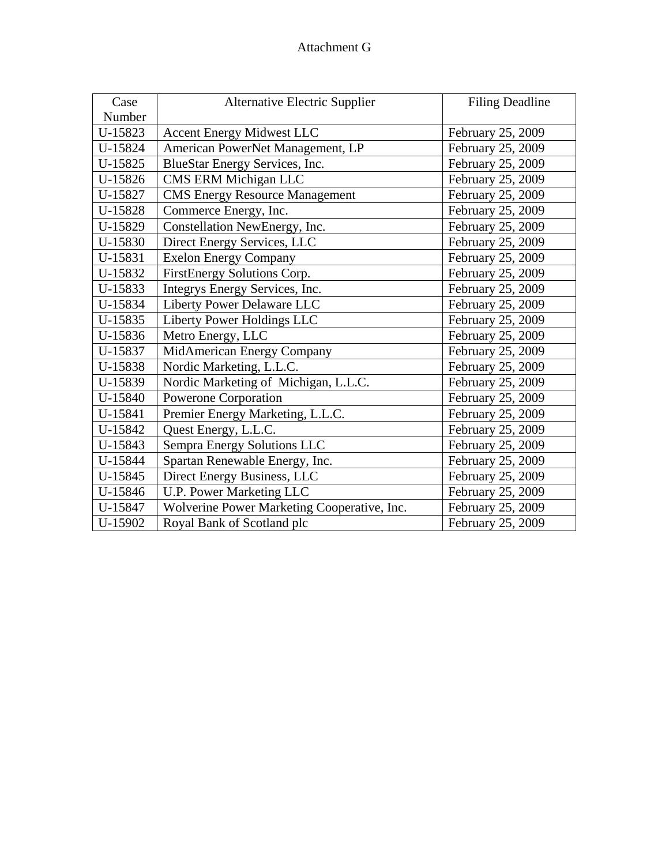| Case    | <b>Alternative Electric Supplier</b>        | <b>Filing Deadline</b> |
|---------|---------------------------------------------|------------------------|
| Number  |                                             |                        |
| U-15823 | <b>Accent Energy Midwest LLC</b>            | February 25, 2009      |
| U-15824 | American PowerNet Management, LP            | February 25, 2009      |
| U-15825 | BlueStar Energy Services, Inc.              | February 25, 2009      |
| U-15826 | CMS ERM Michigan LLC                        | February 25, 2009      |
| U-15827 | <b>CMS Energy Resource Management</b>       | February 25, 2009      |
| U-15828 | Commerce Energy, Inc.                       | February 25, 2009      |
| U-15829 | Constellation NewEnergy, Inc.               | February 25, 2009      |
| U-15830 | Direct Energy Services, LLC                 | February 25, 2009      |
| U-15831 | <b>Exelon Energy Company</b>                | February 25, 2009      |
| U-15832 | FirstEnergy Solutions Corp.                 | February 25, 2009      |
| U-15833 | Integrys Energy Services, Inc.              | February 25, 2009      |
| U-15834 | Liberty Power Delaware LLC                  | February 25, 2009      |
| U-15835 | Liberty Power Holdings LLC                  | February 25, 2009      |
| U-15836 | Metro Energy, LLC                           | February 25, 2009      |
| U-15837 | MidAmerican Energy Company                  | February 25, 2009      |
| U-15838 | Nordic Marketing, L.L.C.                    | February 25, 2009      |
| U-15839 | Nordic Marketing of Michigan, L.L.C.        | February 25, 2009      |
| U-15840 | Powerone Corporation                        | February 25, 2009      |
| U-15841 | Premier Energy Marketing, L.L.C.            | February 25, 2009      |
| U-15842 | Quest Energy, L.L.C.                        | February 25, 2009      |
| U-15843 | Sempra Energy Solutions LLC                 | February 25, 2009      |
| U-15844 | Spartan Renewable Energy, Inc.              | February 25, 2009      |
| U-15845 | Direct Energy Business, LLC                 | February 25, 2009      |
| U-15846 | U.P. Power Marketing LLC                    | February 25, 2009      |
| U-15847 | Wolverine Power Marketing Cooperative, Inc. | February 25, 2009      |
| U-15902 | Royal Bank of Scotland plc                  | February 25, 2009      |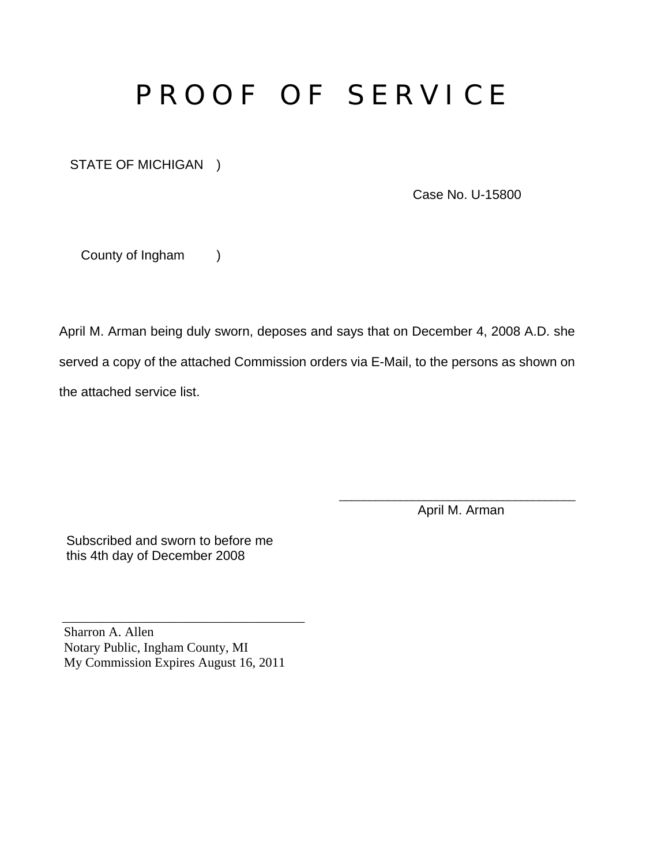## P R O O F O F S E R V I C E

STATE OF MICHIGAN )

Case No. U-15800

County of Ingham )

April M. Arman being duly sworn, deposes and says that on December 4, 2008 A.D. she served a copy of the attached Commission orders via E-Mail, to the persons as shown on the attached service list.

 $\overline{\phantom{a}}$  , which is a set of the set of the set of the set of the set of the set of the set of the set of the set of the set of the set of the set of the set of the set of the set of the set of the set of the set of th

April M. Arman

 Subscribed and sworn to before me this 4th day of December 2008

Sharron A. Allen Notary Public, Ingham County, MI My Commission Expires August 16, 2011

 $\overline{\phantom{a}}$  ,  $\overline{\phantom{a}}$  ,  $\overline{\phantom{a}}$  ,  $\overline{\phantom{a}}$  ,  $\overline{\phantom{a}}$  ,  $\overline{\phantom{a}}$  ,  $\overline{\phantom{a}}$  ,  $\overline{\phantom{a}}$  ,  $\overline{\phantom{a}}$  ,  $\overline{\phantom{a}}$  ,  $\overline{\phantom{a}}$  ,  $\overline{\phantom{a}}$  ,  $\overline{\phantom{a}}$  ,  $\overline{\phantom{a}}$  ,  $\overline{\phantom{a}}$  ,  $\overline{\phantom{a}}$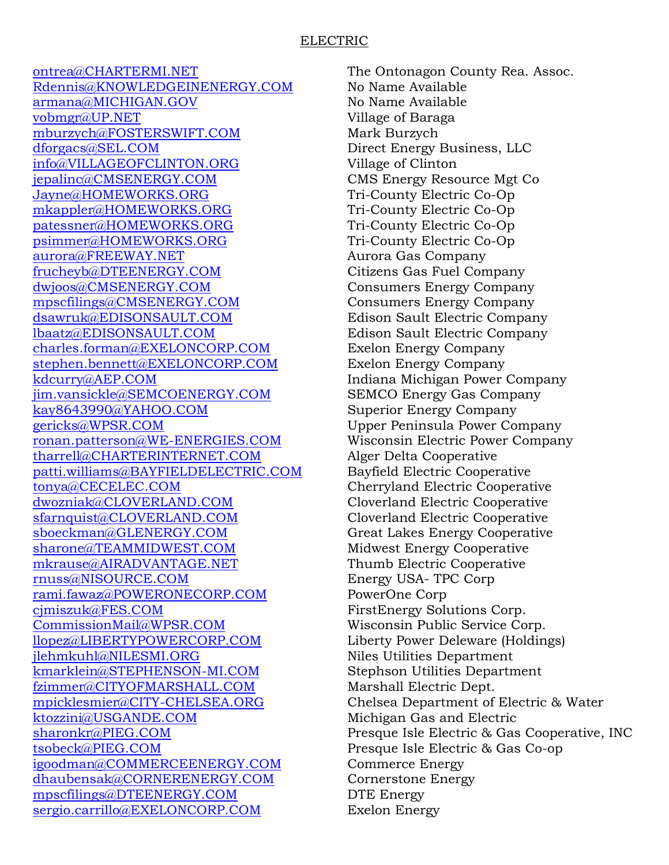## ELECTRIC

[ontrea@CHARTERMI.NET](mailto:ontrea@CHARTERMI.NET) The Ontonagon County Rea. Assoc. [Rdennis@KNOWLEDGEINENERGY.COM](mailto:Rdennis@KNOWLEDGEINENERGY.COM) No Name Available [armana@MICHIGAN.GOV](mailto:armana@MICHIGAN.GOV) No Name Available [vobmgr@UP.NET](mailto:vobmgr@UP.NET) Village of Baraga [mburzych@FOSTERSWIFT.COM](mailto:mburzych@FOSTERSWIFT.COM) Mark Burzych [dforgacs@SEL.COM](mailto:dforgacs@SEL.COM) Direct Energy Business, LLC [info@VILLAGEOFCLINTON.ORG](mailto:info@VILLAGEOFCLINTON.ORG) Village of Clinton [jepalinc@CMSENERGY.COM](mailto:jepalinc@CMSENERGY.COM) CMS Energy Resource Mgt Co [Jayne@HOMEWORKS.ORG](mailto:Jayne@HOMEWORKS.ORG) Tri-County Electric Co-Op [mkappler@HOMEWORKS.ORG](mailto:mkappler@HOMEWORKS.ORG) Tri-County Electric Co-Op [patessner@HOMEWORKS.ORG](mailto:patessner@HOMEWORKS.ORG) Tri-County Electric Co-Op [psimmer@HOMEWORKS.ORG](mailto:psimmer@HOMEWORKS.ORG) Tri-County Electric Co-Op [aurora@FREEWAY.NET](mailto:aurora@FREEWAY.NET) Aurora Gas Company [frucheyb@DTEENERGY.COM](mailto:frucheyb@DTEENERGY.COM) Citizens Gas Fuel Company [dwjoos@CMSENERGY.COM](mailto:dwjoos@CMSENERGY.COM) Consumers Energy Company [mpscfilings@CMSENERGY.COM](mailto:mpscfilings@CMSENERGY.COM) Consumers Energy Company [dsawruk@EDISONSAULT.COM](mailto:dsawruk@EDISONSAULT.COM) Edison Sault Electric Company [lbaatz@EDISONSAULT.COM](mailto:lbaatz@EDISONSAULT.COM) Edison Sault Electric Company [charles.forman@EXELONCORP.COM](mailto:charles.forman@EXELONCORP.COM) Exelon Energy Company [stephen.bennett@EXELONCORP.COM](mailto:stephen.bennett@EXELONCORP.COM) Exelon Energy Company [kdcurry@AEP.COM](mailto:kdcurry@AEP.COM) Indiana Michigan Power Company [jim.vansickle@SEMCOENERGY.COM](mailto:jim.vansickle@SEMCOENERGY.COM) SEMCO Energy Gas Company [kay8643990@YAHOO.COM](mailto:kay8643990@YAHOO.COM) Superior Energy Company [gericks@WPSR.COM](mailto:gericks@WPSR.COM) Upper Peninsula Power Company [ronan.patterson@WE-ENERGIES.COM](mailto:ronan.patterson@WE-ENERGIES.COM) Wisconsin Electric Power Company [tharrell@CHARTERINTERNET.COM](mailto:tharrell@CHARTERINTERNET.COM) Alger Delta Cooperative [patti.williams@BAYFIELDELECTRIC.COM](mailto:patti.williams@BAYFIELDELECTRIC.COM) Bayfield Electric Cooperative [tonya@CECELEC.COM](mailto:tonya@CECELEC.COM) Cherryland Electric Cooperative [dwozniak@CLOVERLAND.COM](mailto:dwozniak@CLOVERLAND.COM) Cloverland Electric Cooperative [sfarnquist@CLOVERLAND.COM](mailto:sfarnquist@CLOVERLAND.COM) Cloverland Electric Cooperative [sboeckman@GLENERGY.COM](mailto:sboeckman@GLENERGY.COM) Great Lakes Energy Cooperative [sharone@TEAMMIDWEST.COM](mailto:sharone@TEAMMIDWEST.COM) Midwest Energy Cooperative [mkrause@AIRADVANTAGE.NET](mailto:mkrause@AIRADVANTAGE.NET) Thumb Electric Cooperative [rnuss@NISOURCE.COM](mailto:rnuss@NISOURCE.COM) Energy USA- TPC Corp [rami.fawaz@POWERONECORP.COM](mailto:rami.fawaz@POWERONECORP.COM) PowerOne Corp [cjmiszuk@FES.COM](mailto:cjmiszuk@FES.COM) FirstEnergy Solutions Corp. [CommissionMail@WPSR.COM](mailto:CommissionMail@WPSR.COM) Wisconsin Public Service Corp. [llopez@LIBERTYPOWERCORP.COM](mailto:llopez@LIBERTYPOWERCORP.COM) Liberty Power Deleware (Holdings) ilehmkuhl@NILESMI.ORG Niles Utilities Department [kmarklein@STEPHENSON-MI.COM](mailto:kmarklein@STEPHENSON-MI.COM) Stephson Utilities Department [fzimmer@CITYOFMARSHALL.COM](mailto:fzimmer@CITYOFMARSHALL.COM) Marshall Electric Dept. [mpicklesmier@CITY-CHELSEA.ORG](mailto:mpicklesmier@CITY-CHELSEA.ORG) Chelsea Department of Electric & Water [ktozzini@USGANDE.COM](mailto:ktozzini@USGANDE.COM) Michigan Gas and Electric [tsobeck@PIEG.COM](mailto:tsobeck@PIEG.COM) Presque Isle Electric & Gas Co-op [igoodman@COMMERCEENERGY.COM](mailto:igoodman@COMMERCEENERGY.COM) Commerce Energy [dhaubensak@CORNERENERGY.COM](mailto:dhaubensak@CORNERENERGY.COM) Cornerstone Energy [mpscfilings@DTEENERGY.COM](mailto:mpscfilings@DTEENERGY.COM) DTE Energy [sergio.carrillo@EXELONCORP.COM](mailto:sergio.carrillo@EXELONCORP.COM) Exelon Energy

[sharonkr@PIEG.COM](mailto:sharonkr@PIEG.COM) Presque Isle Electric & Gas Cooperative, INC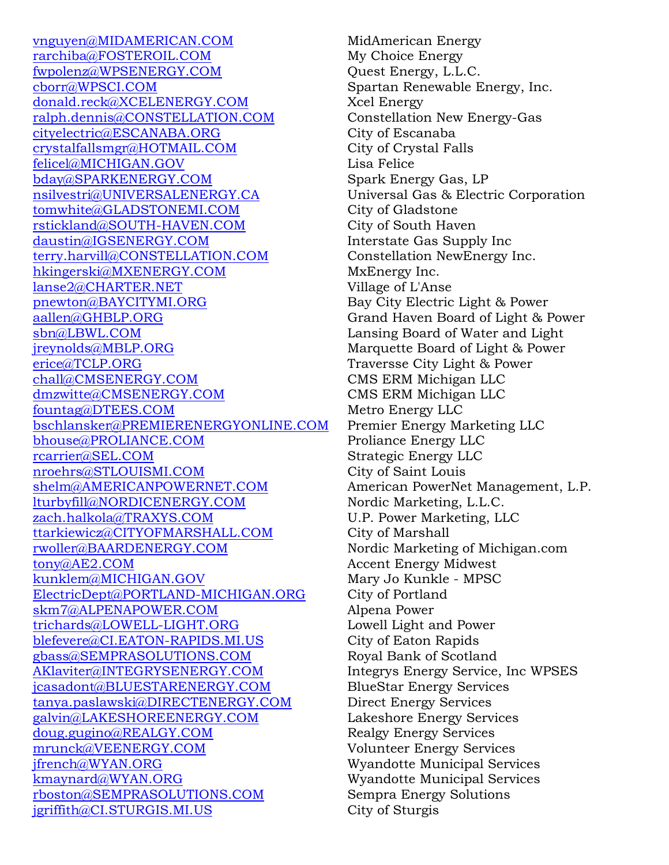[vnguyen@MIDAMERICAN.COM](mailto:vnguyen@MIDAMERICAN.COM) MidAmerican Energy [rarchiba@FOSTEROIL.COM](mailto:rarchiba@FOSTEROIL.COM) My Choice Energy [fwpolenz@WPSENERGY.COM](mailto:fwpolenz@WPSENERGY.COM) Quest Energy, L.L.C. [cborr@WPSCI.COM](mailto:cborr@WPSCI.COM) Spartan Renewable Energy, Inc. [donald.reck@XCELENERGY.COM](mailto:donald.reck@XCELENERGY.COM) Xcel Energy [ralph.dennis@CONSTELLATION.COM](mailto:ralph.dennis@CONSTELLATION.COM) Constellation New Energy-Gas [cityelectric@ESCANABA.ORG](mailto:cityelectric@ESCANABA.ORG) City of Escanaba [crystalfallsmgr@HOTMAIL.COM](mailto:crystalfallsmgr@HOTMAIL.COM) City of Crystal Falls [felicel@MICHIGAN.GOV](mailto:felicel@MICHIGAN.GOV) Lisa Felice [bday@SPARKENERGY.COM](mailto:bday@SPARKENERGY.COM) Spark Energy Gas, LP [nsilvestri@UNIVERSALENERGY.CA](mailto:nsilvestri@UNIVERSALENERGY.CA) Universal Gas & Electric Corporation [tomwhite@GLADSTONEMI.COM](mailto:tomwhite@GLADSTONEMI.COM) City of Gladstone [rstickland@SOUTH-HAVEN.COM](mailto:rstickland@SOUTH-HAVEN.COM) City of South Haven [daustin@IGSENERGY.COM](mailto:daustin@IGSENERGY.COM) Interstate Gas Supply Inc [terry.harvill@CONSTELLATION.COM](mailto:terry.harvill@CONSTELLATION.COM) Constellation NewEnergy Inc. [hkingerski@MXENERGY.COM](mailto:hkingerski@MXENERGY.COM) MxEnergy Inc. [lanse2@CHARTER.NET](mailto:lanse2@CHARTER.NET) Village of L'Anse [pnewton@BAYCITYMI.ORG](mailto:pnewton@BAYCITYMI.ORG) Bay City Electric Light & Power [aallen@GHBLP.ORG](mailto:aallen@GHBLP.ORG) Grand Haven Board of Light & Power [sbn@LBWL.COM](mailto:sbn@LBWL.COM) Lansing Board of Water and Light [jreynolds@MBLP.ORG](mailto:jreynolds@MBLP.ORG) Marquette Board of Light & Power [erice@TCLP.ORG](mailto:erice@TCLP.ORG) Traversse City Light & Power [chall@CMSENERGY.COM](mailto:chall@CMSENERGY.COM) CMS ERM Michigan LLC [dmzwitte@CMSENERGY.COM](mailto:dmzwitte@CMSENERGY.COM) CMS ERM Michigan LLC [fountag@DTEES.COM](mailto:fountag@DTEES.COM) Metro Energy LLC [bschlansker@PREMIERENERGYONLINE.COM](mailto:bschlansker@PREMIERENERGYONLINE.COM) Premier Energy Marketing LLC [bhouse@PROLIANCE.COM](mailto:bhouse@PROLIANCE.COM) Proliance Energy LLC [rcarrier@SEL.COM](mailto:rcarrier@SEL.COM) Strategic Energy LLC [nroehrs@STLOUISMI.COM](mailto:nroehrs@STLOUISMI.COM) City of Saint Louis [shelm@AMERICANPOWERNET.COM](mailto:shelm@AMERICANPOWERNET.COM) American PowerNet Management, L.P. [lturbyfill@NORDICENERGY.COM](mailto:lturbyfill@NORDICENERGY.COM) Nordic Marketing, L.L.C. [zach.halkola@TRAXYS.COM](mailto:zach.halkola@TRAXYS.COM) U.P. Power Marketing, LLC [ttarkiewicz@CITYOFMARSHALL.COM](mailto:ttarkiewicz@CITYOFMARSHALL.COM) City of Marshall [rwoller@BAARDENERGY.COM](mailto:rwoller@BAARDENERGY.COM) Nordic Marketing of Michigan.com [tony@AE2.COM](mailto:tony@AE2.COM) Accent Energy Midwest [kunklem@MICHIGAN.GOV](mailto:kunklem@MICHIGAN.GOV) Mary Jo Kunkle - MPSC [ElectricDept@PORTLAND-MICHIGAN.ORG](mailto:ElectricDept@PORTLAND-MICHIGAN.ORG) City of Portland [skm7@ALPENAPOWER.COM](mailto:skm7@ALPENAPOWER.COM) Alpena Power [trichards@LOWELL-LIGHT.ORG](mailto:trichards@LOWELL-LIGHT.ORG) Lowell Light and Power [blefevere@CI.EATON-RAPIDS.MI.US](mailto:blefevere@CI.EATON-RAPIDS.MI.US) City of Eaton Rapids [gbass@SEMPRASOLUTIONS.COM](mailto:gbass@SEMPRASOLUTIONS.COM) Royal Bank of Scotland [AKlaviter@INTEGRYSENERGY.COM](mailto:AKlaviter@INTEGRYSENERGY.COM) Integrys Energy Service, Inc WPSES [jcasadont@BLUESTARENERGY.COM](mailto:jcasadont@BLUESTARENERGY.COM) BlueStar Energy Services [tanya.paslawski@DIRECTENERGY.COM](mailto:tanya.paslawski@DIRECTENERGY.COM) Direct Energy Services [galvin@LAKESHOREENERGY.COM](mailto:galvin@LAKESHOREENERGY.COM) Lakeshore Energy Services [doug.gugino@REALGY.COM](mailto:doug.gugino@REALGY.COM) Realgy Energy Services [mrunck@VEENERGY.COM](mailto:mrunck@VEENERGY.COM) Volunteer Energy Services [jfrench@WYAN.ORG](mailto:jfrench@WYAN.ORG) Wyandotte Municipal Services [kmaynard@WYAN.ORG](mailto:kmaynard@WYAN.ORG) Wyandotte Municipal Services [rboston@SEMPRASOLUTIONS.COM](mailto:rboston@SEMPRASOLUTIONS.COM) Sempra Energy Solutions [jgriffith@CI.STURGIS.MI.US](mailto:jgriffith@CI.STURGIS.MI.US) City of Sturgis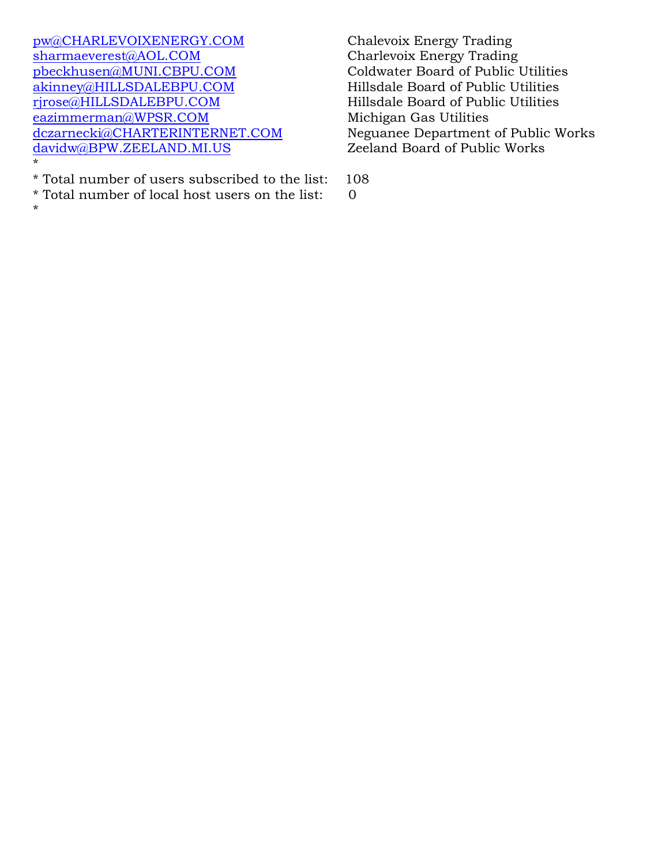[pw@CHARLEVOIXENERGY.COM](mailto:pw@CHARLEVOIXENERGY.COM) Chalevoix Energy Trading [sharmaeverest@AOL.COM](mailto:sharmaeverest@AOL.COM) Charlevoix Energy Trading [pbeckhusen@MUNI.CBPU.COM](mailto:pbeckhusen@MUNI.CBPU.COM) Coldwater Board of Public Utilities [akinney@HILLSDALEBPU.COM](mailto:akinney@HILLSDALEBPU.COM) Hillsdale Board of Public Utilities [rjrose@HILLSDALEBPU.COM](mailto:rjrose@HILLSDALEBPU.COM) Hillsdale Board of Public Utilities [eazimmerman@WPSR.COM](mailto:eazimmerman@WPSR.COM) Michigan Gas Utilities<br>dczarnecki@CHARTERINTERNET.COM Neguanee Department  $davidw@BPW.ZEELAND.MI.US$ \*

\* Total number of users subscribed to the list: 108 \* Total number of local host users on the list: 0

\*

Neguanee Department of Public Works<br>Zeeland Board of Public Works